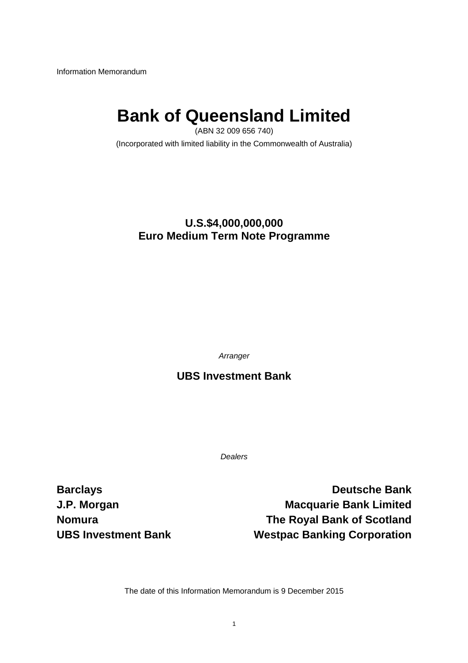Information Memorandum

# **Bank of Queensland Limited**

(ABN 32 009 656 740) (Incorporated with limited liability in the Commonwealth of Australia)

### **U.S.\$4,000,000,000 Euro Medium Term Note Programme**

*Arranger* 

**UBS Investment Bank**

*Dealers* 

**Barclays** Deutsche Bank **J.P. Morgan Macquarie Bank Limited by Algebra Nomura The Royal Bank of Scotland UBS Investment Bank Mestpac Banking Corporation** 

The date of this Information Memorandum is 9 December 2015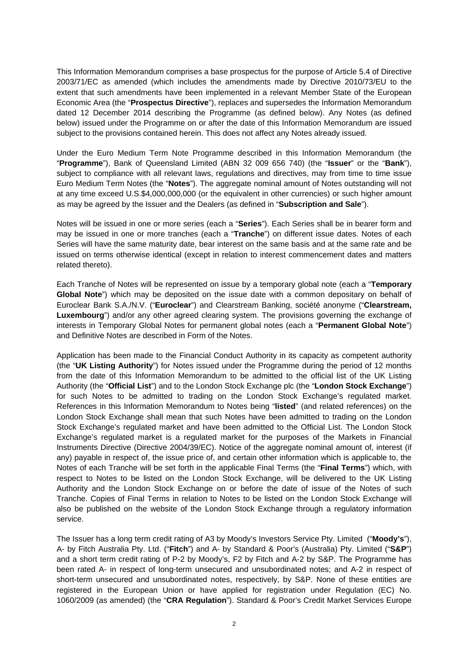This Information Memorandum comprises a base prospectus for the purpose of Article 5.4 of Directive 2003/71/EC as amended (which includes the amendments made by Directive 2010/73/EU to the extent that such amendments have been implemented in a relevant Member State of the European Economic Area (the "**Prospectus Directive**"), replaces and supersedes the Information Memorandum dated 12 December 2014 describing the Programme (as defined below). Any Notes (as defined below) issued under the Programme on or after the date of this Information Memorandum are issued subject to the provisions contained herein. This does not affect any Notes already issued.

Under the Euro Medium Term Note Programme described in this Information Memorandum (the "**Programme**"), Bank of Queensland Limited (ABN 32 009 656 740) (the "**Issuer**" or the "**Bank**"), subject to compliance with all relevant laws, regulations and directives, may from time to time issue Euro Medium Term Notes (the "**Notes**"). The aggregate nominal amount of Notes outstanding will not at any time exceed U.S.\$4,000,000,000 (or the equivalent in other currencies) or such higher amount as may be agreed by the Issuer and the Dealers (as defined in "**Subscription and Sale**").

Notes will be issued in one or more series (each a "**Series**"). Each Series shall be in bearer form and may be issued in one or more tranches (each a "**Tranche**") on different issue dates. Notes of each Series will have the same maturity date, bear interest on the same basis and at the same rate and be issued on terms otherwise identical (except in relation to interest commencement dates and matters related thereto).

Each Tranche of Notes will be represented on issue by a temporary global note (each a "**Temporary Global Note**") which may be deposited on the issue date with a common depositary on behalf of Euroclear Bank S.A./N.V. ("**Euroclear**") and Clearstream Banking, société anonyme ("**Clearstream, Luxembourg**") and/or any other agreed clearing system. The provisions governing the exchange of interests in Temporary Global Notes for permanent global notes (each a "**Permanent Global Note**") and Definitive Notes are described in Form of the Notes.

Application has been made to the Financial Conduct Authority in its capacity as competent authority (the "**UK Listing Authority**") for Notes issued under the Programme during the period of 12 months from the date of this Information Memorandum to be admitted to the official list of the UK Listing Authority (the "**Official List**") and to the London Stock Exchange plc (the "**London Stock Exchange**") for such Notes to be admitted to trading on the London Stock Exchange's regulated market. References in this Information Memorandum to Notes being "**listed**" (and related references) on the London Stock Exchange shall mean that such Notes have been admitted to trading on the London Stock Exchange's regulated market and have been admitted to the Official List. The London Stock Exchange's regulated market is a regulated market for the purposes of the Markets in Financial Instruments Directive (Directive 2004/39/EC). Notice of the aggregate nominal amount of, interest (if any) payable in respect of, the issue price of, and certain other information which is applicable to, the Notes of each Tranche will be set forth in the applicable Final Terms (the "**Final Terms**") which, with respect to Notes to be listed on the London Stock Exchange, will be delivered to the UK Listing Authority and the London Stock Exchange on or before the date of issue of the Notes of such Tranche. Copies of Final Terms in relation to Notes to be listed on the London Stock Exchange will also be published on the website of the London Stock Exchange through a regulatory information service.

The Issuer has a long term credit rating of A3 by Moody's Investors Service Pty. Limited ("**Moody's**"), A- by Fitch Australia Pty. Ltd. ("**Fitch**") and A- by Standard & Poor's (Australia) Pty. Limited ("**S&P**") and a short term credit rating of P-2 by Moody's, F2 by Fitch and A-2 by S&P. The Programme has been rated A- in respect of long-term unsecured and unsubordinated notes; and A-2 in respect of short-term unsecured and unsubordinated notes, respectively, by S&P. None of these entities are registered in the European Union or have applied for registration under Regulation (EC) No. 1060/2009 (as amended) (the "**CRA Regulation**"). Standard & Poor's Credit Market Services Europe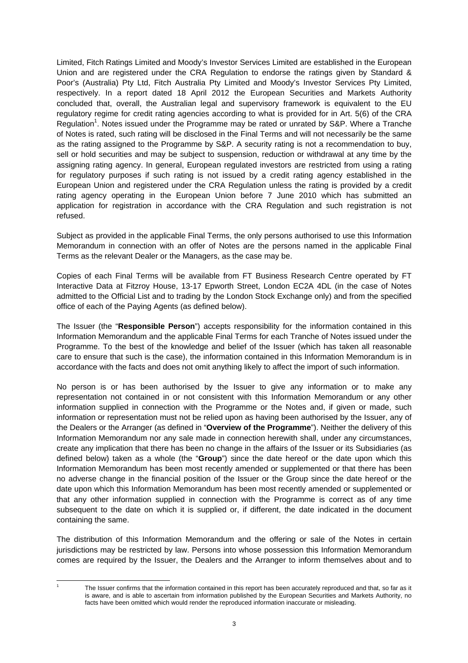Limited, Fitch Ratings Limited and Moody's Investor Services Limited are established in the European Union and are registered under the CRA Regulation to endorse the ratings given by Standard & Poor's (Australia) Pty Ltd, Fitch Australia Pty Limited and Moody's Investor Services Pty Limited, respectively. In a report dated 18 April 2012 the European Securities and Markets Authority concluded that, overall, the Australian legal and supervisory framework is equivalent to the EU regulatory regime for credit rating agencies according to what is provided for in Art. 5(6) of the CRA Regulation<sup>1</sup>. Notes issued under the Programme may be rated or unrated by S&P. Where a Tranche of Notes is rated, such rating will be disclosed in the Final Terms and will not necessarily be the same as the rating assigned to the Programme by S&P. A security rating is not a recommendation to buy, sell or hold securities and may be subject to suspension, reduction or withdrawal at any time by the assigning rating agency. In general, European regulated investors are restricted from using a rating for regulatory purposes if such rating is not issued by a credit rating agency established in the European Union and registered under the CRA Regulation unless the rating is provided by a credit rating agency operating in the European Union before 7 June 2010 which has submitted an application for registration in accordance with the CRA Regulation and such registration is not refused.

Subject as provided in the applicable Final Terms, the only persons authorised to use this Information Memorandum in connection with an offer of Notes are the persons named in the applicable Final Terms as the relevant Dealer or the Managers, as the case may be.

Copies of each Final Terms will be available from FT Business Research Centre operated by FT Interactive Data at Fitzroy House, 13-17 Epworth Street, London EC2A 4DL (in the case of Notes admitted to the Official List and to trading by the London Stock Exchange only) and from the specified office of each of the Paying Agents (as defined below).

The Issuer (the "**Responsible Person**") accepts responsibility for the information contained in this Information Memorandum and the applicable Final Terms for each Tranche of Notes issued under the Programme. To the best of the knowledge and belief of the Issuer (which has taken all reasonable care to ensure that such is the case), the information contained in this Information Memorandum is in accordance with the facts and does not omit anything likely to affect the import of such information.

No person is or has been authorised by the Issuer to give any information or to make any representation not contained in or not consistent with this Information Memorandum or any other information supplied in connection with the Programme or the Notes and, if given or made, such information or representation must not be relied upon as having been authorised by the Issuer, any of the Dealers or the Arranger (as defined in "**Overview of the Programme**"). Neither the delivery of this Information Memorandum nor any sale made in connection herewith shall, under any circumstances, create any implication that there has been no change in the affairs of the Issuer or its Subsidiaries (as defined below) taken as a whole (the "**Group**") since the date hereof or the date upon which this Information Memorandum has been most recently amended or supplemented or that there has been no adverse change in the financial position of the Issuer or the Group since the date hereof or the date upon which this Information Memorandum has been most recently amended or supplemented or that any other information supplied in connection with the Programme is correct as of any time subsequent to the date on which it is supplied or, if different, the date indicated in the document containing the same.

The distribution of this Information Memorandum and the offering or sale of the Notes in certain jurisdictions may be restricted by law. Persons into whose possession this Information Memorandum comes are required by the Issuer, the Dealers and the Arranger to inform themselves about and to

 $\overline{\phantom{a}}$ 1

The Issuer confirms that the information contained in this report has been accurately reproduced and that, so far as it is aware, and is able to ascertain from information published by the European Securities and Markets Authority, no facts have been omitted which would render the reproduced information inaccurate or misleading.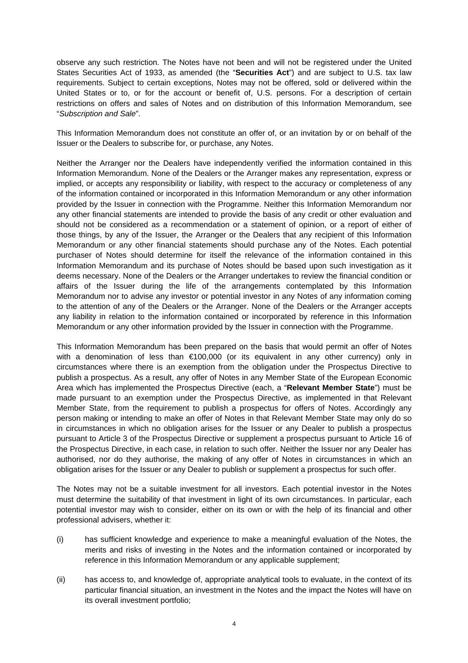observe any such restriction. The Notes have not been and will not be registered under the United States Securities Act of 1933, as amended (the "**Securities Act**") and are subject to U.S. tax law requirements. Subject to certain exceptions, Notes may not be offered, sold or delivered within the United States or to, or for the account or benefit of, U.S. persons. For a description of certain restrictions on offers and sales of Notes and on distribution of this Information Memorandum, see "*Subscription and Sale*".

This Information Memorandum does not constitute an offer of, or an invitation by or on behalf of the Issuer or the Dealers to subscribe for, or purchase, any Notes.

Neither the Arranger nor the Dealers have independently verified the information contained in this Information Memorandum. None of the Dealers or the Arranger makes any representation, express or implied, or accepts any responsibility or liability, with respect to the accuracy or completeness of any of the information contained or incorporated in this Information Memorandum or any other information provided by the Issuer in connection with the Programme. Neither this Information Memorandum nor any other financial statements are intended to provide the basis of any credit or other evaluation and should not be considered as a recommendation or a statement of opinion, or a report of either of those things, by any of the Issuer, the Arranger or the Dealers that any recipient of this Information Memorandum or any other financial statements should purchase any of the Notes. Each potential purchaser of Notes should determine for itself the relevance of the information contained in this Information Memorandum and its purchase of Notes should be based upon such investigation as it deems necessary. None of the Dealers or the Arranger undertakes to review the financial condition or affairs of the Issuer during the life of the arrangements contemplated by this Information Memorandum nor to advise any investor or potential investor in any Notes of any information coming to the attention of any of the Dealers or the Arranger. None of the Dealers or the Arranger accepts any liability in relation to the information contained or incorporated by reference in this Information Memorandum or any other information provided by the Issuer in connection with the Programme.

This Information Memorandum has been prepared on the basis that would permit an offer of Notes with a denomination of less than €100,000 (or its equivalent in any other currency) only in circumstances where there is an exemption from the obligation under the Prospectus Directive to publish a prospectus. As a result, any offer of Notes in any Member State of the European Economic Area which has implemented the Prospectus Directive (each, a "**Relevant Member State**") must be made pursuant to an exemption under the Prospectus Directive, as implemented in that Relevant Member State, from the requirement to publish a prospectus for offers of Notes. Accordingly any person making or intending to make an offer of Notes in that Relevant Member State may only do so in circumstances in which no obligation arises for the Issuer or any Dealer to publish a prospectus pursuant to Article 3 of the Prospectus Directive or supplement a prospectus pursuant to Article 16 of the Prospectus Directive, in each case, in relation to such offer. Neither the Issuer nor any Dealer has authorised, nor do they authorise, the making of any offer of Notes in circumstances in which an obligation arises for the Issuer or any Dealer to publish or supplement a prospectus for such offer.

The Notes may not be a suitable investment for all investors. Each potential investor in the Notes must determine the suitability of that investment in light of its own circumstances. In particular, each potential investor may wish to consider, either on its own or with the help of its financial and other professional advisers, whether it:

- (i) has sufficient knowledge and experience to make a meaningful evaluation of the Notes, the merits and risks of investing in the Notes and the information contained or incorporated by reference in this Information Memorandum or any applicable supplement;
- (ii) has access to, and knowledge of, appropriate analytical tools to evaluate, in the context of its particular financial situation, an investment in the Notes and the impact the Notes will have on its overall investment portfolio;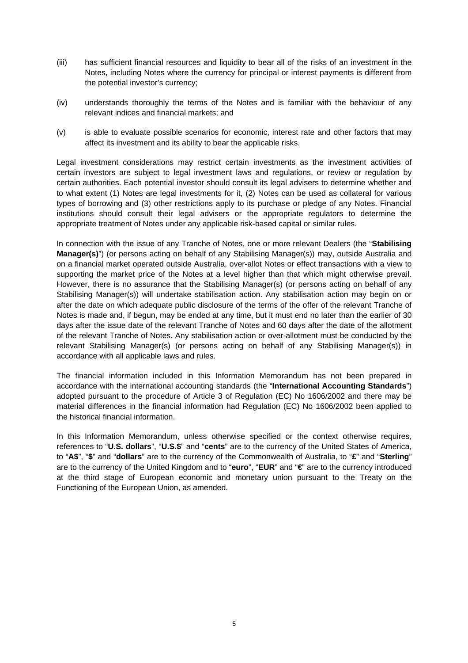- (iii) has sufficient financial resources and liquidity to bear all of the risks of an investment in the Notes, including Notes where the currency for principal or interest payments is different from the potential investor's currency;
- (iv) understands thoroughly the terms of the Notes and is familiar with the behaviour of any relevant indices and financial markets; and
- (v) is able to evaluate possible scenarios for economic, interest rate and other factors that may affect its investment and its ability to bear the applicable risks.

Legal investment considerations may restrict certain investments as the investment activities of certain investors are subject to legal investment laws and regulations, or review or regulation by certain authorities. Each potential investor should consult its legal advisers to determine whether and to what extent (1) Notes are legal investments for it, (2) Notes can be used as collateral for various types of borrowing and (3) other restrictions apply to its purchase or pledge of any Notes. Financial institutions should consult their legal advisers or the appropriate regulators to determine the appropriate treatment of Notes under any applicable risk-based capital or similar rules.

In connection with the issue of any Tranche of Notes, one or more relevant Dealers (the "**Stabilising Manager(s)**") (or persons acting on behalf of any Stabilising Manager(s)) may, outside Australia and on a financial market operated outside Australia, over-allot Notes or effect transactions with a view to supporting the market price of the Notes at a level higher than that which might otherwise prevail. However, there is no assurance that the Stabilising Manager(s) (or persons acting on behalf of any Stabilising Manager(s)) will undertake stabilisation action. Any stabilisation action may begin on or after the date on which adequate public disclosure of the terms of the offer of the relevant Tranche of Notes is made and, if begun, may be ended at any time, but it must end no later than the earlier of 30 days after the issue date of the relevant Tranche of Notes and 60 days after the date of the allotment of the relevant Tranche of Notes. Any stabilisation action or over-allotment must be conducted by the relevant Stabilising Manager(s) (or persons acting on behalf of any Stabilising Manager(s)) in accordance with all applicable laws and rules.

The financial information included in this Information Memorandum has not been prepared in accordance with the international accounting standards (the "**International Accounting Standards**") adopted pursuant to the procedure of Article 3 of Regulation (EC) No 1606/2002 and there may be material differences in the financial information had Regulation (EC) No 1606/2002 been applied to the historical financial information.

In this Information Memorandum, unless otherwise specified or the context otherwise requires, references to "**U.S. dollars**", "**U.S.\$**" and "**cents**" are to the currency of the United States of America, to "**A\$**", "**\$**" and "**dollars**" are to the currency of the Commonwealth of Australia, to "**£**" and "**Sterling**" are to the currency of the United Kingdom and to "**euro**", "**EUR**" and "**€**" are to the currency introduced at the third stage of European economic and monetary union pursuant to the Treaty on the Functioning of the European Union, as amended.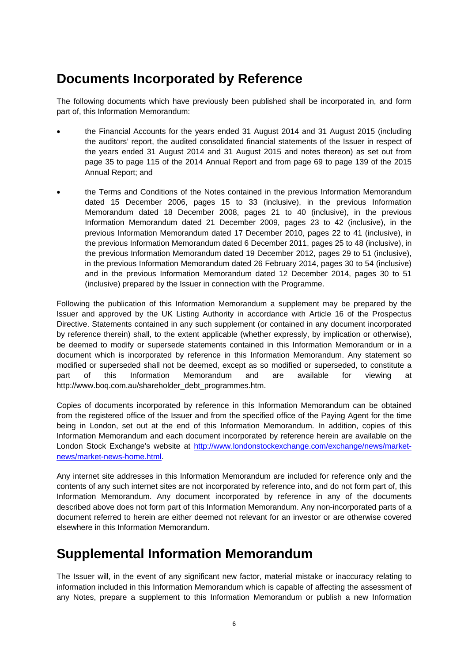### **Documents Incorporated by Reference**

The following documents which have previously been published shall be incorporated in, and form part of, this Information Memorandum:

- the Financial Accounts for the years ended 31 August 2014 and 31 August 2015 (including the auditors' report, the audited consolidated financial statements of the Issuer in respect of the years ended 31 August 2014 and 31 August 2015 and notes thereon) as set out from page 35 to page 115 of the 2014 Annual Report and from page 69 to page 139 of the 2015 Annual Report; and
- the Terms and Conditions of the Notes contained in the previous Information Memorandum dated 15 December 2006, pages 15 to 33 (inclusive), in the previous Information Memorandum dated 18 December 2008, pages 21 to 40 (inclusive), in the previous Information Memorandum dated 21 December 2009, pages 23 to 42 (inclusive), in the previous Information Memorandum dated 17 December 2010, pages 22 to 41 (inclusive), in the previous Information Memorandum dated 6 December 2011, pages 25 to 48 (inclusive), in the previous Information Memorandum dated 19 December 2012, pages 29 to 51 (inclusive), in the previous Information Memorandum dated 26 February 2014, pages 30 to 54 (inclusive) and in the previous Information Memorandum dated 12 December 2014, pages 30 to 51 (inclusive) prepared by the Issuer in connection with the Programme.

Following the publication of this Information Memorandum a supplement may be prepared by the Issuer and approved by the UK Listing Authority in accordance with Article 16 of the Prospectus Directive. Statements contained in any such supplement (or contained in any document incorporated by reference therein) shall, to the extent applicable (whether expressly, by implication or otherwise), be deemed to modify or supersede statements contained in this Information Memorandum or in a document which is incorporated by reference in this Information Memorandum. Any statement so modified or superseded shall not be deemed, except as so modified or superseded, to constitute a part of this Information Memorandum and are available for viewing at http://www.boq.com.au/shareholder\_debt\_programmes.htm.

Copies of documents incorporated by reference in this Information Memorandum can be obtained from the registered office of the Issuer and from the specified office of the Paying Agent for the time being in London, set out at the end of this Information Memorandum. In addition, copies of this Information Memorandum and each document incorporated by reference herein are available on the London Stock Exchange's website at http://www.londonstockexchange.com/exchange/news/marketnews/market-news-home.html.

Any internet site addresses in this Information Memorandum are included for reference only and the contents of any such internet sites are not incorporated by reference into, and do not form part of, this Information Memorandum. Any document incorporated by reference in any of the documents described above does not form part of this Information Memorandum. Any non-incorporated parts of a document referred to herein are either deemed not relevant for an investor or are otherwise covered elsewhere in this Information Memorandum.

### **Supplemental Information Memorandum**

The Issuer will, in the event of any significant new factor, material mistake or inaccuracy relating to information included in this Information Memorandum which is capable of affecting the assessment of any Notes, prepare a supplement to this Information Memorandum or publish a new Information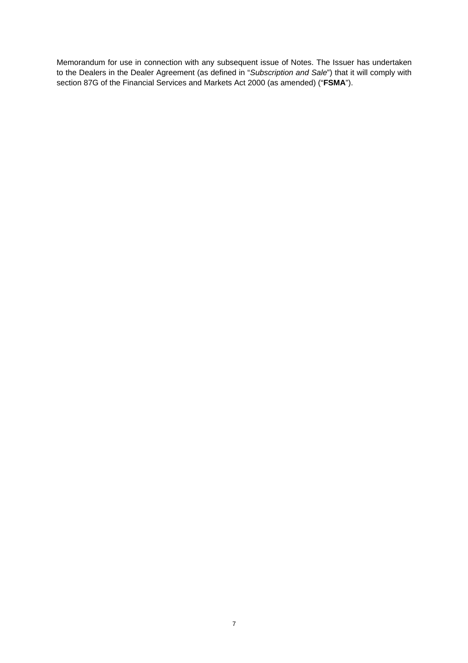Memorandum for use in connection with any subsequent issue of Notes. The Issuer has undertaken to the Dealers in the Dealer Agreement (as defined in "*Subscription and Sale*") that it will comply with section 87G of the Financial Services and Markets Act 2000 (as amended) ("**FSMA**").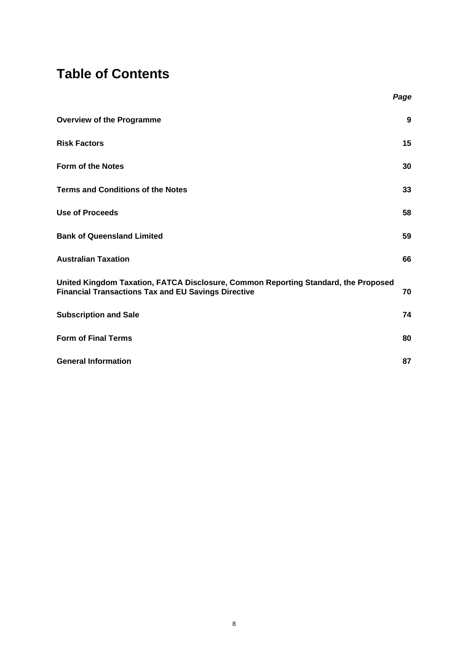### **Table of Contents**

|                                                                                                                                                  | Page |
|--------------------------------------------------------------------------------------------------------------------------------------------------|------|
| <b>Overview of the Programme</b>                                                                                                                 | 9    |
| <b>Risk Factors</b>                                                                                                                              | 15   |
| <b>Form of the Notes</b>                                                                                                                         | 30   |
| <b>Terms and Conditions of the Notes</b>                                                                                                         | 33   |
| <b>Use of Proceeds</b>                                                                                                                           | 58   |
| <b>Bank of Queensland Limited</b>                                                                                                                | 59   |
| <b>Australian Taxation</b>                                                                                                                       | 66   |
| United Kingdom Taxation, FATCA Disclosure, Common Reporting Standard, the Proposed<br><b>Financial Transactions Tax and EU Savings Directive</b> | 70   |
| <b>Subscription and Sale</b>                                                                                                                     | 74   |
| <b>Form of Final Terms</b>                                                                                                                       | 80   |
| <b>General Information</b>                                                                                                                       | 87   |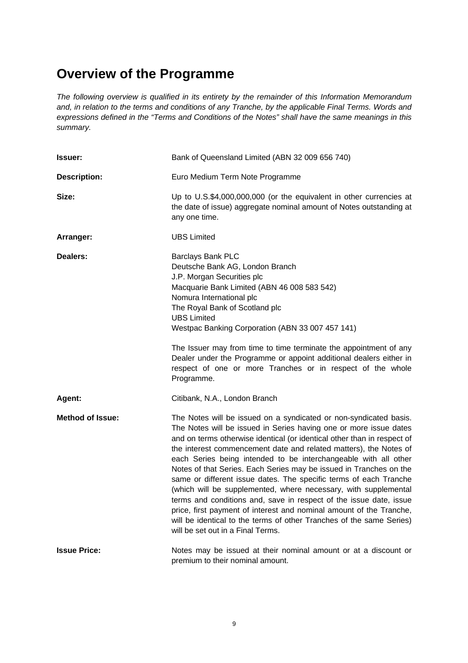### **Overview of the Programme**

*The following overview is qualified in its entirety by the remainder of this Information Memorandum and, in relation to the terms and conditions of any Tranche, by the applicable Final Terms. Words and expressions defined in the "Terms and Conditions of the Notes" shall have the same meanings in this summary.* 

| <b>Issuer:</b>          | Bank of Queensland Limited (ABN 32 009 656 740)                                                                                                                                                                                                                                                                                                                                                                                                                                                                                                                                                                                                                                                                                                                                                                                   |  |  |
|-------------------------|-----------------------------------------------------------------------------------------------------------------------------------------------------------------------------------------------------------------------------------------------------------------------------------------------------------------------------------------------------------------------------------------------------------------------------------------------------------------------------------------------------------------------------------------------------------------------------------------------------------------------------------------------------------------------------------------------------------------------------------------------------------------------------------------------------------------------------------|--|--|
| <b>Description:</b>     | Euro Medium Term Note Programme                                                                                                                                                                                                                                                                                                                                                                                                                                                                                                                                                                                                                                                                                                                                                                                                   |  |  |
| Size:                   | Up to U.S.\$4,000,000,000 (or the equivalent in other currencies at<br>the date of issue) aggregate nominal amount of Notes outstanding at<br>any one time.                                                                                                                                                                                                                                                                                                                                                                                                                                                                                                                                                                                                                                                                       |  |  |
| Arranger:               | <b>UBS Limited</b>                                                                                                                                                                                                                                                                                                                                                                                                                                                                                                                                                                                                                                                                                                                                                                                                                |  |  |
| Dealers:                | Barclays Bank PLC<br>Deutsche Bank AG, London Branch<br>J.P. Morgan Securities plc<br>Macquarie Bank Limited (ABN 46 008 583 542)<br>Nomura International plc<br>The Royal Bank of Scotland plc<br><b>UBS Limited</b><br>Westpac Banking Corporation (ABN 33 007 457 141)<br>The Issuer may from time to time terminate the appointment of any<br>Dealer under the Programme or appoint additional dealers either in<br>respect of one or more Tranches or in respect of the whole<br>Programme.                                                                                                                                                                                                                                                                                                                                  |  |  |
| Agent:                  | Citibank, N.A., London Branch                                                                                                                                                                                                                                                                                                                                                                                                                                                                                                                                                                                                                                                                                                                                                                                                     |  |  |
| <b>Method of Issue:</b> | The Notes will be issued on a syndicated or non-syndicated basis.<br>The Notes will be issued in Series having one or more issue dates<br>and on terms otherwise identical (or identical other than in respect of<br>the interest commencement date and related matters), the Notes of<br>each Series being intended to be interchangeable with all other<br>Notes of that Series. Each Series may be issued in Tranches on the<br>same or different issue dates. The specific terms of each Tranche<br>(which will be supplemented, where necessary, with supplemental<br>terms and conditions and, save in respect of the issue date, issue<br>price, first payment of interest and nominal amount of the Tranche,<br>will be identical to the terms of other Tranches of the same Series)<br>will be set out in a Final Terms. |  |  |
| <b>Issue Price:</b>     | Notes may be issued at their nominal amount or at a discount or<br>premium to their nominal amount.                                                                                                                                                                                                                                                                                                                                                                                                                                                                                                                                                                                                                                                                                                                               |  |  |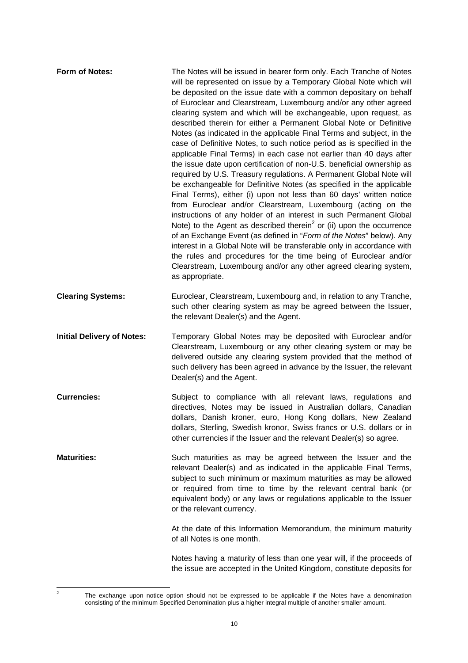| <b>Form of Notes:</b>             | The Notes will be issued in bearer form only. Each Tranche of Notes<br>will be represented on issue by a Temporary Global Note which will<br>be deposited on the issue date with a common depositary on behalf<br>of Euroclear and Clearstream, Luxembourg and/or any other agreed<br>clearing system and which will be exchangeable, upon request, as<br>described therein for either a Permanent Global Note or Definitive<br>Notes (as indicated in the applicable Final Terms and subject, in the<br>case of Definitive Notes, to such notice period as is specified in the<br>applicable Final Terms) in each case not earlier than 40 days after<br>the issue date upon certification of non-U.S. beneficial ownership as<br>required by U.S. Treasury regulations. A Permanent Global Note will<br>be exchangeable for Definitive Notes (as specified in the applicable<br>Final Terms), either (i) upon not less than 60 days' written notice<br>from Euroclear and/or Clearstream, Luxembourg (acting on the<br>instructions of any holder of an interest in such Permanent Global<br>Note) to the Agent as described therein <sup>2</sup> or (ii) upon the occurrence<br>of an Exchange Event (as defined in "Form of the Notes" below). Any<br>interest in a Global Note will be transferable only in accordance with<br>the rules and procedures for the time being of Euroclear and/or<br>Clearstream, Luxembourg and/or any other agreed clearing system,<br>as appropriate. |
|-----------------------------------|--------------------------------------------------------------------------------------------------------------------------------------------------------------------------------------------------------------------------------------------------------------------------------------------------------------------------------------------------------------------------------------------------------------------------------------------------------------------------------------------------------------------------------------------------------------------------------------------------------------------------------------------------------------------------------------------------------------------------------------------------------------------------------------------------------------------------------------------------------------------------------------------------------------------------------------------------------------------------------------------------------------------------------------------------------------------------------------------------------------------------------------------------------------------------------------------------------------------------------------------------------------------------------------------------------------------------------------------------------------------------------------------------------------------------------------------------------------------------------------------|
| <b>Clearing Systems:</b>          | Euroclear, Clearstream, Luxembourg and, in relation to any Tranche,<br>such other clearing system as may be agreed between the Issuer,<br>the relevant Dealer(s) and the Agent.                                                                                                                                                                                                                                                                                                                                                                                                                                                                                                                                                                                                                                                                                                                                                                                                                                                                                                                                                                                                                                                                                                                                                                                                                                                                                                            |
| <b>Initial Delivery of Notes:</b> | Temporary Global Notes may be deposited with Euroclear and/or<br>Clearstream, Luxembourg or any other clearing system or may be<br>delivered outside any clearing system provided that the method of<br>such delivery has been agreed in advance by the Issuer, the relevant<br>Dealer(s) and the Agent.                                                                                                                                                                                                                                                                                                                                                                                                                                                                                                                                                                                                                                                                                                                                                                                                                                                                                                                                                                                                                                                                                                                                                                                   |
| <b>Currencies:</b>                | Subject to compliance with all relevant laws, regulations and<br>directives, Notes may be issued in Australian dollars, Canadian<br>dollars, Danish kroner, euro, Hong Kong dollars, New Zealand<br>dollars, Sterling, Swedish kronor, Swiss francs or U.S. dollars or in<br>other currencies if the Issuer and the relevant Dealer(s) so agree.                                                                                                                                                                                                                                                                                                                                                                                                                                                                                                                                                                                                                                                                                                                                                                                                                                                                                                                                                                                                                                                                                                                                           |
| <b>Maturities:</b>                | Such maturities as may be agreed between the Issuer and the<br>relevant Dealer(s) and as indicated in the applicable Final Terms,<br>subject to such minimum or maximum maturities as may be allowed<br>or required from time to time by the relevant central bank (or<br>equivalent body) or any laws or regulations applicable to the Issuer<br>or the relevant currency.                                                                                                                                                                                                                                                                                                                                                                                                                                                                                                                                                                                                                                                                                                                                                                                                                                                                                                                                                                                                                                                                                                                |
|                                   | At the date of this Information Memorandum, the minimum maturity<br>of all Notes is one month.                                                                                                                                                                                                                                                                                                                                                                                                                                                                                                                                                                                                                                                                                                                                                                                                                                                                                                                                                                                                                                                                                                                                                                                                                                                                                                                                                                                             |
|                                   | Notes having a maturity of less than one year will, if the proceeds of<br>the issue are accepted in the United Kingdom, constitute deposits for                                                                                                                                                                                                                                                                                                                                                                                                                                                                                                                                                                                                                                                                                                                                                                                                                                                                                                                                                                                                                                                                                                                                                                                                                                                                                                                                            |

 $\frac{1}{2}$ 

The exchange upon notice option should not be expressed to be applicable if the Notes have a denomination consisting of the minimum Specified Denomination plus a higher integral multiple of another smaller amount.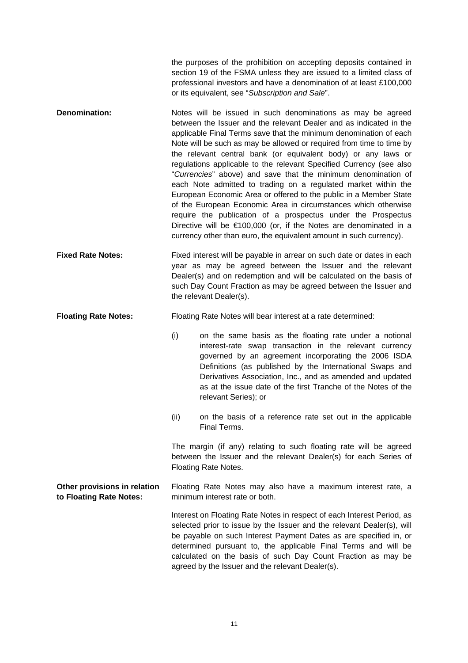the purposes of the prohibition on accepting deposits contained in section 19 of the FSMA unless they are issued to a limited class of professional investors and have a denomination of at least £100,000 or its equivalent, see "*Subscription and Sale*".

- **Denomination:** Notes will be issued in such denominations as may be agreed between the Issuer and the relevant Dealer and as indicated in the applicable Final Terms save that the minimum denomination of each Note will be such as may be allowed or required from time to time by the relevant central bank (or equivalent body) or any laws or regulations applicable to the relevant Specified Currency (see also "*Currencies*" above) and save that the minimum denomination of each Note admitted to trading on a regulated market within the European Economic Area or offered to the public in a Member State of the European Economic Area in circumstances which otherwise require the publication of a prospectus under the Prospectus Directive will be €100,000 (or, if the Notes are denominated in a currency other than euro, the equivalent amount in such currency).
- **Fixed Rate Notes:** Fixed interest will be payable in arrear on such date or dates in each year as may be agreed between the Issuer and the relevant Dealer(s) and on redemption and will be calculated on the basis of such Day Count Fraction as may be agreed between the Issuer and the relevant Dealer(s).
- **Floating Rate Notes:** Floating Rate Notes will bear interest at a rate determined:
	- (i) on the same basis as the floating rate under a notional interest-rate swap transaction in the relevant currency governed by an agreement incorporating the 2006 ISDA Definitions (as published by the International Swaps and Derivatives Association, Inc., and as amended and updated as at the issue date of the first Tranche of the Notes of the relevant Series); or
	- (ii) on the basis of a reference rate set out in the applicable Final Terms.

The margin (if any) relating to such floating rate will be agreed between the Issuer and the relevant Dealer(s) for each Series of Floating Rate Notes.

**Other provisions in relation to Floating Rate Notes:**  Floating Rate Notes may also have a maximum interest rate, a minimum interest rate or both.

> Interest on Floating Rate Notes in respect of each Interest Period, as selected prior to issue by the Issuer and the relevant Dealer(s), will be payable on such Interest Payment Dates as are specified in, or determined pursuant to, the applicable Final Terms and will be calculated on the basis of such Day Count Fraction as may be agreed by the Issuer and the relevant Dealer(s).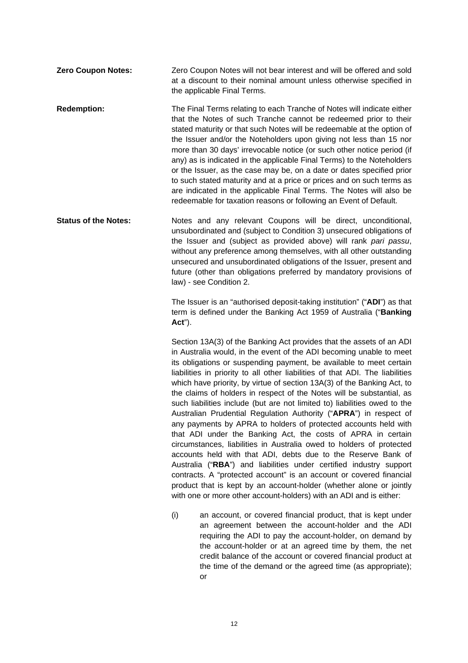**Zero Coupon Notes:** Zero Coupon Notes will not bear interest and will be offered and sold at a discount to their nominal amount unless otherwise specified in the applicable Final Terms.

**Redemption:** The Final Terms relating to each Tranche of Notes will indicate either that the Notes of such Tranche cannot be redeemed prior to their stated maturity or that such Notes will be redeemable at the option of the Issuer and/or the Noteholders upon giving not less than 15 nor more than 30 days' irrevocable notice (or such other notice period (if any) as is indicated in the applicable Final Terms) to the Noteholders or the Issuer, as the case may be, on a date or dates specified prior to such stated maturity and at a price or prices and on such terms as are indicated in the applicable Final Terms. The Notes will also be redeemable for taxation reasons or following an Event of Default.

**Status of the Notes:** Notes and any relevant Coupons will be direct, unconditional, unsubordinated and (subject to Condition 3) unsecured obligations of the Issuer and (subject as provided above) will rank *pari passu*, without any preference among themselves, with all other outstanding unsecured and unsubordinated obligations of the Issuer, present and future (other than obligations preferred by mandatory provisions of law) - see Condition 2.

> The Issuer is an "authorised deposit-taking institution" ("**ADI**") as that term is defined under the Banking Act 1959 of Australia ("**Banking Act**").

> Section 13A(3) of the Banking Act provides that the assets of an ADI in Australia would, in the event of the ADI becoming unable to meet its obligations or suspending payment, be available to meet certain liabilities in priority to all other liabilities of that ADI. The liabilities which have priority, by virtue of section 13A(3) of the Banking Act, to the claims of holders in respect of the Notes will be substantial, as such liabilities include (but are not limited to) liabilities owed to the Australian Prudential Regulation Authority ("**APRA**") in respect of any payments by APRA to holders of protected accounts held with that ADI under the Banking Act, the costs of APRA in certain circumstances, liabilities in Australia owed to holders of protected accounts held with that ADI, debts due to the Reserve Bank of Australia ("**RBA**") and liabilities under certified industry support contracts. A "protected account" is an account or covered financial product that is kept by an account-holder (whether alone or jointly with one or more other account-holders) with an ADI and is either:

> (i) an account, or covered financial product, that is kept under an agreement between the account-holder and the ADI requiring the ADI to pay the account-holder, on demand by the account-holder or at an agreed time by them, the net credit balance of the account or covered financial product at the time of the demand or the agreed time (as appropriate); or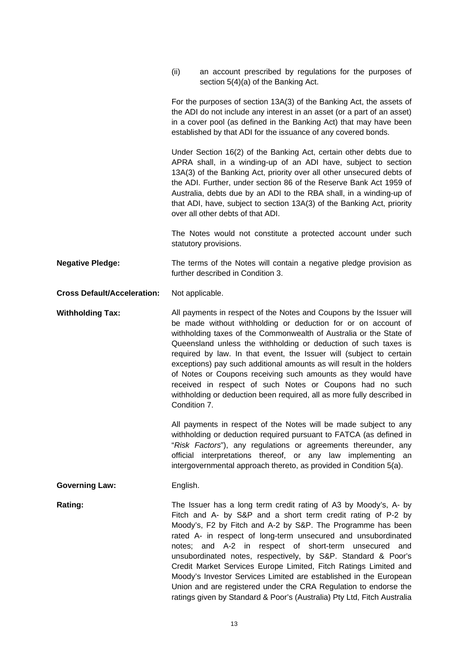(ii) an account prescribed by regulations for the purposes of section 5(4)(a) of the Banking Act.

For the purposes of section 13A(3) of the Banking Act, the assets of the ADI do not include any interest in an asset (or a part of an asset) in a cover pool (as defined in the Banking Act) that may have been established by that ADI for the issuance of any covered bonds.

Under Section 16(2) of the Banking Act, certain other debts due to APRA shall, in a winding-up of an ADI have, subject to section 13A(3) of the Banking Act, priority over all other unsecured debts of the ADI. Further, under section 86 of the Reserve Bank Act 1959 of Australia, debts due by an ADI to the RBA shall, in a winding-up of that ADI, have, subject to section 13A(3) of the Banking Act, priority over all other debts of that ADI.

The Notes would not constitute a protected account under such statutory provisions.

**Negative Pledge:** The terms of the Notes will contain a negative pledge provision as further described in Condition 3.

**Cross Default/Acceleration:** Not applicable.

**Withholding Tax:** All payments in respect of the Notes and Coupons by the Issuer will be made without withholding or deduction for or on account of withholding taxes of the Commonwealth of Australia or the State of Queensland unless the withholding or deduction of such taxes is required by law. In that event, the Issuer will (subject to certain exceptions) pay such additional amounts as will result in the holders of Notes or Coupons receiving such amounts as they would have received in respect of such Notes or Coupons had no such withholding or deduction been required, all as more fully described in Condition 7.

> All payments in respect of the Notes will be made subject to any withholding or deduction required pursuant to FATCA (as defined in "*Risk Factors*"), any regulations or agreements thereunder, any official interpretations thereof, or any law implementing an intergovernmental approach thereto, as provided in Condition 5(a).

#### **Governing Law:** English.

**Rating: The Issuer has a long term credit rating of A3 by Moody's, A- by Rating:** Fitch and A- by S&P and a short term credit rating of P-2 by Moody's, F2 by Fitch and A-2 by S&P. The Programme has been rated A- in respect of long-term unsecured and unsubordinated notes; and A-2 in respect of short-term unsecured and unsubordinated notes, respectively, by S&P. Standard & Poor's Credit Market Services Europe Limited, Fitch Ratings Limited and Moody's Investor Services Limited are established in the European Union and are registered under the CRA Regulation to endorse the ratings given by Standard & Poor's (Australia) Pty Ltd, Fitch Australia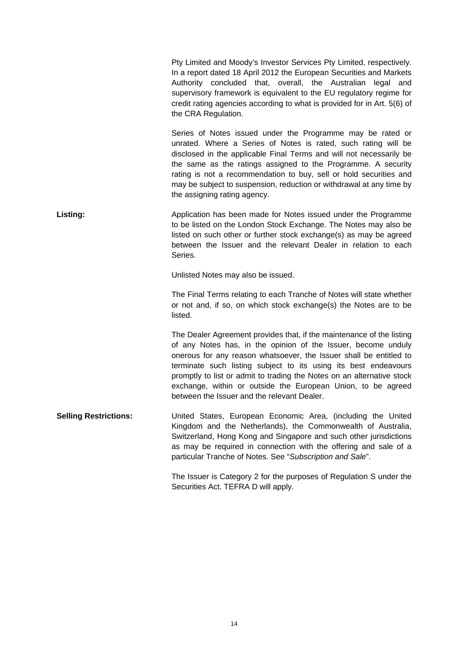Pty Limited and Moody's Investor Services Pty Limited, respectively. In a report dated 18 April 2012 the European Securities and Markets Authority concluded that, overall, the Australian legal and supervisory framework is equivalent to the EU regulatory regime for credit rating agencies according to what is provided for in Art. 5(6) of the CRA Regulation. Series of Notes issued under the Programme may be rated or unrated. Where a Series of Notes is rated, such rating will be disclosed in the applicable Final Terms and will not necessarily be the same as the ratings assigned to the Programme. A security rating is not a recommendation to buy, sell or hold securities and may be subject to suspension, reduction or withdrawal at any time by the assigning rating agency. **Listing:** Application has been made for Notes issued under the Programme to be listed on the London Stock Exchange. The Notes may also be listed on such other or further stock exchange(s) as may be agreed between the Issuer and the relevant Dealer in relation to each Series. Unlisted Notes may also be issued. The Final Terms relating to each Tranche of Notes will state whether or not and, if so, on which stock exchange(s) the Notes are to be listed. The Dealer Agreement provides that, if the maintenance of the listing of any Notes has, in the opinion of the Issuer, become unduly onerous for any reason whatsoever, the Issuer shall be entitled to terminate such listing subject to its using its best endeavours promptly to list or admit to trading the Notes on an alternative stock exchange, within or outside the European Union, to be agreed between the Issuer and the relevant Dealer. **Selling Restrictions:** United States, European Economic Area, (including the United Kingdom and the Netherlands), the Commonwealth of Australia, Switzerland, Hong Kong and Singapore and such other jurisdictions as may be required in connection with the offering and sale of a particular Tranche of Notes. See "*Subscription and Sale*". The Issuer is Category 2 for the purposes of Regulation S under the

Securities Act. TEFRA D will apply.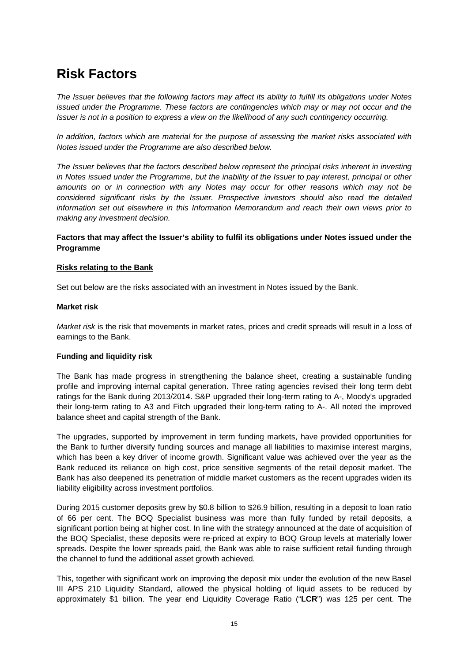### **Risk Factors**

*The Issuer believes that the following factors may affect its ability to fulfill its obligations under Notes issued under the Programme. These factors are contingencies which may or may not occur and the Issuer is not in a position to express a view on the likelihood of any such contingency occurring.* 

*In addition, factors which are material for the purpose of assessing the market risks associated with Notes issued under the Programme are also described below.* 

*The Issuer believes that the factors described below represent the principal risks inherent in investing in Notes issued under the Programme, but the inability of the Issuer to pay interest, principal or other amounts on or in connection with any Notes may occur for other reasons which may not be considered significant risks by the Issuer. Prospective investors should also read the detailed information set out elsewhere in this Information Memorandum and reach their own views prior to making any investment decision.* 

#### **Factors that may affect the Issuer's ability to fulfil its obligations under Notes issued under the Programme**

#### **Risks relating to the Bank**

Set out below are the risks associated with an investment in Notes issued by the Bank.

#### **Market risk**

*Market risk* is the risk that movements in market rates, prices and credit spreads will result in a loss of earnings to the Bank.

#### **Funding and liquidity risk**

The Bank has made progress in strengthening the balance sheet, creating a sustainable funding profile and improving internal capital generation. Three rating agencies revised their long term debt ratings for the Bank during 2013/2014. S&P upgraded their long-term rating to A-, Moody's upgraded their long-term rating to A3 and Fitch upgraded their long-term rating to A-. All noted the improved balance sheet and capital strength of the Bank.

The upgrades, supported by improvement in term funding markets, have provided opportunities for the Bank to further diversify funding sources and manage all liabilities to maximise interest margins, which has been a key driver of income growth. Significant value was achieved over the year as the Bank reduced its reliance on high cost, price sensitive segments of the retail deposit market. The Bank has also deepened its penetration of middle market customers as the recent upgrades widen its liability eligibility across investment portfolios.

During 2015 customer deposits grew by \$0.8 billion to \$26.9 billion, resulting in a deposit to loan ratio of 66 per cent. The BOQ Specialist business was more than fully funded by retail deposits, a significant portion being at higher cost. In line with the strategy announced at the date of acquisition of the BOQ Specialist, these deposits were re-priced at expiry to BOQ Group levels at materially lower spreads. Despite the lower spreads paid, the Bank was able to raise sufficient retail funding through the channel to fund the additional asset growth achieved.

This, together with significant work on improving the deposit mix under the evolution of the new Basel III APS 210 Liquidity Standard, allowed the physical holding of liquid assets to be reduced by approximately \$1 billion. The year end Liquidity Coverage Ratio ("**LCR**") was 125 per cent. The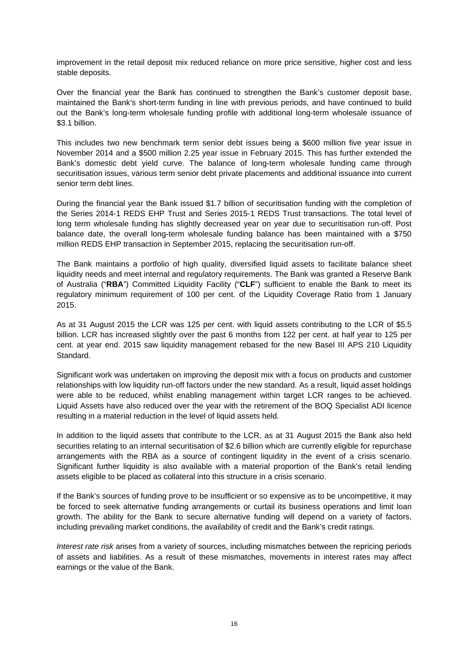improvement in the retail deposit mix reduced reliance on more price sensitive, higher cost and less stable deposits.

Over the financial year the Bank has continued to strengthen the Bank's customer deposit base, maintained the Bank's short-term funding in line with previous periods, and have continued to build out the Bank's long-term wholesale funding profile with additional long-term wholesale issuance of \$3.1 billion.

This includes two new benchmark term senior debt issues being a \$600 million five year issue in November 2014 and a \$500 million 2.25 year issue in February 2015. This has further extended the Bank's domestic debt yield curve. The balance of long-term wholesale funding came through securitisation issues, various term senior debt private placements and additional issuance into current senior term debt lines.

During the financial year the Bank issued \$1.7 billion of securitisation funding with the completion of the Series 2014-1 REDS EHP Trust and Series 2015-1 REDS Trust transactions. The total level of long term wholesale funding has slightly decreased year on year due to securitisation run-off. Post balance date, the overall long-term wholesale funding balance has been maintained with a \$750 million REDS EHP transaction in September 2015, replacing the securitisation run-off.

The Bank maintains a portfolio of high quality, diversified liquid assets to facilitate balance sheet liquidity needs and meet internal and regulatory requirements. The Bank was granted a Reserve Bank of Australia ("**RBA**") Committed Liquidity Facility ("**CLF**") sufficient to enable the Bank to meet its regulatory minimum requirement of 100 per cent. of the Liquidity Coverage Ratio from 1 January 2015.

As at 31 August 2015 the LCR was 125 per cent. with liquid assets contributing to the LCR of \$5.5 billion. LCR has increased slightly over the past 6 months from 122 per cent. at half year to 125 per cent. at year end. 2015 saw liquidity management rebased for the new Basel III APS 210 Liquidity Standard.

Significant work was undertaken on improving the deposit mix with a focus on products and customer relationships with low liquidity run-off factors under the new standard. As a result, liquid asset holdings were able to be reduced, whilst enabling management within target LCR ranges to be achieved. Liquid Assets have also reduced over the year with the retirement of the BOQ Specialist ADI licence resulting in a material reduction in the level of liquid assets held.

In addition to the liquid assets that contribute to the LCR, as at 31 August 2015 the Bank also held securities relating to an internal securitisation of \$2.6 billion which are currently eligible for repurchase arrangements with the RBA as a source of contingent liquidity in the event of a crisis scenario. Significant further liquidity is also available with a material proportion of the Bank's retail lending assets eligible to be placed as collateral into this structure in a crisis scenario.

If the Bank's sources of funding prove to be insufficient or so expensive as to be uncompetitive, it may be forced to seek alternative funding arrangements or curtail its business operations and limit loan growth. The ability for the Bank to secure alternative funding will depend on a variety of factors, including prevailing market conditions, the availability of credit and the Bank's credit ratings.

*Interest rate risk* arises from a variety of sources, including mismatches between the repricing periods of assets and liabilities. As a result of these mismatches, movements in interest rates may affect earnings or the value of the Bank.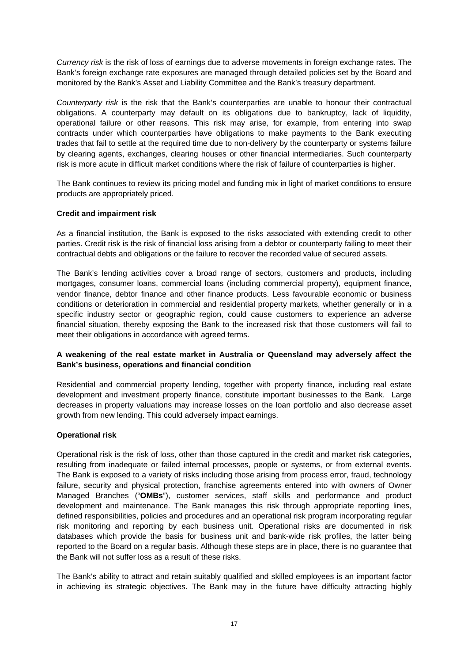*Currency risk* is the risk of loss of earnings due to adverse movements in foreign exchange rates. The Bank's foreign exchange rate exposures are managed through detailed policies set by the Board and monitored by the Bank's Asset and Liability Committee and the Bank's treasury department.

*Counterparty risk* is the risk that the Bank's counterparties are unable to honour their contractual obligations. A counterparty may default on its obligations due to bankruptcy, lack of liquidity, operational failure or other reasons. This risk may arise, for example, from entering into swap contracts under which counterparties have obligations to make payments to the Bank executing trades that fail to settle at the required time due to non-delivery by the counterparty or systems failure by clearing agents, exchanges, clearing houses or other financial intermediaries. Such counterparty risk is more acute in difficult market conditions where the risk of failure of counterparties is higher.

The Bank continues to review its pricing model and funding mix in light of market conditions to ensure products are appropriately priced.

#### **Credit and impairment risk**

As a financial institution, the Bank is exposed to the risks associated with extending credit to other parties. Credit risk is the risk of financial loss arising from a debtor or counterparty failing to meet their contractual debts and obligations or the failure to recover the recorded value of secured assets.

The Bank's lending activities cover a broad range of sectors, customers and products, including mortgages, consumer loans, commercial loans (including commercial property), equipment finance, vendor finance, debtor finance and other finance products. Less favourable economic or business conditions or deterioration in commercial and residential property markets, whether generally or in a specific industry sector or geographic region, could cause customers to experience an adverse financial situation, thereby exposing the Bank to the increased risk that those customers will fail to meet their obligations in accordance with agreed terms.

#### **A weakening of the real estate market in Australia or Queensland may adversely affect the Bank's business, operations and financial condition**

Residential and commercial property lending, together with property finance, including real estate development and investment property finance, constitute important businesses to the Bank. Large decreases in property valuations may increase losses on the loan portfolio and also decrease asset growth from new lending. This could adversely impact earnings.

#### **Operational risk**

Operational risk is the risk of loss, other than those captured in the credit and market risk categories, resulting from inadequate or failed internal processes, people or systems, or from external events. The Bank is exposed to a variety of risks including those arising from process error, fraud, technology failure, security and physical protection, franchise agreements entered into with owners of Owner Managed Branches ("**OMBs**"), customer services, staff skills and performance and product development and maintenance. The Bank manages this risk through appropriate reporting lines, defined responsibilities, policies and procedures and an operational risk program incorporating regular risk monitoring and reporting by each business unit. Operational risks are documented in risk databases which provide the basis for business unit and bank-wide risk profiles, the latter being reported to the Board on a regular basis. Although these steps are in place, there is no guarantee that the Bank will not suffer loss as a result of these risks.

The Bank's ability to attract and retain suitably qualified and skilled employees is an important factor in achieving its strategic objectives. The Bank may in the future have difficulty attracting highly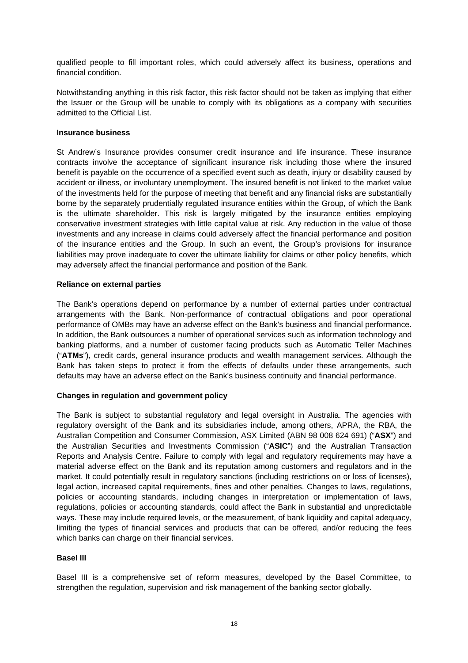qualified people to fill important roles, which could adversely affect its business, operations and financial condition.

Notwithstanding anything in this risk factor, this risk factor should not be taken as implying that either the Issuer or the Group will be unable to comply with its obligations as a company with securities admitted to the Official List.

#### **Insurance business**

St Andrew's Insurance provides consumer credit insurance and life insurance. These insurance contracts involve the acceptance of significant insurance risk including those where the insured benefit is payable on the occurrence of a specified event such as death, injury or disability caused by accident or illness, or involuntary unemployment. The insured benefit is not linked to the market value of the investments held for the purpose of meeting that benefit and any financial risks are substantially borne by the separately prudentially regulated insurance entities within the Group, of which the Bank is the ultimate shareholder. This risk is largely mitigated by the insurance entities employing conservative investment strategies with little capital value at risk. Any reduction in the value of those investments and any increase in claims could adversely affect the financial performance and position of the insurance entities and the Group. In such an event, the Group's provisions for insurance liabilities may prove inadequate to cover the ultimate liability for claims or other policy benefits, which may adversely affect the financial performance and position of the Bank.

#### **Reliance on external parties**

The Bank's operations depend on performance by a number of external parties under contractual arrangements with the Bank. Non-performance of contractual obligations and poor operational performance of OMBs may have an adverse effect on the Bank's business and financial performance. In addition, the Bank outsources a number of operational services such as information technology and banking platforms, and a number of customer facing products such as Automatic Teller Machines ("**ATMs**"), credit cards, general insurance products and wealth management services. Although the Bank has taken steps to protect it from the effects of defaults under these arrangements, such defaults may have an adverse effect on the Bank's business continuity and financial performance.

#### **Changes in regulation and government policy**

The Bank is subject to substantial regulatory and legal oversight in Australia. The agencies with regulatory oversight of the Bank and its subsidiaries include, among others, APRA, the RBA, the Australian Competition and Consumer Commission, ASX Limited (ABN 98 008 624 691) ("**ASX**") and the Australian Securities and Investments Commission ("**ASIC**") and the Australian Transaction Reports and Analysis Centre. Failure to comply with legal and regulatory requirements may have a material adverse effect on the Bank and its reputation among customers and regulators and in the market. It could potentially result in regulatory sanctions (including restrictions on or loss of licenses), legal action, increased capital requirements, fines and other penalties. Changes to laws, regulations, policies or accounting standards, including changes in interpretation or implementation of laws, regulations, policies or accounting standards, could affect the Bank in substantial and unpredictable ways. These may include required levels, or the measurement, of bank liquidity and capital adequacy, limiting the types of financial services and products that can be offered, and/or reducing the fees which banks can charge on their financial services.

#### **Basel III**

Basel III is a comprehensive set of reform measures, developed by the Basel Committee, to strengthen the regulation, supervision and risk management of the banking sector globally.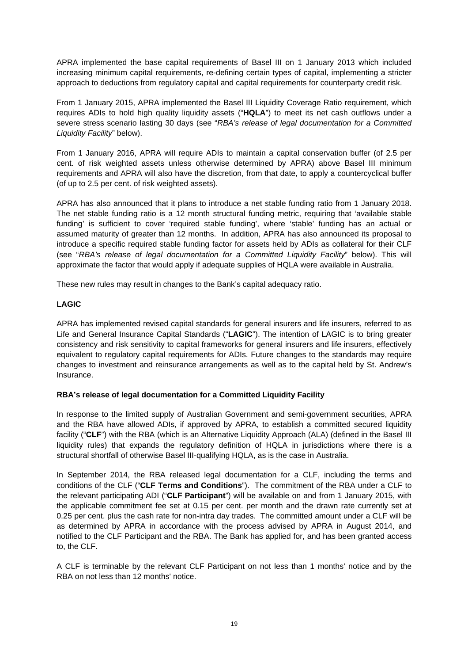APRA implemented the base capital requirements of Basel III on 1 January 2013 which included increasing minimum capital requirements, re-defining certain types of capital, implementing a stricter approach to deductions from regulatory capital and capital requirements for counterparty credit risk.

From 1 January 2015, APRA implemented the Basel III Liquidity Coverage Ratio requirement, which requires ADIs to hold high quality liquidity assets ("**HQLA**") to meet its net cash outflows under a severe stress scenario lasting 30 days (see "*RBA's release of legal documentation for a Committed Liquidity Facility*" below).

From 1 January 2016, APRA will require ADIs to maintain a capital conservation buffer (of 2.5 per cent. of risk weighted assets unless otherwise determined by APRA) above Basel III minimum requirements and APRA will also have the discretion, from that date, to apply a countercyclical buffer (of up to 2.5 per cent. of risk weighted assets).

APRA has also announced that it plans to introduce a net stable funding ratio from 1 January 2018. The net stable funding ratio is a 12 month structural funding metric, requiring that 'available stable funding' is sufficient to cover 'required stable funding', where 'stable' funding has an actual or assumed maturity of greater than 12 months. In addition, APRA has also announced its proposal to introduce a specific required stable funding factor for assets held by ADIs as collateral for their CLF (see "*RBA's release of legal documentation for a Committed Liquidity Facility*" below). This will approximate the factor that would apply if adequate supplies of HQLA were available in Australia.

These new rules may result in changes to the Bank's capital adequacy ratio.

#### **LAGIC**

APRA has implemented revised capital standards for general insurers and life insurers, referred to as Life and General Insurance Capital Standards ("**LAGIC**"). The intention of LAGIC is to bring greater consistency and risk sensitivity to capital frameworks for general insurers and life insurers, effectively equivalent to regulatory capital requirements for ADIs. Future changes to the standards may require changes to investment and reinsurance arrangements as well as to the capital held by St. Andrew's Insurance.

#### **RBA's release of legal documentation for a Committed Liquidity Facility**

In response to the limited supply of Australian Government and semi-government securities, APRA and the RBA have allowed ADIs, if approved by APRA, to establish a committed secured liquidity facility ("**CLF**") with the RBA (which is an Alternative Liquidity Approach (ALA) (defined in the Basel III liquidity rules) that expands the regulatory definition of HQLA in jurisdictions where there is a structural shortfall of otherwise Basel III-qualifying HQLA, as is the case in Australia.

In September 2014, the RBA released legal documentation for a CLF, including the terms and conditions of the CLF ("**CLF Terms and Conditions**"). The commitment of the RBA under a CLF to the relevant participating ADI ("**CLF Participant**") will be available on and from 1 January 2015, with the applicable commitment fee set at 0.15 per cent. per month and the drawn rate currently set at 0.25 per cent. plus the cash rate for non-intra day trades. The committed amount under a CLF will be as determined by APRA in accordance with the process advised by APRA in August 2014, and notified to the CLF Participant and the RBA. The Bank has applied for, and has been granted access to, the CLF.

A CLF is terminable by the relevant CLF Participant on not less than 1 months' notice and by the RBA on not less than 12 months' notice.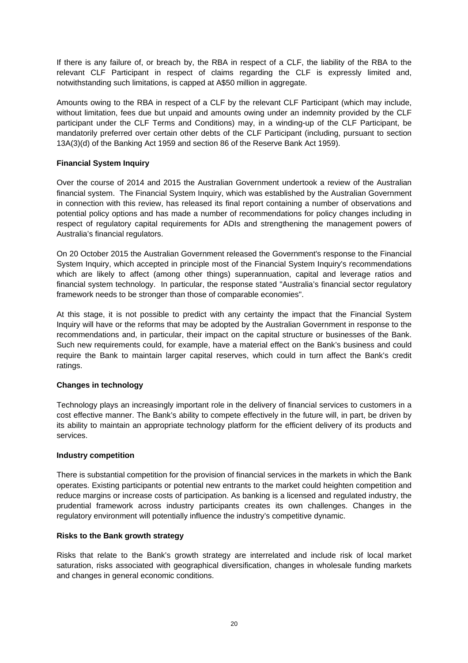If there is any failure of, or breach by, the RBA in respect of a CLF, the liability of the RBA to the relevant CLF Participant in respect of claims regarding the CLF is expressly limited and, notwithstanding such limitations, is capped at A\$50 million in aggregate.

Amounts owing to the RBA in respect of a CLF by the relevant CLF Participant (which may include, without limitation, fees due but unpaid and amounts owing under an indemnity provided by the CLF participant under the CLF Terms and Conditions) may, in a winding-up of the CLF Participant, be mandatorily preferred over certain other debts of the CLF Participant (including, pursuant to section 13A(3)(d) of the Banking Act 1959 and section 86 of the Reserve Bank Act 1959).

#### **Financial System Inquiry**

Over the course of 2014 and 2015 the Australian Government undertook a review of the Australian financial system. The Financial System Inquiry, which was established by the Australian Government in connection with this review, has released its final report containing a number of observations and potential policy options and has made a number of recommendations for policy changes including in respect of regulatory capital requirements for ADIs and strengthening the management powers of Australia's financial regulators.

On 20 October 2015 the Australian Government released the Government's response to the Financial System Inquiry, which accepted in principle most of the Financial System Inquiry's recommendations which are likely to affect (among other things) superannuation, capital and leverage ratios and financial system technology. In particular, the response stated "Australia's financial sector regulatory framework needs to be stronger than those of comparable economies".

At this stage, it is not possible to predict with any certainty the impact that the Financial System Inquiry will have or the reforms that may be adopted by the Australian Government in response to the recommendations and, in particular, their impact on the capital structure or businesses of the Bank. Such new requirements could, for example, have a material effect on the Bank's business and could require the Bank to maintain larger capital reserves, which could in turn affect the Bank's credit ratings.

#### **Changes in technology**

Technology plays an increasingly important role in the delivery of financial services to customers in a cost effective manner. The Bank's ability to compete effectively in the future will, in part, be driven by its ability to maintain an appropriate technology platform for the efficient delivery of its products and services.

#### **Industry competition**

There is substantial competition for the provision of financial services in the markets in which the Bank operates. Existing participants or potential new entrants to the market could heighten competition and reduce margins or increase costs of participation. As banking is a licensed and regulated industry, the prudential framework across industry participants creates its own challenges. Changes in the regulatory environment will potentially influence the industry's competitive dynamic.

#### **Risks to the Bank growth strategy**

Risks that relate to the Bank's growth strategy are interrelated and include risk of local market saturation, risks associated with geographical diversification, changes in wholesale funding markets and changes in general economic conditions.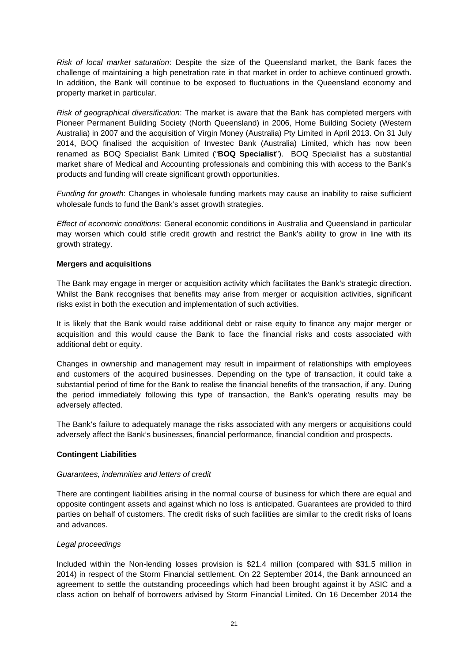*Risk of local market saturation*: Despite the size of the Queensland market, the Bank faces the challenge of maintaining a high penetration rate in that market in order to achieve continued growth. In addition, the Bank will continue to be exposed to fluctuations in the Queensland economy and property market in particular.

*Risk of geographical diversification*: The market is aware that the Bank has completed mergers with Pioneer Permanent Building Society (North Queensland) in 2006, Home Building Society (Western Australia) in 2007 and the acquisition of Virgin Money (Australia) Pty Limited in April 2013. On 31 July 2014, BOQ finalised the acquisition of Investec Bank (Australia) Limited, which has now been renamed as BOQ Specialist Bank Limited ("**BOQ Specialist**"). BOQ Specialist has a substantial market share of Medical and Accounting professionals and combining this with access to the Bank's products and funding will create significant growth opportunities.

*Funding for growth*: Changes in wholesale funding markets may cause an inability to raise sufficient wholesale funds to fund the Bank's asset growth strategies.

*Effect of economic conditions*: General economic conditions in Australia and Queensland in particular may worsen which could stifle credit growth and restrict the Bank's ability to grow in line with its growth strategy.

#### **Mergers and acquisitions**

The Bank may engage in merger or acquisition activity which facilitates the Bank's strategic direction. Whilst the Bank recognises that benefits may arise from merger or acquisition activities, significant risks exist in both the execution and implementation of such activities.

It is likely that the Bank would raise additional debt or raise equity to finance any major merger or acquisition and this would cause the Bank to face the financial risks and costs associated with additional debt or equity.

Changes in ownership and management may result in impairment of relationships with employees and customers of the acquired businesses. Depending on the type of transaction, it could take a substantial period of time for the Bank to realise the financial benefits of the transaction, if any. During the period immediately following this type of transaction, the Bank's operating results may be adversely affected.

The Bank's failure to adequately manage the risks associated with any mergers or acquisitions could adversely affect the Bank's businesses, financial performance, financial condition and prospects.

#### **Contingent Liabilities**

#### *Guarantees, indemnities and letters of credit*

There are contingent liabilities arising in the normal course of business for which there are equal and opposite contingent assets and against which no loss is anticipated. Guarantees are provided to third parties on behalf of customers. The credit risks of such facilities are similar to the credit risks of loans and advances.

#### *Legal proceedings*

Included within the Non-lending losses provision is \$21.4 million (compared with \$31.5 million in 2014) in respect of the Storm Financial settlement. On 22 September 2014, the Bank announced an agreement to settle the outstanding proceedings which had been brought against it by ASIC and a class action on behalf of borrowers advised by Storm Financial Limited. On 16 December 2014 the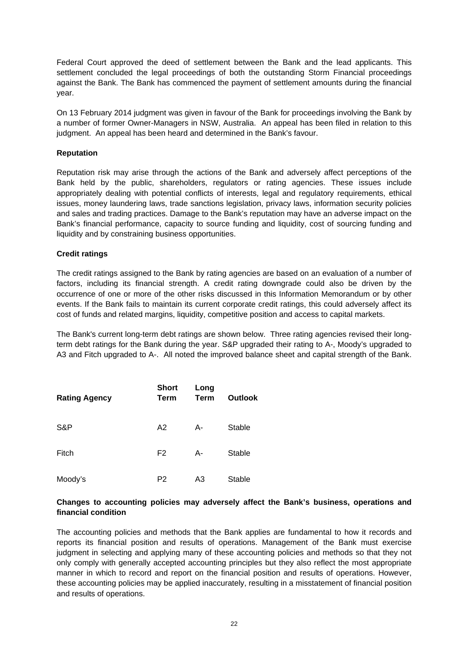Federal Court approved the deed of settlement between the Bank and the lead applicants. This settlement concluded the legal proceedings of both the outstanding Storm Financial proceedings against the Bank. The Bank has commenced the payment of settlement amounts during the financial year.

On 13 February 2014 judgment was given in favour of the Bank for proceedings involving the Bank by a number of former Owner-Managers in NSW, Australia. An appeal has been filed in relation to this judgment. An appeal has been heard and determined in the Bank's favour.

#### **Reputation**

Reputation risk may arise through the actions of the Bank and adversely affect perceptions of the Bank held by the public, shareholders, regulators or rating agencies. These issues include appropriately dealing with potential conflicts of interests, legal and regulatory requirements, ethical issues, money laundering laws, trade sanctions legislation, privacy laws, information security policies and sales and trading practices. Damage to the Bank's reputation may have an adverse impact on the Bank's financial performance, capacity to source funding and liquidity, cost of sourcing funding and liquidity and by constraining business opportunities.

#### **Credit ratings**

The credit ratings assigned to the Bank by rating agencies are based on an evaluation of a number of factors, including its financial strength. A credit rating downgrade could also be driven by the occurrence of one or more of the other risks discussed in this Information Memorandum or by other events. If the Bank fails to maintain its current corporate credit ratings, this could adversely affect its cost of funds and related margins, liquidity, competitive position and access to capital markets.

The Bank's current long-term debt ratings are shown below. Three rating agencies revised their longterm debt ratings for the Bank during the year. S&P upgraded their rating to A-, Moody's upgraded to A3 and Fitch upgraded to A-. All noted the improved balance sheet and capital strength of the Bank.

| <b>Rating Agency</b> | <b>Short</b><br><b>Term</b> | Long<br><b>Term</b> | <b>Outlook</b> |
|----------------------|-----------------------------|---------------------|----------------|
| S&P                  | A <sub>2</sub>              | A-                  | Stable         |
| Fitch                | F <sub>2</sub>              | A-                  | Stable         |
| Moody's              | P <sub>2</sub>              | A3                  | Stable         |

#### **Changes to accounting policies may adversely affect the Bank's business, operations and financial condition**

The accounting policies and methods that the Bank applies are fundamental to how it records and reports its financial position and results of operations. Management of the Bank must exercise judgment in selecting and applying many of these accounting policies and methods so that they not only comply with generally accepted accounting principles but they also reflect the most appropriate manner in which to record and report on the financial position and results of operations. However, these accounting policies may be applied inaccurately, resulting in a misstatement of financial position and results of operations.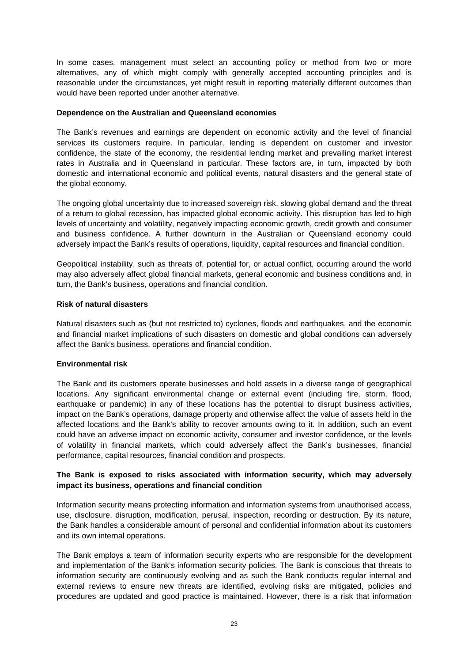In some cases, management must select an accounting policy or method from two or more alternatives, any of which might comply with generally accepted accounting principles and is reasonable under the circumstances, yet might result in reporting materially different outcomes than would have been reported under another alternative.

#### **Dependence on the Australian and Queensland economies**

The Bank's revenues and earnings are dependent on economic activity and the level of financial services its customers require. In particular, lending is dependent on customer and investor confidence, the state of the economy, the residential lending market and prevailing market interest rates in Australia and in Queensland in particular. These factors are, in turn, impacted by both domestic and international economic and political events, natural disasters and the general state of the global economy.

The ongoing global uncertainty due to increased sovereign risk, slowing global demand and the threat of a return to global recession, has impacted global economic activity. This disruption has led to high levels of uncertainty and volatility, negatively impacting economic growth, credit growth and consumer and business confidence. A further downturn in the Australian or Queensland economy could adversely impact the Bank's results of operations, liquidity, capital resources and financial condition.

Geopolitical instability, such as threats of, potential for, or actual conflict, occurring around the world may also adversely affect global financial markets, general economic and business conditions and, in turn, the Bank's business, operations and financial condition.

#### **Risk of natural disasters**

Natural disasters such as (but not restricted to) cyclones, floods and earthquakes, and the economic and financial market implications of such disasters on domestic and global conditions can adversely affect the Bank's business, operations and financial condition.

#### **Environmental risk**

The Bank and its customers operate businesses and hold assets in a diverse range of geographical locations. Any significant environmental change or external event (including fire, storm, flood, earthquake or pandemic) in any of these locations has the potential to disrupt business activities, impact on the Bank's operations, damage property and otherwise affect the value of assets held in the affected locations and the Bank's ability to recover amounts owing to it. In addition, such an event could have an adverse impact on economic activity, consumer and investor confidence, or the levels of volatility in financial markets, which could adversely affect the Bank's businesses, financial performance, capital resources, financial condition and prospects.

#### **The Bank is exposed to risks associated with information security, which may adversely impact its business, operations and financial condition**

Information security means protecting information and information systems from unauthorised access, use, disclosure, disruption, modification, perusal, inspection, recording or destruction. By its nature, the Bank handles a considerable amount of personal and confidential information about its customers and its own internal operations.

The Bank employs a team of information security experts who are responsible for the development and implementation of the Bank's information security policies. The Bank is conscious that threats to information security are continuously evolving and as such the Bank conducts regular internal and external reviews to ensure new threats are identified, evolving risks are mitigated, policies and procedures are updated and good practice is maintained. However, there is a risk that information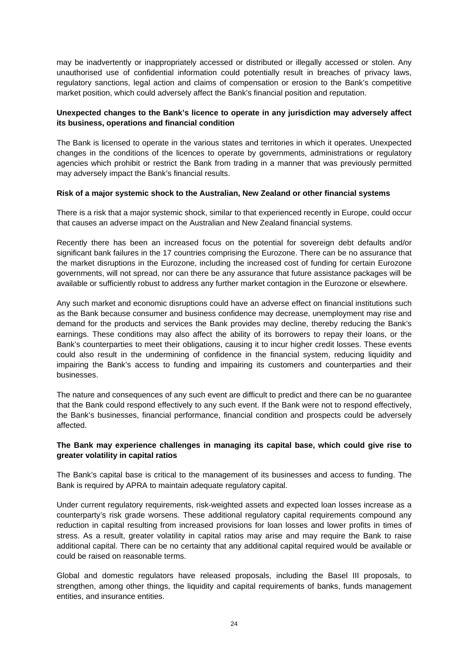may be inadvertently or inappropriately accessed or distributed or illegally accessed or stolen. Any unauthorised use of confidential information could potentially result in breaches of privacy laws, regulatory sanctions, legal action and claims of compensation or erosion to the Bank's competitive market position, which could adversely affect the Bank's financial position and reputation.

#### **Unexpected changes to the Bank's licence to operate in any jurisdiction may adversely affect its business, operations and financial condition**

The Bank is licensed to operate in the various states and territories in which it operates. Unexpected changes in the conditions of the licences to operate by governments, administrations or regulatory agencies which prohibit or restrict the Bank from trading in a manner that was previously permitted may adversely impact the Bank's financial results.

#### **Risk of a major systemic shock to the Australian, New Zealand or other financial systems**

There is a risk that a major systemic shock, similar to that experienced recently in Europe, could occur that causes an adverse impact on the Australian and New Zealand financial systems.

Recently there has been an increased focus on the potential for sovereign debt defaults and/or significant bank failures in the 17 countries comprising the Eurozone. There can be no assurance that the market disruptions in the Eurozone, including the increased cost of funding for certain Eurozone governments, will not spread, nor can there be any assurance that future assistance packages will be available or sufficiently robust to address any further market contagion in the Eurozone or elsewhere.

Any such market and economic disruptions could have an adverse effect on financial institutions such as the Bank because consumer and business confidence may decrease, unemployment may rise and demand for the products and services the Bank provides may decline, thereby reducing the Bank's earnings. These conditions may also affect the ability of its borrowers to repay their loans, or the Bank's counterparties to meet their obligations, causing it to incur higher credit losses. These events could also result in the undermining of confidence in the financial system, reducing liquidity and impairing the Bank's access to funding and impairing its customers and counterparties and their businesses.

The nature and consequences of any such event are difficult to predict and there can be no guarantee that the Bank could respond effectively to any such event. If the Bank were not to respond effectively, the Bank's businesses, financial performance, financial condition and prospects could be adversely affected.

#### **The Bank may experience challenges in managing its capital base, which could give rise to greater volatility in capital ratios**

The Bank's capital base is critical to the management of its businesses and access to funding. The Bank is required by APRA to maintain adequate regulatory capital.

Under current regulatory requirements, risk-weighted assets and expected loan losses increase as a counterparty's risk grade worsens. These additional regulatory capital requirements compound any reduction in capital resulting from increased provisions for loan losses and lower profits in times of stress. As a result, greater volatility in capital ratios may arise and may require the Bank to raise additional capital. There can be no certainty that any additional capital required would be available or could be raised on reasonable terms.

Global and domestic regulators have released proposals, including the Basel III proposals, to strengthen, among other things, the liquidity and capital requirements of banks, funds management entities, and insurance entities.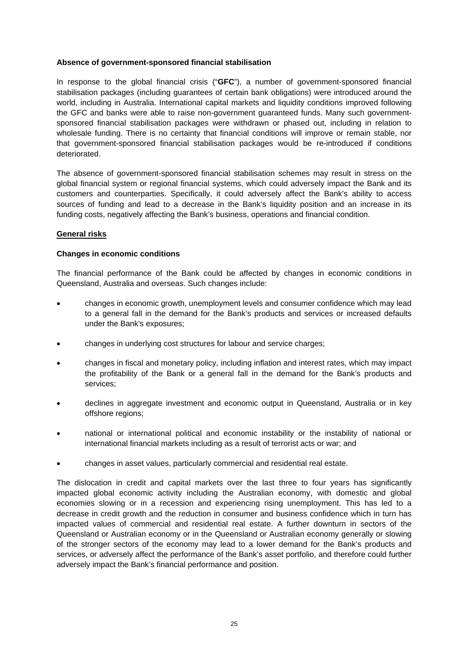#### **Absence of government-sponsored financial stabilisation**

In response to the global financial crisis ("**GFC**"), a number of government-sponsored financial stabilisation packages (including guarantees of certain bank obligations) were introduced around the world, including in Australia. International capital markets and liquidity conditions improved following the GFC and banks were able to raise non-government guaranteed funds. Many such governmentsponsored financial stabilisation packages were withdrawn or phased out, including in relation to wholesale funding. There is no certainty that financial conditions will improve or remain stable, nor that government-sponsored financial stabilisation packages would be re-introduced if conditions deteriorated.

The absence of government-sponsored financial stabilisation schemes may result in stress on the global financial system or regional financial systems, which could adversely impact the Bank and its customers and counterparties. Specifically, it could adversely affect the Bank's ability to access sources of funding and lead to a decrease in the Bank's liquidity position and an increase in its funding costs, negatively affecting the Bank's business, operations and financial condition.

#### **General risks**

#### **Changes in economic conditions**

The financial performance of the Bank could be affected by changes in economic conditions in Queensland, Australia and overseas. Such changes include:

- changes in economic growth, unemployment levels and consumer confidence which may lead to a general fall in the demand for the Bank's products and services or increased defaults under the Bank's exposures;
- changes in underlying cost structures for labour and service charges;
- changes in fiscal and monetary policy, including inflation and interest rates, which may impact the profitability of the Bank or a general fall in the demand for the Bank's products and services;
- declines in aggregate investment and economic output in Queensland, Australia or in key offshore regions;
- national or international political and economic instability or the instability of national or international financial markets including as a result of terrorist acts or war; and
- changes in asset values, particularly commercial and residential real estate.

The dislocation in credit and capital markets over the last three to four years has significantly impacted global economic activity including the Australian economy, with domestic and global economies slowing or in a recession and experiencing rising unemployment. This has led to a decrease in credit growth and the reduction in consumer and business confidence which in turn has impacted values of commercial and residential real estate. A further downturn in sectors of the Queensland or Australian economy or in the Queensland or Australian economy generally or slowing of the stronger sectors of the economy may lead to a lower demand for the Bank's products and services, or adversely affect the performance of the Bank's asset portfolio, and therefore could further adversely impact the Bank's financial performance and position.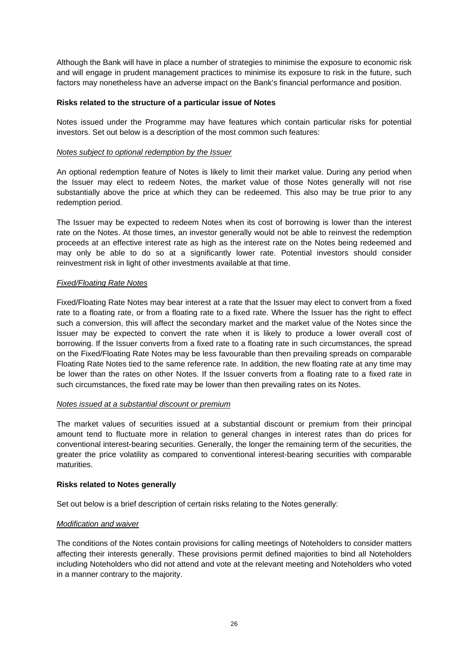Although the Bank will have in place a number of strategies to minimise the exposure to economic risk and will engage in prudent management practices to minimise its exposure to risk in the future, such factors may nonetheless have an adverse impact on the Bank's financial performance and position.

#### **Risks related to the structure of a particular issue of Notes**

Notes issued under the Programme may have features which contain particular risks for potential investors. Set out below is a description of the most common such features:

#### *Notes subject to optional redemption by the Issuer*

An optional redemption feature of Notes is likely to limit their market value. During any period when the Issuer may elect to redeem Notes, the market value of those Notes generally will not rise substantially above the price at which they can be redeemed. This also may be true prior to any redemption period.

The Issuer may be expected to redeem Notes when its cost of borrowing is lower than the interest rate on the Notes. At those times, an investor generally would not be able to reinvest the redemption proceeds at an effective interest rate as high as the interest rate on the Notes being redeemed and may only be able to do so at a significantly lower rate. Potential investors should consider reinvestment risk in light of other investments available at that time.

#### *Fixed/Floating Rate Notes*

Fixed/Floating Rate Notes may bear interest at a rate that the Issuer may elect to convert from a fixed rate to a floating rate, or from a floating rate to a fixed rate. Where the Issuer has the right to effect such a conversion, this will affect the secondary market and the market value of the Notes since the Issuer may be expected to convert the rate when it is likely to produce a lower overall cost of borrowing. If the Issuer converts from a fixed rate to a floating rate in such circumstances, the spread on the Fixed/Floating Rate Notes may be less favourable than then prevailing spreads on comparable Floating Rate Notes tied to the same reference rate. In addition, the new floating rate at any time may be lower than the rates on other Notes. If the Issuer converts from a floating rate to a fixed rate in such circumstances, the fixed rate may be lower than then prevailing rates on its Notes.

#### *Notes issued at a substantial discount or premium*

The market values of securities issued at a substantial discount or premium from their principal amount tend to fluctuate more in relation to general changes in interest rates than do prices for conventional interest-bearing securities. Generally, the longer the remaining term of the securities, the greater the price volatility as compared to conventional interest-bearing securities with comparable maturities.

#### **Risks related to Notes generally**

Set out below is a brief description of certain risks relating to the Notes generally:

#### *Modification and waiver*

The conditions of the Notes contain provisions for calling meetings of Noteholders to consider matters affecting their interests generally. These provisions permit defined majorities to bind all Noteholders including Noteholders who did not attend and vote at the relevant meeting and Noteholders who voted in a manner contrary to the majority.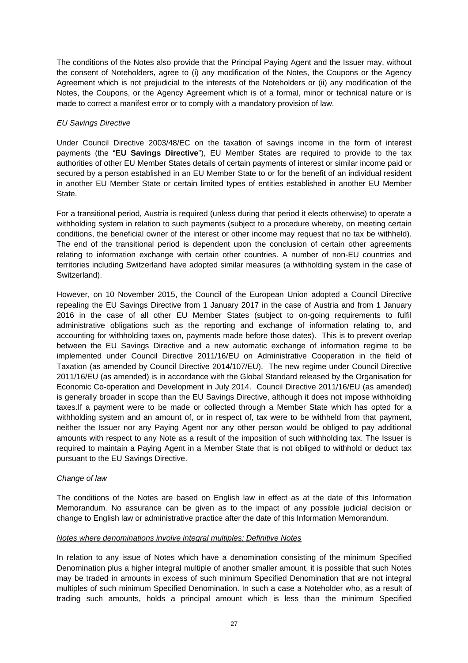The conditions of the Notes also provide that the Principal Paying Agent and the Issuer may, without the consent of Noteholders, agree to (i) any modification of the Notes, the Coupons or the Agency Agreement which is not prejudicial to the interests of the Noteholders or (ii) any modification of the Notes, the Coupons, or the Agency Agreement which is of a formal, minor or technical nature or is made to correct a manifest error or to comply with a mandatory provision of law.

#### *EU Savings Directive*

Under Council Directive 2003/48/EC on the taxation of savings income in the form of interest payments (the "**EU Savings Directive**"), EU Member States are required to provide to the tax authorities of other EU Member States details of certain payments of interest or similar income paid or secured by a person established in an EU Member State to or for the benefit of an individual resident in another EU Member State or certain limited types of entities established in another EU Member State.

For a transitional period, Austria is required (unless during that period it elects otherwise) to operate a withholding system in relation to such payments (subject to a procedure whereby, on meeting certain conditions, the beneficial owner of the interest or other income may request that no tax be withheld). The end of the transitional period is dependent upon the conclusion of certain other agreements relating to information exchange with certain other countries. A number of non-EU countries and territories including Switzerland have adopted similar measures (a withholding system in the case of Switzerland).

However, on 10 November 2015, the Council of the European Union adopted a Council Directive repealing the EU Savings Directive from 1 January 2017 in the case of Austria and from 1 January 2016 in the case of all other EU Member States (subject to on-going requirements to fulfil administrative obligations such as the reporting and exchange of information relating to, and accounting for withholding taxes on, payments made before those dates). This is to prevent overlap between the EU Savings Directive and a new automatic exchange of information regime to be implemented under Council Directive 2011/16/EU on Administrative Cooperation in the field of Taxation (as amended by Council Directive 2014/107/EU). The new regime under Council Directive 2011/16/EU (as amended) is in accordance with the Global Standard released by the Organisation for Economic Co-operation and Development in July 2014. Council Directive 2011/16/EU (as amended) is generally broader in scope than the EU Savings Directive, although it does not impose withholding taxes.If a payment were to be made or collected through a Member State which has opted for a withholding system and an amount of, or in respect of, tax were to be withheld from that payment, neither the Issuer nor any Paying Agent nor any other person would be obliged to pay additional amounts with respect to any Note as a result of the imposition of such withholding tax. The Issuer is required to maintain a Paying Agent in a Member State that is not obliged to withhold or deduct tax pursuant to the EU Savings Directive.

#### *Change of law*

The conditions of the Notes are based on English law in effect as at the date of this Information Memorandum. No assurance can be given as to the impact of any possible judicial decision or change to English law or administrative practice after the date of this Information Memorandum.

#### *Notes where denominations involve integral multiples: Definitive Notes*

In relation to any issue of Notes which have a denomination consisting of the minimum Specified Denomination plus a higher integral multiple of another smaller amount, it is possible that such Notes may be traded in amounts in excess of such minimum Specified Denomination that are not integral multiples of such minimum Specified Denomination. In such a case a Noteholder who, as a result of trading such amounts, holds a principal amount which is less than the minimum Specified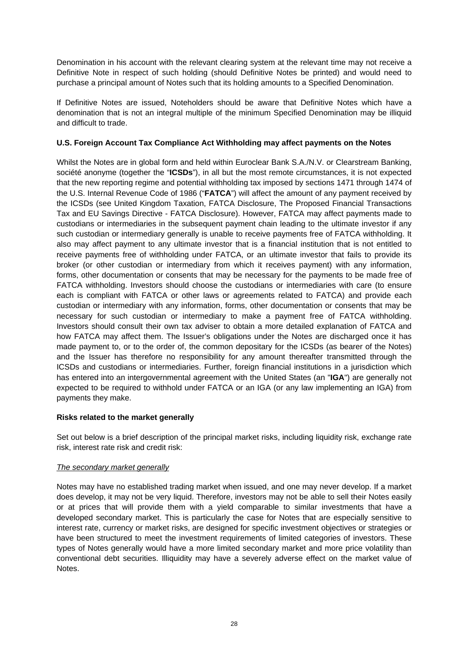Denomination in his account with the relevant clearing system at the relevant time may not receive a Definitive Note in respect of such holding (should Definitive Notes be printed) and would need to purchase a principal amount of Notes such that its holding amounts to a Specified Denomination.

If Definitive Notes are issued, Noteholders should be aware that Definitive Notes which have a denomination that is not an integral multiple of the minimum Specified Denomination may be illiquid and difficult to trade.

#### **U.S. Foreign Account Tax Compliance Act Withholding may affect payments on the Notes**

Whilst the Notes are in global form and held within Euroclear Bank S.A./N.V. or Clearstream Banking, société anonyme (together the "**ICSDs**"), in all but the most remote circumstances, it is not expected that the new reporting regime and potential withholding tax imposed by sections 1471 through 1474 of the U.S. Internal Revenue Code of 1986 ("**FATCA**") will affect the amount of any payment received by the ICSDs (see United Kingdom Taxation, FATCA Disclosure, The Proposed Financial Transactions Tax and EU Savings Directive - FATCA Disclosure). However, FATCA may affect payments made to custodians or intermediaries in the subsequent payment chain leading to the ultimate investor if any such custodian or intermediary generally is unable to receive payments free of FATCA withholding. It also may affect payment to any ultimate investor that is a financial institution that is not entitled to receive payments free of withholding under FATCA, or an ultimate investor that fails to provide its broker (or other custodian or intermediary from which it receives payment) with any information, forms, other documentation or consents that may be necessary for the payments to be made free of FATCA withholding. Investors should choose the custodians or intermediaries with care (to ensure each is compliant with FATCA or other laws or agreements related to FATCA) and provide each custodian or intermediary with any information, forms, other documentation or consents that may be necessary for such custodian or intermediary to make a payment free of FATCA withholding. Investors should consult their own tax adviser to obtain a more detailed explanation of FATCA and how FATCA may affect them. The Issuer's obligations under the Notes are discharged once it has made payment to, or to the order of, the common depositary for the ICSDs (as bearer of the Notes) and the Issuer has therefore no responsibility for any amount thereafter transmitted through the ICSDs and custodians or intermediaries. Further, foreign financial institutions in a jurisdiction which has entered into an intergovernmental agreement with the United States (an "**IGA**") are generally not expected to be required to withhold under FATCA or an IGA (or any law implementing an IGA) from payments they make.

#### **Risks related to the market generally**

Set out below is a brief description of the principal market risks, including liquidity risk, exchange rate risk, interest rate risk and credit risk:

#### *The secondary market generally*

Notes may have no established trading market when issued, and one may never develop. If a market does develop, it may not be very liquid. Therefore, investors may not be able to sell their Notes easily or at prices that will provide them with a yield comparable to similar investments that have a developed secondary market. This is particularly the case for Notes that are especially sensitive to interest rate, currency or market risks, are designed for specific investment objectives or strategies or have been structured to meet the investment requirements of limited categories of investors. These types of Notes generally would have a more limited secondary market and more price volatility than conventional debt securities. Illiquidity may have a severely adverse effect on the market value of Notes.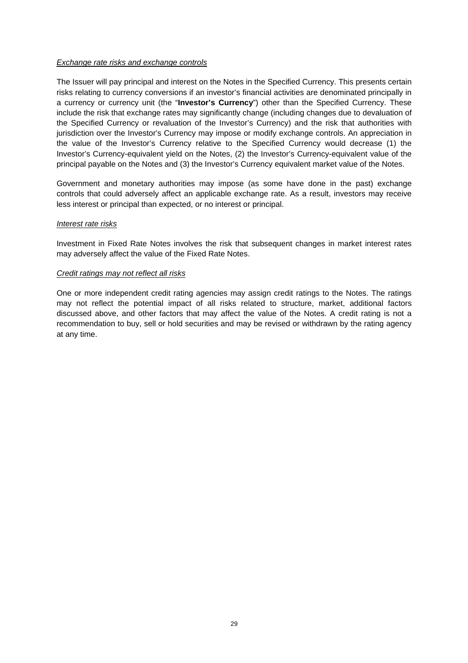#### *Exchange rate risks and exchange controls*

The Issuer will pay principal and interest on the Notes in the Specified Currency. This presents certain risks relating to currency conversions if an investor's financial activities are denominated principally in a currency or currency unit (the "**Investor's Currency**") other than the Specified Currency. These include the risk that exchange rates may significantly change (including changes due to devaluation of the Specified Currency or revaluation of the Investor's Currency) and the risk that authorities with jurisdiction over the Investor's Currency may impose or modify exchange controls. An appreciation in the value of the Investor's Currency relative to the Specified Currency would decrease (1) the Investor's Currency-equivalent yield on the Notes, (2) the Investor's Currency-equivalent value of the principal payable on the Notes and (3) the Investor's Currency equivalent market value of the Notes.

Government and monetary authorities may impose (as some have done in the past) exchange controls that could adversely affect an applicable exchange rate. As a result, investors may receive less interest or principal than expected, or no interest or principal.

#### *Interest rate risks*

Investment in Fixed Rate Notes involves the risk that subsequent changes in market interest rates may adversely affect the value of the Fixed Rate Notes.

#### *Credit ratings may not reflect all risks*

One or more independent credit rating agencies may assign credit ratings to the Notes. The ratings may not reflect the potential impact of all risks related to structure, market, additional factors discussed above, and other factors that may affect the value of the Notes. A credit rating is not a recommendation to buy, sell or hold securities and may be revised or withdrawn by the rating agency at any time.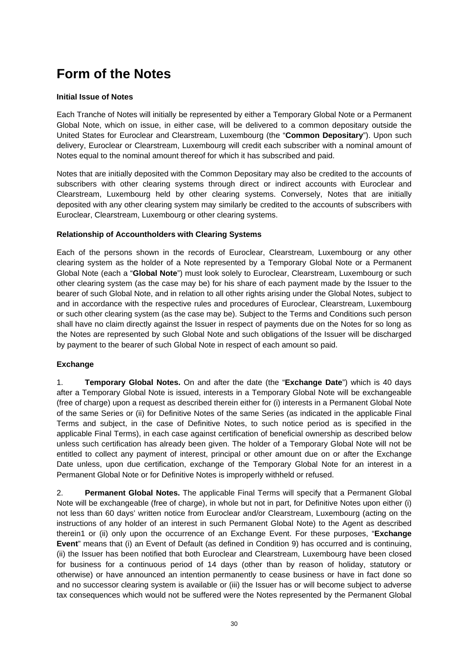## **Form of the Notes**

#### **Initial Issue of Notes**

Each Tranche of Notes will initially be represented by either a Temporary Global Note or a Permanent Global Note, which on issue, in either case, will be delivered to a common depositary outside the United States for Euroclear and Clearstream, Luxembourg (the "**Common Depositary**"). Upon such delivery, Euroclear or Clearstream, Luxembourg will credit each subscriber with a nominal amount of Notes equal to the nominal amount thereof for which it has subscribed and paid.

Notes that are initially deposited with the Common Depositary may also be credited to the accounts of subscribers with other clearing systems through direct or indirect accounts with Euroclear and Clearstream, Luxembourg held by other clearing systems. Conversely, Notes that are initially deposited with any other clearing system may similarly be credited to the accounts of subscribers with Euroclear, Clearstream, Luxembourg or other clearing systems.

#### **Relationship of Accountholders with Clearing Systems**

Each of the persons shown in the records of Euroclear, Clearstream, Luxembourg or any other clearing system as the holder of a Note represented by a Temporary Global Note or a Permanent Global Note (each a "**Global Note**") must look solely to Euroclear, Clearstream, Luxembourg or such other clearing system (as the case may be) for his share of each payment made by the Issuer to the bearer of such Global Note, and in relation to all other rights arising under the Global Notes, subject to and in accordance with the respective rules and procedures of Euroclear, Clearstream, Luxembourg or such other clearing system (as the case may be). Subject to the Terms and Conditions such person shall have no claim directly against the Issuer in respect of payments due on the Notes for so long as the Notes are represented by such Global Note and such obligations of the Issuer will be discharged by payment to the bearer of such Global Note in respect of each amount so paid.

#### **Exchange**

1. **Temporary Global Notes.** On and after the date (the "**Exchange Date**") which is 40 days after a Temporary Global Note is issued, interests in a Temporary Global Note will be exchangeable (free of charge) upon a request as described therein either for (i) interests in a Permanent Global Note of the same Series or (ii) for Definitive Notes of the same Series (as indicated in the applicable Final Terms and subject, in the case of Definitive Notes, to such notice period as is specified in the applicable Final Terms), in each case against certification of beneficial ownership as described below unless such certification has already been given. The holder of a Temporary Global Note will not be entitled to collect any payment of interest, principal or other amount due on or after the Exchange Date unless, upon due certification, exchange of the Temporary Global Note for an interest in a Permanent Global Note or for Definitive Notes is improperly withheld or refused.

2. **Permanent Global Notes.** The applicable Final Terms will specify that a Permanent Global Note will be exchangeable (free of charge), in whole but not in part, for Definitive Notes upon either (i) not less than 60 days' written notice from Euroclear and/or Clearstream, Luxembourg (acting on the instructions of any holder of an interest in such Permanent Global Note) to the Agent as described therein1 or (ii) only upon the occurrence of an Exchange Event. For these purposes, "**Exchange Event**" means that (i) an Event of Default (as defined in Condition 9) has occurred and is continuing, (ii) the Issuer has been notified that both Euroclear and Clearstream, Luxembourg have been closed for business for a continuous period of 14 days (other than by reason of holiday, statutory or otherwise) or have announced an intention permanently to cease business or have in fact done so and no successor clearing system is available or (iii) the Issuer has or will become subject to adverse tax consequences which would not be suffered were the Notes represented by the Permanent Global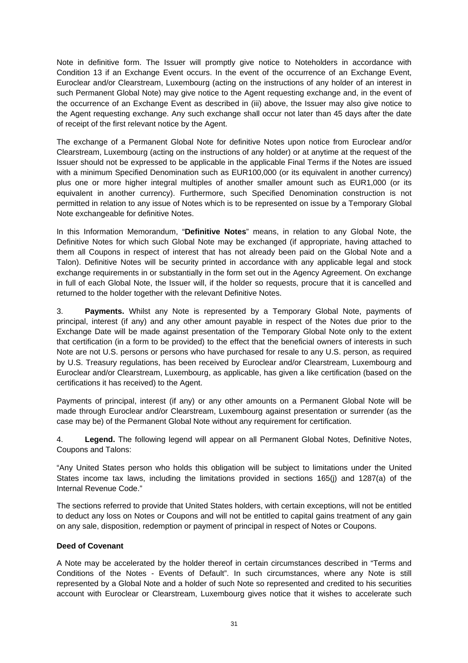Note in definitive form. The Issuer will promptly give notice to Noteholders in accordance with Condition 13 if an Exchange Event occurs. In the event of the occurrence of an Exchange Event, Euroclear and/or Clearstream, Luxembourg (acting on the instructions of any holder of an interest in such Permanent Global Note) may give notice to the Agent requesting exchange and, in the event of the occurrence of an Exchange Event as described in (iii) above, the Issuer may also give notice to the Agent requesting exchange. Any such exchange shall occur not later than 45 days after the date of receipt of the first relevant notice by the Agent.

The exchange of a Permanent Global Note for definitive Notes upon notice from Euroclear and/or Clearstream, Luxembourg (acting on the instructions of any holder) or at anytime at the request of the Issuer should not be expressed to be applicable in the applicable Final Terms if the Notes are issued with a minimum Specified Denomination such as EUR100,000 (or its equivalent in another currency) plus one or more higher integral multiples of another smaller amount such as EUR1,000 (or its equivalent in another currency). Furthermore, such Specified Denomination construction is not permitted in relation to any issue of Notes which is to be represented on issue by a Temporary Global Note exchangeable for definitive Notes.

In this Information Memorandum, "**Definitive Notes**" means, in relation to any Global Note, the Definitive Notes for which such Global Note may be exchanged (if appropriate, having attached to them all Coupons in respect of interest that has not already been paid on the Global Note and a Talon). Definitive Notes will be security printed in accordance with any applicable legal and stock exchange requirements in or substantially in the form set out in the Agency Agreement. On exchange in full of each Global Note, the Issuer will, if the holder so requests, procure that it is cancelled and returned to the holder together with the relevant Definitive Notes.

3. **Payments.** Whilst any Note is represented by a Temporary Global Note, payments of principal, interest (if any) and any other amount payable in respect of the Notes due prior to the Exchange Date will be made against presentation of the Temporary Global Note only to the extent that certification (in a form to be provided) to the effect that the beneficial owners of interests in such Note are not U.S. persons or persons who have purchased for resale to any U.S. person, as required by U.S. Treasury regulations, has been received by Euroclear and/or Clearstream, Luxembourg and Euroclear and/or Clearstream, Luxembourg, as applicable, has given a like certification (based on the certifications it has received) to the Agent.

Payments of principal, interest (if any) or any other amounts on a Permanent Global Note will be made through Euroclear and/or Clearstream, Luxembourg against presentation or surrender (as the case may be) of the Permanent Global Note without any requirement for certification.

4. **Legend.** The following legend will appear on all Permanent Global Notes, Definitive Notes, Coupons and Talons:

"Any United States person who holds this obligation will be subject to limitations under the United States income tax laws, including the limitations provided in sections 165(j) and 1287(a) of the Internal Revenue Code."

The sections referred to provide that United States holders, with certain exceptions, will not be entitled to deduct any loss on Notes or Coupons and will not be entitled to capital gains treatment of any gain on any sale, disposition, redemption or payment of principal in respect of Notes or Coupons.

#### **Deed of Covenant**

A Note may be accelerated by the holder thereof in certain circumstances described in "Terms and Conditions of the Notes - Events of Default". In such circumstances, where any Note is still represented by a Global Note and a holder of such Note so represented and credited to his securities account with Euroclear or Clearstream, Luxembourg gives notice that it wishes to accelerate such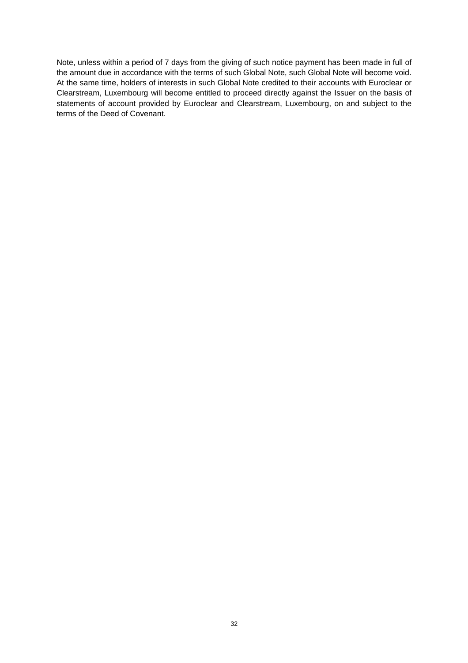Note, unless within a period of 7 days from the giving of such notice payment has been made in full of the amount due in accordance with the terms of such Global Note, such Global Note will become void. At the same time, holders of interests in such Global Note credited to their accounts with Euroclear or Clearstream, Luxembourg will become entitled to proceed directly against the Issuer on the basis of statements of account provided by Euroclear and Clearstream, Luxembourg, on and subject to the terms of the Deed of Covenant.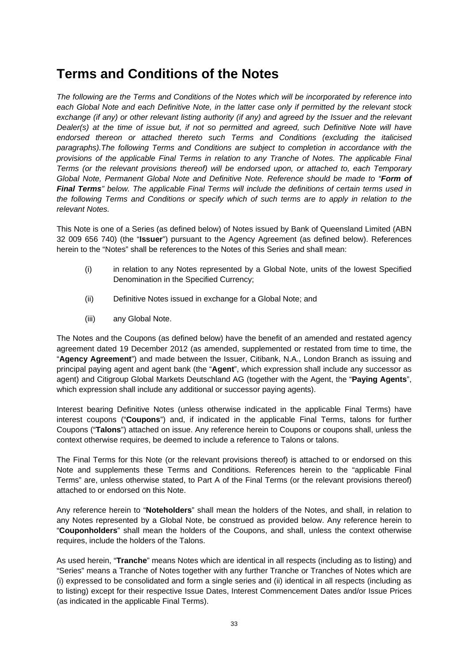### **Terms and Conditions of the Notes**

*The following are the Terms and Conditions of the Notes which will be incorporated by reference into each Global Note and each Definitive Note, in the latter case only if permitted by the relevant stock exchange (if any) or other relevant listing authority (if any) and agreed by the Issuer and the relevant Dealer(s) at the time of issue but, if not so permitted and agreed, such Definitive Note will have endorsed thereon or attached thereto such Terms and Conditions (excluding the italicised paragraphs).The following Terms and Conditions are subject to completion in accordance with the provisions of the applicable Final Terms in relation to any Tranche of Notes. The applicable Final Terms (or the relevant provisions thereof) will be endorsed upon, or attached to, each Temporary Global Note, Permanent Global Note and Definitive Note. Reference should be made to "Form of Final Terms" below. The applicable Final Terms will include the definitions of certain terms used in the following Terms and Conditions or specify which of such terms are to apply in relation to the relevant Notes.* 

This Note is one of a Series (as defined below) of Notes issued by Bank of Queensland Limited (ABN 32 009 656 740) (the "**Issuer**") pursuant to the Agency Agreement (as defined below). References herein to the "Notes" shall be references to the Notes of this Series and shall mean:

- (i) in relation to any Notes represented by a Global Note, units of the lowest Specified Denomination in the Specified Currency;
- (ii) Definitive Notes issued in exchange for a Global Note; and
- (iii) any Global Note.

The Notes and the Coupons (as defined below) have the benefit of an amended and restated agency agreement dated 19 December 2012 (as amended, supplemented or restated from time to time, the "**Agency Agreement**") and made between the Issuer, Citibank, N.A., London Branch as issuing and principal paying agent and agent bank (the "**Agent**", which expression shall include any successor as agent) and Citigroup Global Markets Deutschland AG (together with the Agent, the "**Paying Agents**", which expression shall include any additional or successor paying agents).

Interest bearing Definitive Notes (unless otherwise indicated in the applicable Final Terms) have interest coupons ("**Coupons**") and, if indicated in the applicable Final Terms, talons for further Coupons ("**Talons**") attached on issue. Any reference herein to Coupons or coupons shall, unless the context otherwise requires, be deemed to include a reference to Talons or talons.

The Final Terms for this Note (or the relevant provisions thereof) is attached to or endorsed on this Note and supplements these Terms and Conditions. References herein to the "applicable Final Terms" are, unless otherwise stated, to Part A of the Final Terms (or the relevant provisions thereof) attached to or endorsed on this Note.

Any reference herein to "**Noteholders**" shall mean the holders of the Notes, and shall, in relation to any Notes represented by a Global Note, be construed as provided below. Any reference herein to "**Couponholders**" shall mean the holders of the Coupons, and shall, unless the context otherwise requires, include the holders of the Talons.

As used herein, "**Tranche**" means Notes which are identical in all respects (including as to listing) and "Series" means a Tranche of Notes together with any further Tranche or Tranches of Notes which are (i) expressed to be consolidated and form a single series and (ii) identical in all respects (including as to listing) except for their respective Issue Dates, Interest Commencement Dates and/or Issue Prices (as indicated in the applicable Final Terms).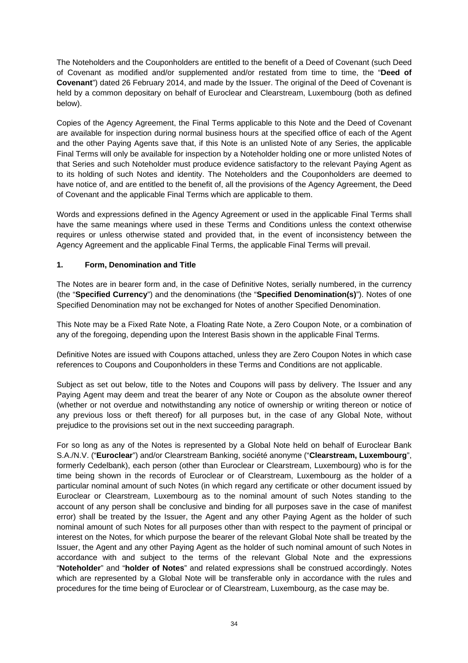The Noteholders and the Couponholders are entitled to the benefit of a Deed of Covenant (such Deed of Covenant as modified and/or supplemented and/or restated from time to time, the "**Deed of Covenant**") dated 26 February 2014, and made by the Issuer. The original of the Deed of Covenant is held by a common depositary on behalf of Euroclear and Clearstream, Luxembourg (both as defined below).

Copies of the Agency Agreement, the Final Terms applicable to this Note and the Deed of Covenant are available for inspection during normal business hours at the specified office of each of the Agent and the other Paying Agents save that, if this Note is an unlisted Note of any Series, the applicable Final Terms will only be available for inspection by a Noteholder holding one or more unlisted Notes of that Series and such Noteholder must produce evidence satisfactory to the relevant Paying Agent as to its holding of such Notes and identity. The Noteholders and the Couponholders are deemed to have notice of, and are entitled to the benefit of, all the provisions of the Agency Agreement, the Deed of Covenant and the applicable Final Terms which are applicable to them.

Words and expressions defined in the Agency Agreement or used in the applicable Final Terms shall have the same meanings where used in these Terms and Conditions unless the context otherwise requires or unless otherwise stated and provided that, in the event of inconsistency between the Agency Agreement and the applicable Final Terms, the applicable Final Terms will prevail.

#### **1. Form, Denomination and Title**

The Notes are in bearer form and, in the case of Definitive Notes, serially numbered, in the currency (the "**Specified Currency**") and the denominations (the "**Specified Denomination(s)**"). Notes of one Specified Denomination may not be exchanged for Notes of another Specified Denomination.

This Note may be a Fixed Rate Note, a Floating Rate Note, a Zero Coupon Note, or a combination of any of the foregoing, depending upon the Interest Basis shown in the applicable Final Terms.

Definitive Notes are issued with Coupons attached, unless they are Zero Coupon Notes in which case references to Coupons and Couponholders in these Terms and Conditions are not applicable.

Subject as set out below, title to the Notes and Coupons will pass by delivery. The Issuer and any Paying Agent may deem and treat the bearer of any Note or Coupon as the absolute owner thereof (whether or not overdue and notwithstanding any notice of ownership or writing thereon or notice of any previous loss or theft thereof) for all purposes but, in the case of any Global Note, without prejudice to the provisions set out in the next succeeding paragraph.

For so long as any of the Notes is represented by a Global Note held on behalf of Euroclear Bank S.A./N.V. ("**Euroclear**") and/or Clearstream Banking, société anonyme ("**Clearstream, Luxembourg**", formerly Cedelbank), each person (other than Euroclear or Clearstream, Luxembourg) who is for the time being shown in the records of Euroclear or of Clearstream, Luxembourg as the holder of a particular nominal amount of such Notes (in which regard any certificate or other document issued by Euroclear or Clearstream, Luxembourg as to the nominal amount of such Notes standing to the account of any person shall be conclusive and binding for all purposes save in the case of manifest error) shall be treated by the Issuer, the Agent and any other Paying Agent as the holder of such nominal amount of such Notes for all purposes other than with respect to the payment of principal or interest on the Notes, for which purpose the bearer of the relevant Global Note shall be treated by the Issuer, the Agent and any other Paying Agent as the holder of such nominal amount of such Notes in accordance with and subject to the terms of the relevant Global Note and the expressions "**Noteholder**" and "**holder of Notes**" and related expressions shall be construed accordingly. Notes which are represented by a Global Note will be transferable only in accordance with the rules and procedures for the time being of Euroclear or of Clearstream, Luxembourg, as the case may be.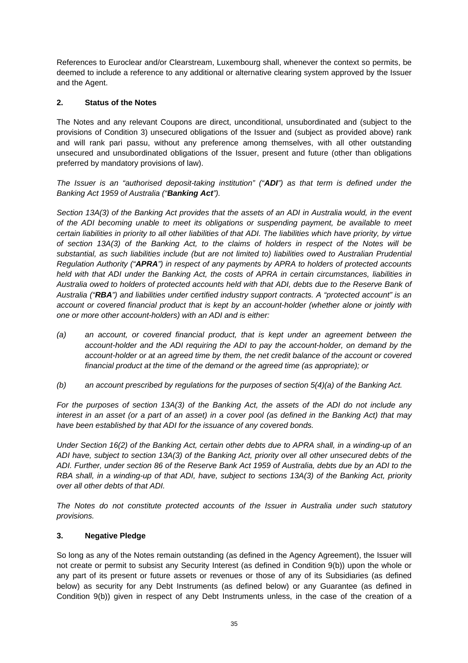References to Euroclear and/or Clearstream, Luxembourg shall, whenever the context so permits, be deemed to include a reference to any additional or alternative clearing system approved by the Issuer and the Agent.

#### **2. Status of the Notes**

The Notes and any relevant Coupons are direct, unconditional, unsubordinated and (subject to the provisions of Condition 3) unsecured obligations of the Issuer and (subject as provided above) rank and will rank pari passu, without any preference among themselves, with all other outstanding unsecured and unsubordinated obligations of the Issuer, present and future (other than obligations preferred by mandatory provisions of law).

*The Issuer is an "authorised deposit-taking institution" ("ADI") as that term is defined under the Banking Act 1959 of Australia ("Banking Act").* 

*Section 13A(3) of the Banking Act provides that the assets of an ADI in Australia would, in the event of the ADI becoming unable to meet its obligations or suspending payment, be available to meet certain liabilities in priority to all other liabilities of that ADI. The liabilities which have priority, by virtue of section 13A(3) of the Banking Act, to the claims of holders in respect of the Notes will be substantial, as such liabilities include (but are not limited to) liabilities owed to Australian Prudential Regulation Authority ("APRA") in respect of any payments by APRA to holders of protected accounts held with that ADI under the Banking Act, the costs of APRA in certain circumstances, liabilities in Australia owed to holders of protected accounts held with that ADI, debts due to the Reserve Bank of Australia ("RBA") and liabilities under certified industry support contracts. A "protected account" is an account or covered financial product that is kept by an account-holder (whether alone or jointly with one or more other account-holders) with an ADI and is either:* 

- *(a) an account, or covered financial product, that is kept under an agreement between the account-holder and the ADI requiring the ADI to pay the account-holder, on demand by the account-holder or at an agreed time by them, the net credit balance of the account or covered financial product at the time of the demand or the agreed time (as appropriate); or*
- *(b) an account prescribed by regulations for the purposes of section 5(4)(a) of the Banking Act.*

*For the purposes of section 13A(3) of the Banking Act, the assets of the ADI do not include any interest in an asset (or a part of an asset) in a cover pool (as defined in the Banking Act) that may have been established by that ADI for the issuance of any covered bonds.* 

*Under Section 16(2) of the Banking Act, certain other debts due to APRA shall, in a winding-up of an ADI have, subject to section 13A(3) of the Banking Act, priority over all other unsecured debts of the ADI. Further, under section 86 of the Reserve Bank Act 1959 of Australia, debts due by an ADI to the RBA shall, in a winding-up of that ADI, have, subject to sections 13A(3) of the Banking Act, priority over all other debts of that ADI.* 

*The Notes do not constitute protected accounts of the Issuer in Australia under such statutory provisions.* 

#### **3. Negative Pledge**

So long as any of the Notes remain outstanding (as defined in the Agency Agreement), the Issuer will not create or permit to subsist any Security Interest (as defined in Condition 9(b)) upon the whole or any part of its present or future assets or revenues or those of any of its Subsidiaries (as defined below) as security for any Debt Instruments (as defined below) or any Guarantee (as defined in Condition 9(b)) given in respect of any Debt Instruments unless, in the case of the creation of a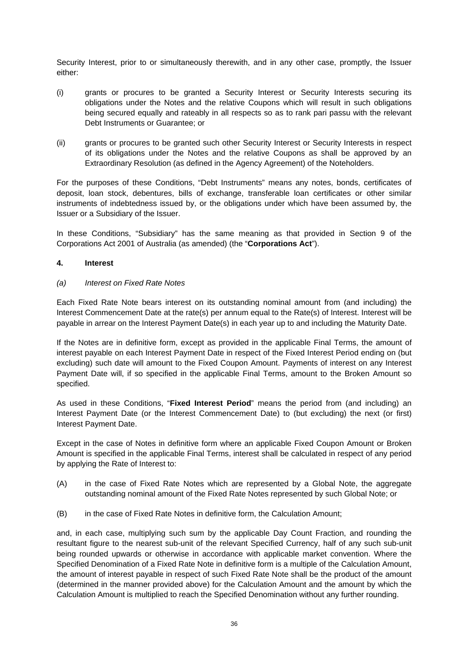Security Interest, prior to or simultaneously therewith, and in any other case, promptly, the Issuer either:

- (i) grants or procures to be granted a Security Interest or Security Interests securing its obligations under the Notes and the relative Coupons which will result in such obligations being secured equally and rateably in all respects so as to rank pari passu with the relevant Debt Instruments or Guarantee; or
- (ii) grants or procures to be granted such other Security Interest or Security Interests in respect of its obligations under the Notes and the relative Coupons as shall be approved by an Extraordinary Resolution (as defined in the Agency Agreement) of the Noteholders.

For the purposes of these Conditions, "Debt Instruments" means any notes, bonds, certificates of deposit, loan stock, debentures, bills of exchange, transferable loan certificates or other similar instruments of indebtedness issued by, or the obligations under which have been assumed by, the Issuer or a Subsidiary of the Issuer.

In these Conditions, "Subsidiary" has the same meaning as that provided in Section 9 of the Corporations Act 2001 of Australia (as amended) (the "**Corporations Act**").

#### **4. Interest**

#### *(a) Interest on Fixed Rate Notes*

Each Fixed Rate Note bears interest on its outstanding nominal amount from (and including) the Interest Commencement Date at the rate(s) per annum equal to the Rate(s) of Interest. Interest will be payable in arrear on the Interest Payment Date(s) in each year up to and including the Maturity Date.

If the Notes are in definitive form, except as provided in the applicable Final Terms, the amount of interest payable on each Interest Payment Date in respect of the Fixed Interest Period ending on (but excluding) such date will amount to the Fixed Coupon Amount. Payments of interest on any Interest Payment Date will, if so specified in the applicable Final Terms, amount to the Broken Amount so specified.

As used in these Conditions, "**Fixed Interest Period**" means the period from (and including) an Interest Payment Date (or the Interest Commencement Date) to (but excluding) the next (or first) Interest Payment Date.

Except in the case of Notes in definitive form where an applicable Fixed Coupon Amount or Broken Amount is specified in the applicable Final Terms, interest shall be calculated in respect of any period by applying the Rate of Interest to:

- (A) in the case of Fixed Rate Notes which are represented by a Global Note, the aggregate outstanding nominal amount of the Fixed Rate Notes represented by such Global Note; or
- (B) in the case of Fixed Rate Notes in definitive form, the Calculation Amount;

and, in each case, multiplying such sum by the applicable Day Count Fraction, and rounding the resultant figure to the nearest sub-unit of the relevant Specified Currency, half of any such sub-unit being rounded upwards or otherwise in accordance with applicable market convention. Where the Specified Denomination of a Fixed Rate Note in definitive form is a multiple of the Calculation Amount, the amount of interest payable in respect of such Fixed Rate Note shall be the product of the amount (determined in the manner provided above) for the Calculation Amount and the amount by which the Calculation Amount is multiplied to reach the Specified Denomination without any further rounding.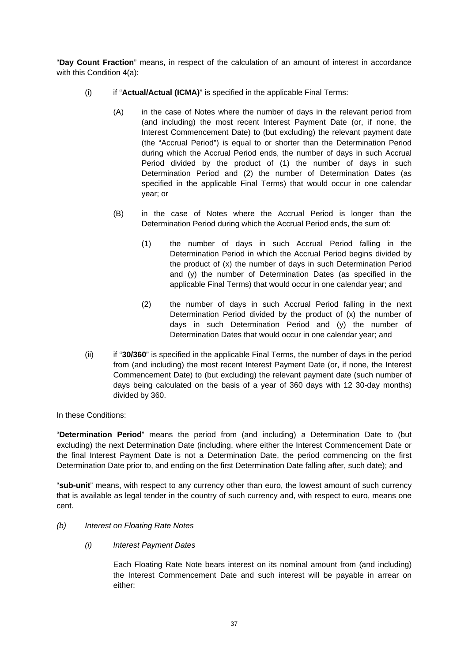"**Day Count Fraction**" means, in respect of the calculation of an amount of interest in accordance with this Condition 4(a):

- (i) if "**Actual/Actual (ICMA)**" is specified in the applicable Final Terms:
	- (A) in the case of Notes where the number of days in the relevant period from (and including) the most recent Interest Payment Date (or, if none, the Interest Commencement Date) to (but excluding) the relevant payment date (the "Accrual Period") is equal to or shorter than the Determination Period during which the Accrual Period ends, the number of days in such Accrual Period divided by the product of (1) the number of days in such Determination Period and (2) the number of Determination Dates (as specified in the applicable Final Terms) that would occur in one calendar year; or
	- (B) in the case of Notes where the Accrual Period is longer than the Determination Period during which the Accrual Period ends, the sum of:
		- (1) the number of days in such Accrual Period falling in the Determination Period in which the Accrual Period begins divided by the product of (x) the number of days in such Determination Period and (y) the number of Determination Dates (as specified in the applicable Final Terms) that would occur in one calendar year; and
		- (2) the number of days in such Accrual Period falling in the next Determination Period divided by the product of (x) the number of days in such Determination Period and (y) the number of Determination Dates that would occur in one calendar year; and
- (ii) if "**30/360**" is specified in the applicable Final Terms, the number of days in the period from (and including) the most recent Interest Payment Date (or, if none, the Interest Commencement Date) to (but excluding) the relevant payment date (such number of days being calculated on the basis of a year of 360 days with 12 30-day months) divided by 360.

In these Conditions:

"**Determination Period**" means the period from (and including) a Determination Date to (but excluding) the next Determination Date (including, where either the Interest Commencement Date or the final Interest Payment Date is not a Determination Date, the period commencing on the first Determination Date prior to, and ending on the first Determination Date falling after, such date); and

"**sub-unit**" means, with respect to any currency other than euro, the lowest amount of such currency that is available as legal tender in the country of such currency and, with respect to euro, means one cent.

- *(b) Interest on Floating Rate Notes* 
	- *(i) Interest Payment Dates*

Each Floating Rate Note bears interest on its nominal amount from (and including) the Interest Commencement Date and such interest will be payable in arrear on either: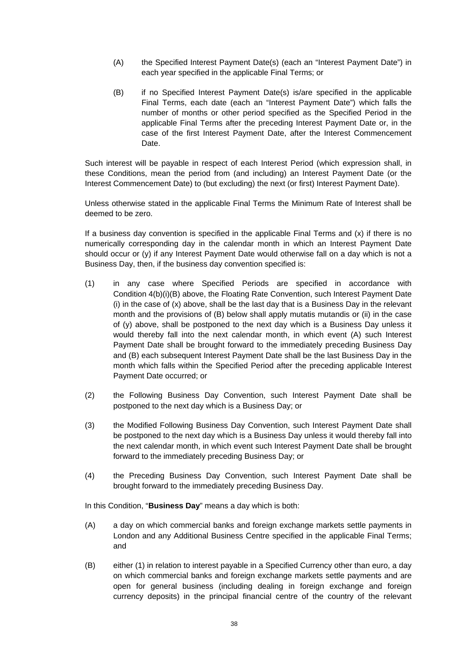- (A) the Specified Interest Payment Date(s) (each an "Interest Payment Date") in each year specified in the applicable Final Terms; or
- (B) if no Specified Interest Payment Date(s) is/are specified in the applicable Final Terms, each date (each an "Interest Payment Date") which falls the number of months or other period specified as the Specified Period in the applicable Final Terms after the preceding Interest Payment Date or, in the case of the first Interest Payment Date, after the Interest Commencement Date.

Such interest will be payable in respect of each Interest Period (which expression shall, in these Conditions, mean the period from (and including) an Interest Payment Date (or the Interest Commencement Date) to (but excluding) the next (or first) Interest Payment Date).

Unless otherwise stated in the applicable Final Terms the Minimum Rate of Interest shall be deemed to be zero.

If a business day convention is specified in the applicable Final Terms and  $(x)$  if there is no numerically corresponding day in the calendar month in which an Interest Payment Date should occur or (y) if any Interest Payment Date would otherwise fall on a day which is not a Business Day, then, if the business day convention specified is:

- (1) in any case where Specified Periods are specified in accordance with Condition 4(b)(i)(B) above, the Floating Rate Convention, such Interest Payment Date  $(i)$  in the case of  $(x)$  above, shall be the last day that is a Business Day in the relevant month and the provisions of (B) below shall apply mutatis mutandis or (ii) in the case of (y) above, shall be postponed to the next day which is a Business Day unless it would thereby fall into the next calendar month, in which event (A) such Interest Payment Date shall be brought forward to the immediately preceding Business Day and (B) each subsequent Interest Payment Date shall be the last Business Day in the month which falls within the Specified Period after the preceding applicable Interest Payment Date occurred; or
- (2) the Following Business Day Convention, such Interest Payment Date shall be postponed to the next day which is a Business Day; or
- (3) the Modified Following Business Day Convention, such Interest Payment Date shall be postponed to the next day which is a Business Day unless it would thereby fall into the next calendar month, in which event such Interest Payment Date shall be brought forward to the immediately preceding Business Day; or
- (4) the Preceding Business Day Convention, such Interest Payment Date shall be brought forward to the immediately preceding Business Day.

In this Condition, "**Business Day**" means a day which is both:

- (A) a day on which commercial banks and foreign exchange markets settle payments in London and any Additional Business Centre specified in the applicable Final Terms; and
- (B) either (1) in relation to interest payable in a Specified Currency other than euro, a day on which commercial banks and foreign exchange markets settle payments and are open for general business (including dealing in foreign exchange and foreign currency deposits) in the principal financial centre of the country of the relevant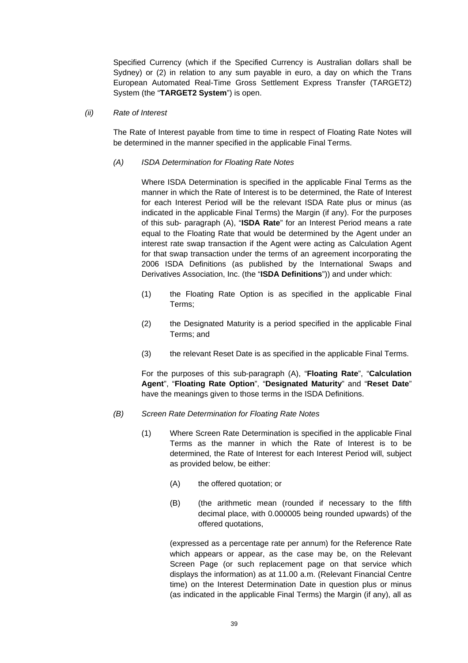Specified Currency (which if the Specified Currency is Australian dollars shall be Sydney) or (2) in relation to any sum payable in euro, a day on which the Trans European Automated Real-Time Gross Settlement Express Transfer (TARGET2) System (the "**TARGET2 System**") is open.

*(ii) Rate of Interest* 

The Rate of Interest payable from time to time in respect of Floating Rate Notes will be determined in the manner specified in the applicable Final Terms.

### *(A) ISDA Determination for Floating Rate Notes*

Where ISDA Determination is specified in the applicable Final Terms as the manner in which the Rate of Interest is to be determined, the Rate of Interest for each Interest Period will be the relevant ISDA Rate plus or minus (as indicated in the applicable Final Terms) the Margin (if any). For the purposes of this sub- paragraph (A), "**ISDA Rate**" for an Interest Period means a rate equal to the Floating Rate that would be determined by the Agent under an interest rate swap transaction if the Agent were acting as Calculation Agent for that swap transaction under the terms of an agreement incorporating the 2006 ISDA Definitions (as published by the International Swaps and Derivatives Association, Inc. (the "**ISDA Definitions**")) and under which:

- (1) the Floating Rate Option is as specified in the applicable Final Terms;
- (2) the Designated Maturity is a period specified in the applicable Final Terms; and
- (3) the relevant Reset Date is as specified in the applicable Final Terms.

For the purposes of this sub-paragraph (A), "**Floating Rate**", "**Calculation Agent**", "**Floating Rate Option**", "**Designated Maturity**" and "**Reset Date**" have the meanings given to those terms in the ISDA Definitions.

- *(B) Screen Rate Determination for Floating Rate Notes* 
	- (1) Where Screen Rate Determination is specified in the applicable Final Terms as the manner in which the Rate of Interest is to be determined, the Rate of Interest for each Interest Period will, subject as provided below, be either:
		- (A) the offered quotation; or
		- (B) (the arithmetic mean (rounded if necessary to the fifth decimal place, with 0.000005 being rounded upwards) of the offered quotations,

(expressed as a percentage rate per annum) for the Reference Rate which appears or appear, as the case may be, on the Relevant Screen Page (or such replacement page on that service which displays the information) as at 11.00 a.m. (Relevant Financial Centre time) on the Interest Determination Date in question plus or minus (as indicated in the applicable Final Terms) the Margin (if any), all as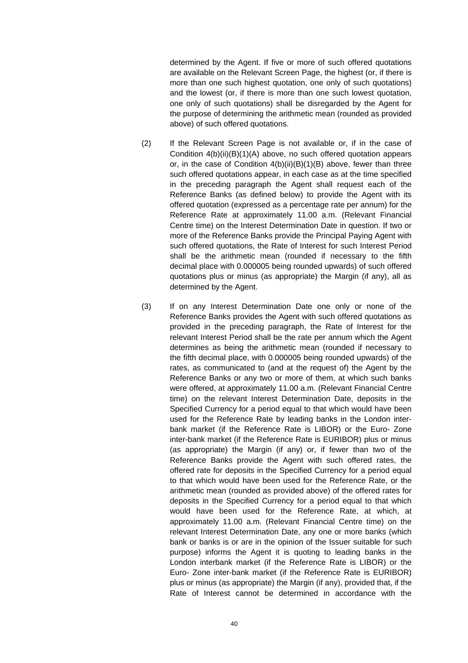determined by the Agent. If five or more of such offered quotations are available on the Relevant Screen Page, the highest (or, if there is more than one such highest quotation, one only of such quotations) and the lowest (or, if there is more than one such lowest quotation, one only of such quotations) shall be disregarded by the Agent for the purpose of determining the arithmetic mean (rounded as provided above) of such offered quotations.

- (2) If the Relevant Screen Page is not available or, if in the case of Condition 4(b)(ii)(B)(1)(A) above, no such offered quotation appears or, in the case of Condition  $4(b)(ii)(B)(1)(B)$  above, fewer than three such offered quotations appear, in each case as at the time specified in the preceding paragraph the Agent shall request each of the Reference Banks (as defined below) to provide the Agent with its offered quotation (expressed as a percentage rate per annum) for the Reference Rate at approximately 11.00 a.m. (Relevant Financial Centre time) on the Interest Determination Date in question. If two or more of the Reference Banks provide the Principal Paying Agent with such offered quotations, the Rate of Interest for such Interest Period shall be the arithmetic mean (rounded if necessary to the fifth decimal place with 0.000005 being rounded upwards) of such offered quotations plus or minus (as appropriate) the Margin (if any), all as determined by the Agent.
- (3) If on any Interest Determination Date one only or none of the Reference Banks provides the Agent with such offered quotations as provided in the preceding paragraph, the Rate of Interest for the relevant Interest Period shall be the rate per annum which the Agent determines as being the arithmetic mean (rounded if necessary to the fifth decimal place, with 0.000005 being rounded upwards) of the rates, as communicated to (and at the request of) the Agent by the Reference Banks or any two or more of them, at which such banks were offered, at approximately 11.00 a.m. (Relevant Financial Centre time) on the relevant Interest Determination Date, deposits in the Specified Currency for a period equal to that which would have been used for the Reference Rate by leading banks in the London interbank market (if the Reference Rate is LIBOR) or the Euro- Zone inter-bank market (if the Reference Rate is EURIBOR) plus or minus (as appropriate) the Margin (if any) or, if fewer than two of the Reference Banks provide the Agent with such offered rates, the offered rate for deposits in the Specified Currency for a period equal to that which would have been used for the Reference Rate, or the arithmetic mean (rounded as provided above) of the offered rates for deposits in the Specified Currency for a period equal to that which would have been used for the Reference Rate, at which, at approximately 11.00 a.m. (Relevant Financial Centre time) on the relevant Interest Determination Date, any one or more banks (which bank or banks is or are in the opinion of the Issuer suitable for such purpose) informs the Agent it is quoting to leading banks in the London interbank market (if the Reference Rate is LIBOR) or the Euro- Zone inter-bank market (if the Reference Rate is EURIBOR) plus or minus (as appropriate) the Margin (if any), provided that, if the Rate of Interest cannot be determined in accordance with the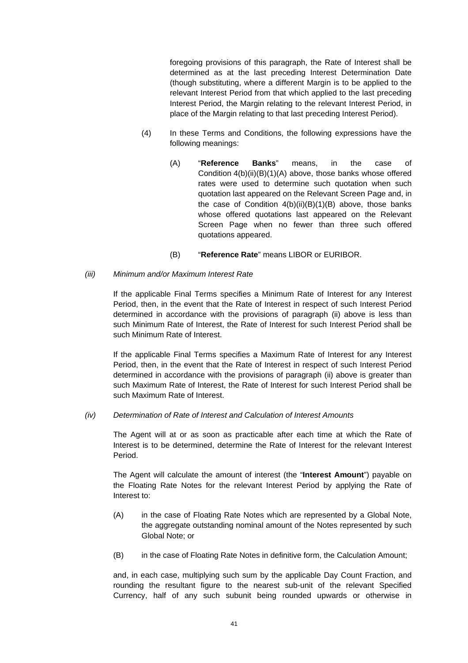foregoing provisions of this paragraph, the Rate of Interest shall be determined as at the last preceding Interest Determination Date (though substituting, where a different Margin is to be applied to the relevant Interest Period from that which applied to the last preceding Interest Period, the Margin relating to the relevant Interest Period, in place of the Margin relating to that last preceding Interest Period).

- (4) In these Terms and Conditions, the following expressions have the following meanings:
	- (A) "**Reference Banks**" means, in the case of Condition 4(b)(ii)(B)(1)(A) above, those banks whose offered rates were used to determine such quotation when such quotation last appeared on the Relevant Screen Page and, in the case of Condition  $4(b)(ii)(B)(1)(B)$  above, those banks whose offered quotations last appeared on the Relevant Screen Page when no fewer than three such offered quotations appeared.
	- (B) "**Reference Rate**" means LIBOR or EURIBOR.

#### *(iii) Minimum and/or Maximum Interest Rate*

If the applicable Final Terms specifies a Minimum Rate of Interest for any Interest Period, then, in the event that the Rate of Interest in respect of such Interest Period determined in accordance with the provisions of paragraph (ii) above is less than such Minimum Rate of Interest, the Rate of Interest for such Interest Period shall be such Minimum Rate of Interest.

If the applicable Final Terms specifies a Maximum Rate of Interest for any Interest Period, then, in the event that the Rate of Interest in respect of such Interest Period determined in accordance with the provisions of paragraph (ii) above is greater than such Maximum Rate of Interest, the Rate of Interest for such Interest Period shall be such Maximum Rate of Interest.

#### *(iv) Determination of Rate of Interest and Calculation of Interest Amounts*

The Agent will at or as soon as practicable after each time at which the Rate of Interest is to be determined, determine the Rate of Interest for the relevant Interest Period.

The Agent will calculate the amount of interest (the "**Interest Amount**") payable on the Floating Rate Notes for the relevant Interest Period by applying the Rate of Interest to:

- (A) in the case of Floating Rate Notes which are represented by a Global Note, the aggregate outstanding nominal amount of the Notes represented by such Global Note; or
- (B) in the case of Floating Rate Notes in definitive form, the Calculation Amount;

and, in each case, multiplying such sum by the applicable Day Count Fraction, and rounding the resultant figure to the nearest sub-unit of the relevant Specified Currency, half of any such subunit being rounded upwards or otherwise in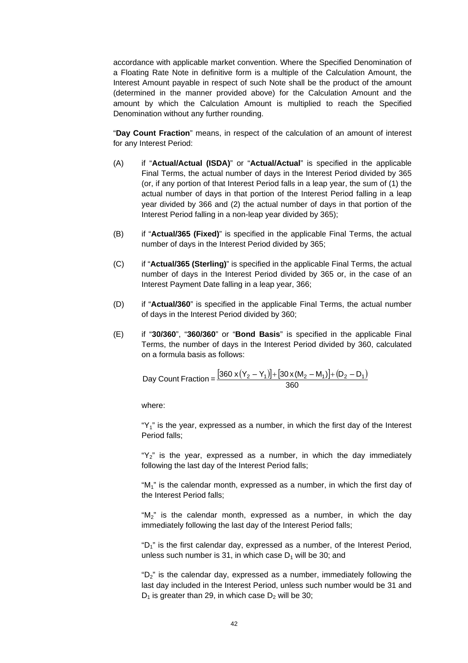accordance with applicable market convention. Where the Specified Denomination of a Floating Rate Note in definitive form is a multiple of the Calculation Amount, the Interest Amount payable in respect of such Note shall be the product of the amount (determined in the manner provided above) for the Calculation Amount and the amount by which the Calculation Amount is multiplied to reach the Specified Denomination without any further rounding.

"**Day Count Fraction**" means, in respect of the calculation of an amount of interest for any Interest Period:

- (A) if "**Actual/Actual (ISDA)**" or "**Actual/Actual**" is specified in the applicable Final Terms, the actual number of days in the Interest Period divided by 365 (or, if any portion of that Interest Period falls in a leap year, the sum of (1) the actual number of days in that portion of the Interest Period falling in a leap year divided by 366 and (2) the actual number of days in that portion of the Interest Period falling in a non-leap year divided by 365);
- (B) if "**Actual/365 (Fixed)**" is specified in the applicable Final Terms, the actual number of days in the Interest Period divided by 365;
- (C) if "**Actual/365 (Sterling)**" is specified in the applicable Final Terms, the actual number of days in the Interest Period divided by 365 or, in the case of an Interest Payment Date falling in a leap year, 366;
- (D) if "**Actual/360**" is specified in the applicable Final Terms, the actual number of days in the Interest Period divided by 360;
- (E) if "**30/360**", "**360/360**" or "**Bond Basis**" is specified in the applicable Final Terms, the number of days in the Interest Period divided by 360, calculated on a formula basis as follows:

Day Count Fraction = 
$$
\frac{[360 \times (Y_2 - Y_1)] + [30 \times (M_2 - M_1)] + (D_2 - D_1)}{360}
$$

where:

" $Y_1$ " is the year, expressed as a number, in which the first day of the Interest Period falls;

" $Y_2$ " is the year, expressed as a number, in which the day immediately following the last day of the Interest Period falls;

" $M_1$ " is the calendar month, expressed as a number, in which the first day of the Interest Period falls;

"M<sub>2</sub>" is the calendar month, expressed as a number, in which the day immediately following the last day of the Interest Period falls;

" $D_1$ " is the first calendar day, expressed as a number, of the Interest Period, unless such number is 31, in which case  $D_1$  will be 30; and

"D2" is the calendar day, expressed as a number, immediately following the last day included in the Interest Period, unless such number would be 31 and  $D_1$  is greater than 29, in which case  $D_2$  will be 30;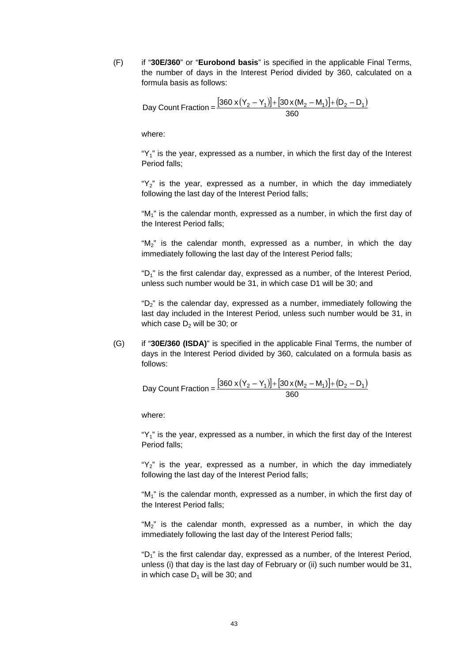(F) if "**30E/360**" or "**Eurobond basis**" is specified in the applicable Final Terms, the number of days in the Interest Period divided by 360, calculated on a formula basis as follows:

Day Count Fraction = 
$$
\frac{[360 \times (Y_2 - Y_1)] + [30 \times (M_2 - M_1)] + (D_2 - D_1)}{360}
$$

where:

" $Y_1$ " is the year, expressed as a number, in which the first day of the Interest Period falls;

" $Y_2$ " is the year, expressed as a number, in which the day immediately following the last day of the Interest Period falls;

"M<sub>1</sub>" is the calendar month, expressed as a number, in which the first day of the Interest Period falls;

" $M_2$ " is the calendar month, expressed as a number, in which the day immediately following the last day of the Interest Period falls;

" $D_1$ " is the first calendar day, expressed as a number, of the Interest Period, unless such number would be 31, in which case D1 will be 30; and

" $D_2$ " is the calendar day, expressed as a number, immediately following the last day included in the Interest Period, unless such number would be 31, in which case  $D<sub>2</sub>$  will be 30; or

(G) if "**30E/360 (ISDA)**" is specified in the applicable Final Terms, the number of days in the Interest Period divided by 360, calculated on a formula basis as follows:

Day Count Fraction = 
$$
\frac{[360 \times (Y_2 - Y_1)] + [30 \times (M_2 - M_1)] + (D_2 - D_1)}{360}
$$

where:

" $Y_1$ " is the year, expressed as a number, in which the first day of the Interest Period falls;

" $Y_2$ " is the year, expressed as a number, in which the day immediately following the last day of the Interest Period falls;

" $M_1$ " is the calendar month, expressed as a number, in which the first day of the Interest Period falls;

" $M_2$ " is the calendar month, expressed as a number, in which the day immediately following the last day of the Interest Period falls;

" $D_1$ " is the first calendar day, expressed as a number, of the Interest Period, unless (i) that day is the last day of February or (ii) such number would be 31, in which case  $D_1$  will be 30; and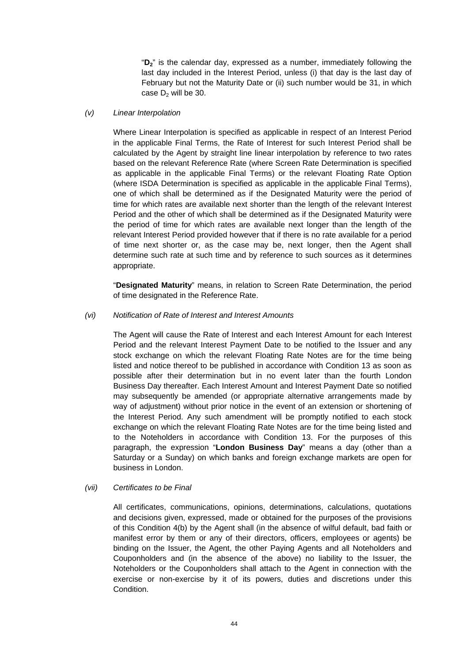"**D2**" is the calendar day, expressed as a number, immediately following the last day included in the Interest Period, unless (i) that day is the last day of February but not the Maturity Date or (ii) such number would be 31, in which case  $D<sub>2</sub>$  will be 30.

#### *(v) Linear Interpolation*

Where Linear Interpolation is specified as applicable in respect of an Interest Period in the applicable Final Terms, the Rate of Interest for such Interest Period shall be calculated by the Agent by straight line linear interpolation by reference to two rates based on the relevant Reference Rate (where Screen Rate Determination is specified as applicable in the applicable Final Terms) or the relevant Floating Rate Option (where ISDA Determination is specified as applicable in the applicable Final Terms), one of which shall be determined as if the Designated Maturity were the period of time for which rates are available next shorter than the length of the relevant Interest Period and the other of which shall be determined as if the Designated Maturity were the period of time for which rates are available next longer than the length of the relevant Interest Period provided however that if there is no rate available for a period of time next shorter or, as the case may be, next longer, then the Agent shall determine such rate at such time and by reference to such sources as it determines appropriate.

"**Designated Maturity**" means, in relation to Screen Rate Determination, the period of time designated in the Reference Rate.

#### *(vi) Notification of Rate of Interest and Interest Amounts*

The Agent will cause the Rate of Interest and each Interest Amount for each Interest Period and the relevant Interest Payment Date to be notified to the Issuer and any stock exchange on which the relevant Floating Rate Notes are for the time being listed and notice thereof to be published in accordance with Condition 13 as soon as possible after their determination but in no event later than the fourth London Business Day thereafter. Each Interest Amount and Interest Payment Date so notified may subsequently be amended (or appropriate alternative arrangements made by way of adjustment) without prior notice in the event of an extension or shortening of the Interest Period. Any such amendment will be promptly notified to each stock exchange on which the relevant Floating Rate Notes are for the time being listed and to the Noteholders in accordance with Condition 13. For the purposes of this paragraph, the expression "**London Business Day**" means a day (other than a Saturday or a Sunday) on which banks and foreign exchange markets are open for business in London.

### *(vii) Certificates to be Final*

All certificates, communications, opinions, determinations, calculations, quotations and decisions given, expressed, made or obtained for the purposes of the provisions of this Condition 4(b) by the Agent shall (in the absence of wilful default, bad faith or manifest error by them or any of their directors, officers, employees or agents) be binding on the Issuer, the Agent, the other Paying Agents and all Noteholders and Couponholders and (in the absence of the above) no liability to the Issuer, the Noteholders or the Couponholders shall attach to the Agent in connection with the exercise or non-exercise by it of its powers, duties and discretions under this Condition.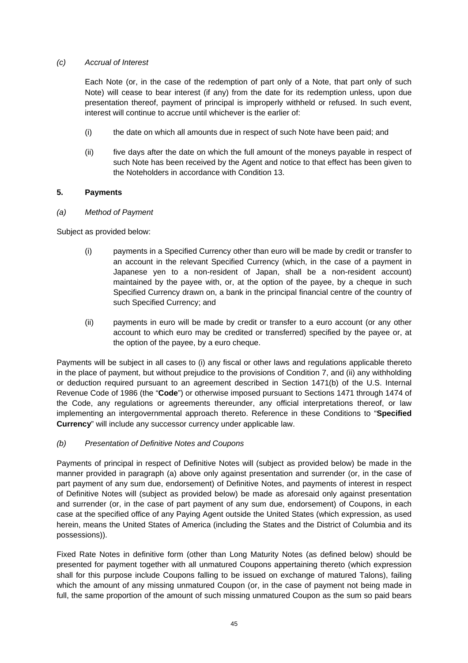#### *(c) Accrual of Interest*

Each Note (or, in the case of the redemption of part only of a Note, that part only of such Note) will cease to bear interest (if any) from the date for its redemption unless, upon due presentation thereof, payment of principal is improperly withheld or refused. In such event, interest will continue to accrue until whichever is the earlier of:

- (i) the date on which all amounts due in respect of such Note have been paid; and
- (ii) five days after the date on which the full amount of the moneys payable in respect of such Note has been received by the Agent and notice to that effect has been given to the Noteholders in accordance with Condition 13.

### **5. Payments**

#### *(a) Method of Payment*

Subject as provided below:

- (i) payments in a Specified Currency other than euro will be made by credit or transfer to an account in the relevant Specified Currency (which, in the case of a payment in Japanese yen to a non-resident of Japan, shall be a non-resident account) maintained by the payee with, or, at the option of the payee, by a cheque in such Specified Currency drawn on, a bank in the principal financial centre of the country of such Specified Currency; and
- (ii) payments in euro will be made by credit or transfer to a euro account (or any other account to which euro may be credited or transferred) specified by the payee or, at the option of the payee, by a euro cheque.

Payments will be subject in all cases to (i) any fiscal or other laws and regulations applicable thereto in the place of payment, but without prejudice to the provisions of Condition 7, and (ii) any withholding or deduction required pursuant to an agreement described in Section 1471(b) of the U.S. Internal Revenue Code of 1986 (the "**Code**") or otherwise imposed pursuant to Sections 1471 through 1474 of the Code, any regulations or agreements thereunder, any official interpretations thereof, or law implementing an intergovernmental approach thereto. Reference in these Conditions to "**Specified Currency**" will include any successor currency under applicable law.

### *(b) Presentation of Definitive Notes and Coupons*

Payments of principal in respect of Definitive Notes will (subject as provided below) be made in the manner provided in paragraph (a) above only against presentation and surrender (or, in the case of part payment of any sum due, endorsement) of Definitive Notes, and payments of interest in respect of Definitive Notes will (subject as provided below) be made as aforesaid only against presentation and surrender (or, in the case of part payment of any sum due, endorsement) of Coupons, in each case at the specified office of any Paying Agent outside the United States (which expression, as used herein, means the United States of America (including the States and the District of Columbia and its possessions)).

Fixed Rate Notes in definitive form (other than Long Maturity Notes (as defined below) should be presented for payment together with all unmatured Coupons appertaining thereto (which expression shall for this purpose include Coupons falling to be issued on exchange of matured Talons), failing which the amount of any missing unmatured Coupon (or, in the case of payment not being made in full, the same proportion of the amount of such missing unmatured Coupon as the sum so paid bears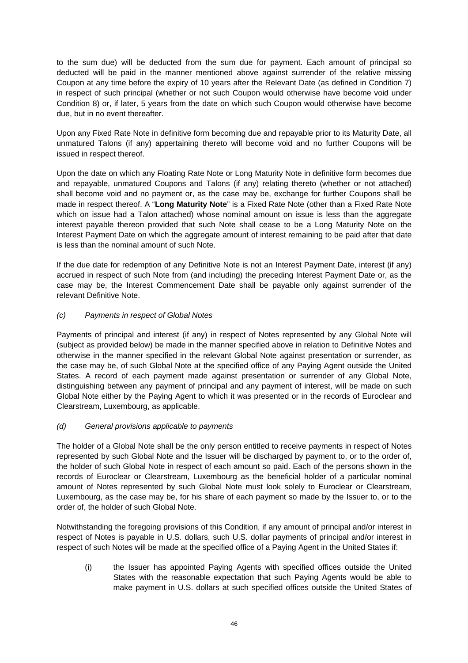to the sum due) will be deducted from the sum due for payment. Each amount of principal so deducted will be paid in the manner mentioned above against surrender of the relative missing Coupon at any time before the expiry of 10 years after the Relevant Date (as defined in Condition 7) in respect of such principal (whether or not such Coupon would otherwise have become void under Condition 8) or, if later, 5 years from the date on which such Coupon would otherwise have become due, but in no event thereafter.

Upon any Fixed Rate Note in definitive form becoming due and repayable prior to its Maturity Date, all unmatured Talons (if any) appertaining thereto will become void and no further Coupons will be issued in respect thereof.

Upon the date on which any Floating Rate Note or Long Maturity Note in definitive form becomes due and repayable, unmatured Coupons and Talons (if any) relating thereto (whether or not attached) shall become void and no payment or, as the case may be, exchange for further Coupons shall be made in respect thereof. A "**Long Maturity Note**" is a Fixed Rate Note (other than a Fixed Rate Note which on issue had a Talon attached) whose nominal amount on issue is less than the aggregate interest payable thereon provided that such Note shall cease to be a Long Maturity Note on the Interest Payment Date on which the aggregate amount of interest remaining to be paid after that date is less than the nominal amount of such Note.

If the due date for redemption of any Definitive Note is not an Interest Payment Date, interest (if any) accrued in respect of such Note from (and including) the preceding Interest Payment Date or, as the case may be, the Interest Commencement Date shall be payable only against surrender of the relevant Definitive Note.

# *(c) Payments in respect of Global Notes*

Payments of principal and interest (if any) in respect of Notes represented by any Global Note will (subject as provided below) be made in the manner specified above in relation to Definitive Notes and otherwise in the manner specified in the relevant Global Note against presentation or surrender, as the case may be, of such Global Note at the specified office of any Paying Agent outside the United States. A record of each payment made against presentation or surrender of any Global Note, distinguishing between any payment of principal and any payment of interest, will be made on such Global Note either by the Paying Agent to which it was presented or in the records of Euroclear and Clearstream, Luxembourg, as applicable.

### *(d) General provisions applicable to payments*

The holder of a Global Note shall be the only person entitled to receive payments in respect of Notes represented by such Global Note and the Issuer will be discharged by payment to, or to the order of, the holder of such Global Note in respect of each amount so paid. Each of the persons shown in the records of Euroclear or Clearstream, Luxembourg as the beneficial holder of a particular nominal amount of Notes represented by such Global Note must look solely to Euroclear or Clearstream, Luxembourg, as the case may be, for his share of each payment so made by the Issuer to, or to the order of, the holder of such Global Note.

Notwithstanding the foregoing provisions of this Condition, if any amount of principal and/or interest in respect of Notes is payable in U.S. dollars, such U.S. dollar payments of principal and/or interest in respect of such Notes will be made at the specified office of a Paying Agent in the United States if:

(i) the Issuer has appointed Paying Agents with specified offices outside the United States with the reasonable expectation that such Paying Agents would be able to make payment in U.S. dollars at such specified offices outside the United States of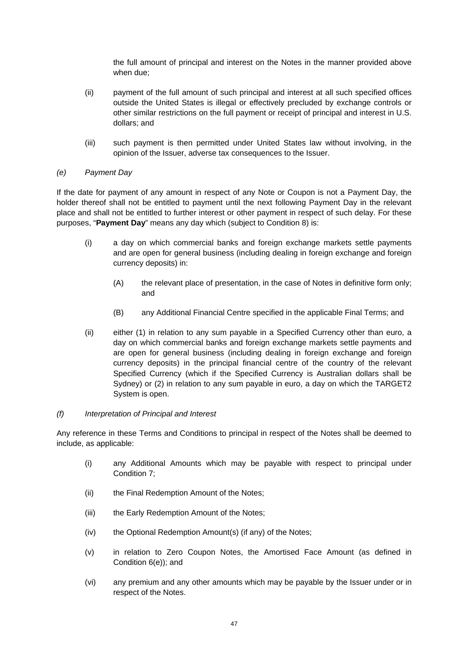the full amount of principal and interest on the Notes in the manner provided above when due;

- (ii) payment of the full amount of such principal and interest at all such specified offices outside the United States is illegal or effectively precluded by exchange controls or other similar restrictions on the full payment or receipt of principal and interest in U.S. dollars; and
- (iii) such payment is then permitted under United States law without involving, in the opinion of the Issuer, adverse tax consequences to the Issuer.

### *(e) Payment Day*

If the date for payment of any amount in respect of any Note or Coupon is not a Payment Day, the holder thereof shall not be entitled to payment until the next following Payment Day in the relevant place and shall not be entitled to further interest or other payment in respect of such delay. For these purposes, "**Payment Day**" means any day which (subject to Condition 8) is:

- (i) a day on which commercial banks and foreign exchange markets settle payments and are open for general business (including dealing in foreign exchange and foreign currency deposits) in:
	- (A) the relevant place of presentation, in the case of Notes in definitive form only; and
	- (B) any Additional Financial Centre specified in the applicable Final Terms; and
- (ii) either (1) in relation to any sum payable in a Specified Currency other than euro, a day on which commercial banks and foreign exchange markets settle payments and are open for general business (including dealing in foreign exchange and foreign currency deposits) in the principal financial centre of the country of the relevant Specified Currency (which if the Specified Currency is Australian dollars shall be Sydney) or (2) in relation to any sum payable in euro, a day on which the TARGET2 System is open.

### *(f) Interpretation of Principal and Interest*

Any reference in these Terms and Conditions to principal in respect of the Notes shall be deemed to include, as applicable:

- (i) any Additional Amounts which may be payable with respect to principal under Condition 7;
- (ii) the Final Redemption Amount of the Notes;
- (iii) the Early Redemption Amount of the Notes;
- (iv) the Optional Redemption Amount(s) (if any) of the Notes;
- (v) in relation to Zero Coupon Notes, the Amortised Face Amount (as defined in Condition 6(e)); and
- (vi) any premium and any other amounts which may be payable by the Issuer under or in respect of the Notes.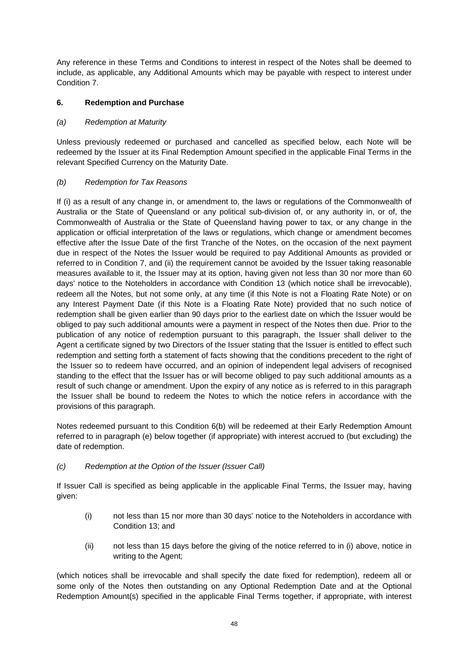Any reference in these Terms and Conditions to interest in respect of the Notes shall be deemed to include, as applicable, any Additional Amounts which may be payable with respect to interest under Condition 7.

# **6. Redemption and Purchase**

# *(a) Redemption at Maturity*

Unless previously redeemed or purchased and cancelled as specified below, each Note will be redeemed by the Issuer at its Final Redemption Amount specified in the applicable Final Terms in the relevant Specified Currency on the Maturity Date.

# *(b) Redemption for Tax Reasons*

If (i) as a result of any change in, or amendment to, the laws or regulations of the Commonwealth of Australia or the State of Queensland or any political sub-division of, or any authority in, or of, the Commonwealth of Australia or the State of Queensland having power to tax, or any change in the application or official interpretation of the laws or regulations, which change or amendment becomes effective after the Issue Date of the first Tranche of the Notes, on the occasion of the next payment due in respect of the Notes the Issuer would be required to pay Additional Amounts as provided or referred to in Condition 7, and (ii) the requirement cannot be avoided by the Issuer taking reasonable measures available to it, the Issuer may at its option, having given not less than 30 nor more than 60 days' notice to the Noteholders in accordance with Condition 13 (which notice shall be irrevocable), redeem all the Notes, but not some only, at any time (if this Note is not a Floating Rate Note) or on any Interest Payment Date (if this Note is a Floating Rate Note) provided that no such notice of redemption shall be given earlier than 90 days prior to the earliest date on which the Issuer would be obliged to pay such additional amounts were a payment in respect of the Notes then due. Prior to the publication of any notice of redemption pursuant to this paragraph, the Issuer shall deliver to the Agent a certificate signed by two Directors of the Issuer stating that the Issuer is entitled to effect such redemption and setting forth a statement of facts showing that the conditions precedent to the right of the Issuer so to redeem have occurred, and an opinion of independent legal advisers of recognised standing to the effect that the Issuer has or will become obliged to pay such additional amounts as a result of such change or amendment. Upon the expiry of any notice as is referred to in this paragraph the Issuer shall be bound to redeem the Notes to which the notice refers in accordance with the provisions of this paragraph.

Notes redeemed pursuant to this Condition 6(b) will be redeemed at their Early Redemption Amount referred to in paragraph (e) below together (if appropriate) with interest accrued to (but excluding) the date of redemption.

*(c) Redemption at the Option of the Issuer (Issuer Call)* 

If Issuer Call is specified as being applicable in the applicable Final Terms, the Issuer may, having given:

- (i) not less than 15 nor more than 30 days' notice to the Noteholders in accordance with Condition 13; and
- (ii) not less than 15 days before the giving of the notice referred to in (i) above, notice in writing to the Agent;

(which notices shall be irrevocable and shall specify the date fixed for redemption), redeem all or some only of the Notes then outstanding on any Optional Redemption Date and at the Optional Redemption Amount(s) specified in the applicable Final Terms together, if appropriate, with interest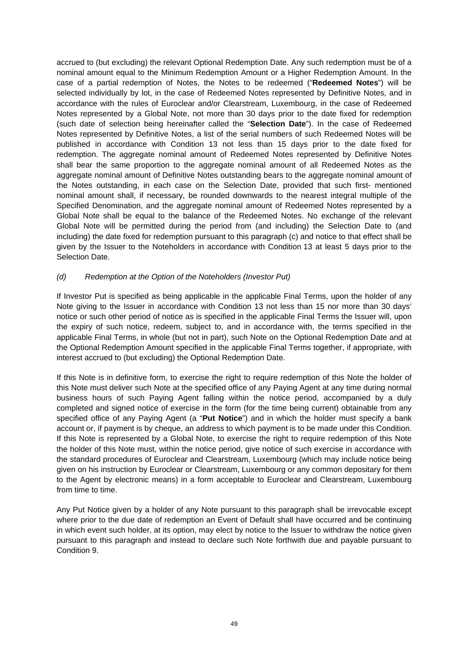accrued to (but excluding) the relevant Optional Redemption Date. Any such redemption must be of a nominal amount equal to the Minimum Redemption Amount or a Higher Redemption Amount. In the case of a partial redemption of Notes, the Notes to be redeemed ("**Redeemed Notes**") will be selected individually by lot, in the case of Redeemed Notes represented by Definitive Notes, and in accordance with the rules of Euroclear and/or Clearstream, Luxembourg, in the case of Redeemed Notes represented by a Global Note, not more than 30 days prior to the date fixed for redemption (such date of selection being hereinafter called the "**Selection Date**"). In the case of Redeemed Notes represented by Definitive Notes, a list of the serial numbers of such Redeemed Notes will be published in accordance with Condition 13 not less than 15 days prior to the date fixed for redemption. The aggregate nominal amount of Redeemed Notes represented by Definitive Notes shall bear the same proportion to the aggregate nominal amount of all Redeemed Notes as the aggregate nominal amount of Definitive Notes outstanding bears to the aggregate nominal amount of the Notes outstanding, in each case on the Selection Date, provided that such first- mentioned nominal amount shall, if necessary, be rounded downwards to the nearest integral multiple of the Specified Denomination, and the aggregate nominal amount of Redeemed Notes represented by a Global Note shall be equal to the balance of the Redeemed Notes. No exchange of the relevant Global Note will be permitted during the period from (and including) the Selection Date to (and including) the date fixed for redemption pursuant to this paragraph (c) and notice to that effect shall be given by the Issuer to the Noteholders in accordance with Condition 13 at least 5 days prior to the Selection Date.

### *(d) Redemption at the Option of the Noteholders (Investor Put)*

If Investor Put is specified as being applicable in the applicable Final Terms, upon the holder of any Note giving to the Issuer in accordance with Condition 13 not less than 15 nor more than 30 days' notice or such other period of notice as is specified in the applicable Final Terms the Issuer will, upon the expiry of such notice, redeem, subject to, and in accordance with, the terms specified in the applicable Final Terms, in whole (but not in part), such Note on the Optional Redemption Date and at the Optional Redemption Amount specified in the applicable Final Terms together, if appropriate, with interest accrued to (but excluding) the Optional Redemption Date.

If this Note is in definitive form, to exercise the right to require redemption of this Note the holder of this Note must deliver such Note at the specified office of any Paying Agent at any time during normal business hours of such Paying Agent falling within the notice period, accompanied by a duly completed and signed notice of exercise in the form (for the time being current) obtainable from any specified office of any Paying Agent (a "**Put Notice**") and in which the holder must specify a bank account or, if payment is by cheque, an address to which payment is to be made under this Condition. If this Note is represented by a Global Note, to exercise the right to require redemption of this Note the holder of this Note must, within the notice period, give notice of such exercise in accordance with the standard procedures of Euroclear and Clearstream, Luxembourg (which may include notice being given on his instruction by Euroclear or Clearstream, Luxembourg or any common depositary for them to the Agent by electronic means) in a form acceptable to Euroclear and Clearstream, Luxembourg from time to time.

Any Put Notice given by a holder of any Note pursuant to this paragraph shall be irrevocable except where prior to the due date of redemption an Event of Default shall have occurred and be continuing in which event such holder, at its option, may elect by notice to the Issuer to withdraw the notice given pursuant to this paragraph and instead to declare such Note forthwith due and payable pursuant to Condition 9.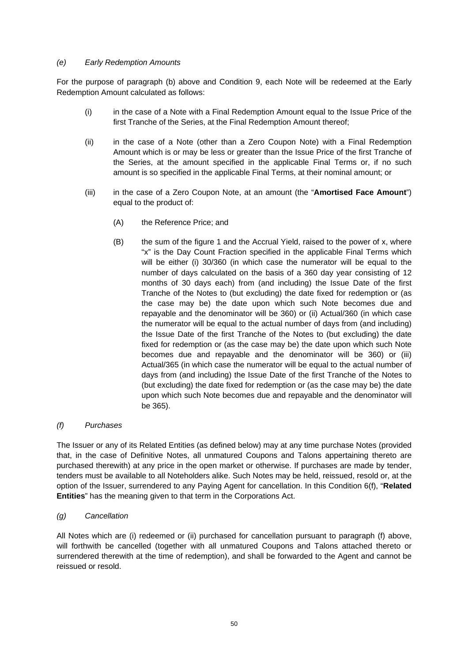### *(e) Early Redemption Amounts*

For the purpose of paragraph (b) above and Condition 9, each Note will be redeemed at the Early Redemption Amount calculated as follows:

- (i) in the case of a Note with a Final Redemption Amount equal to the Issue Price of the first Tranche of the Series, at the Final Redemption Amount thereof;
- (ii) in the case of a Note (other than a Zero Coupon Note) with a Final Redemption Amount which is or may be less or greater than the Issue Price of the first Tranche of the Series, at the amount specified in the applicable Final Terms or, if no such amount is so specified in the applicable Final Terms, at their nominal amount; or
- (iii) in the case of a Zero Coupon Note, at an amount (the "**Amortised Face Amount**") equal to the product of:
	- (A) the Reference Price; and
	- (B) the sum of the figure 1 and the Accrual Yield, raised to the power of x, where "x" is the Day Count Fraction specified in the applicable Final Terms which will be either (i) 30/360 (in which case the numerator will be equal to the number of days calculated on the basis of a 360 day year consisting of 12 months of 30 days each) from (and including) the Issue Date of the first Tranche of the Notes to (but excluding) the date fixed for redemption or (as the case may be) the date upon which such Note becomes due and repayable and the denominator will be 360) or (ii) Actual/360 (in which case the numerator will be equal to the actual number of days from (and including) the Issue Date of the first Tranche of the Notes to (but excluding) the date fixed for redemption or (as the case may be) the date upon which such Note becomes due and repayable and the denominator will be 360) or (iii) Actual/365 (in which case the numerator will be equal to the actual number of days from (and including) the Issue Date of the first Tranche of the Notes to (but excluding) the date fixed for redemption or (as the case may be) the date upon which such Note becomes due and repayable and the denominator will be 365).

### *(f) Purchases*

The Issuer or any of its Related Entities (as defined below) may at any time purchase Notes (provided that, in the case of Definitive Notes, all unmatured Coupons and Talons appertaining thereto are purchased therewith) at any price in the open market or otherwise. If purchases are made by tender, tenders must be available to all Noteholders alike. Such Notes may be held, reissued, resold or, at the option of the Issuer, surrendered to any Paying Agent for cancellation. In this Condition 6(f), "**Related Entities**" has the meaning given to that term in the Corporations Act.

# *(g) Cancellation*

All Notes which are (i) redeemed or (ii) purchased for cancellation pursuant to paragraph (f) above, will forthwith be cancelled (together with all unmatured Coupons and Talons attached thereto or surrendered therewith at the time of redemption), and shall be forwarded to the Agent and cannot be reissued or resold.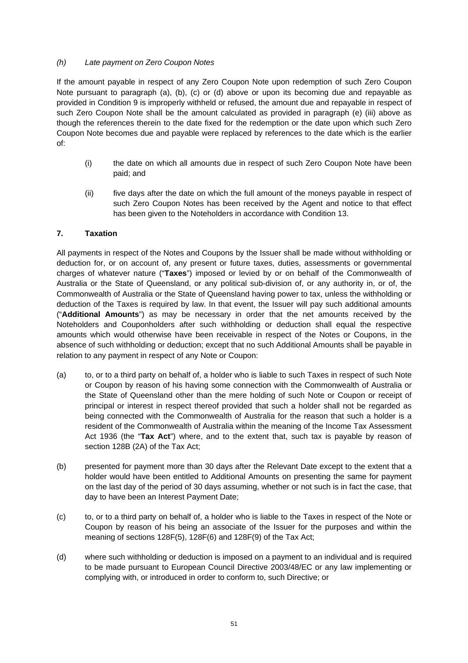## *(h) Late payment on Zero Coupon Notes*

If the amount payable in respect of any Zero Coupon Note upon redemption of such Zero Coupon Note pursuant to paragraph (a), (b), (c) or (d) above or upon its becoming due and repayable as provided in Condition 9 is improperly withheld or refused, the amount due and repayable in respect of such Zero Coupon Note shall be the amount calculated as provided in paragraph (e) (iii) above as though the references therein to the date fixed for the redemption or the date upon which such Zero Coupon Note becomes due and payable were replaced by references to the date which is the earlier of:

- (i) the date on which all amounts due in respect of such Zero Coupon Note have been paid; and
- (ii) five days after the date on which the full amount of the moneys payable in respect of such Zero Coupon Notes has been received by the Agent and notice to that effect has been given to the Noteholders in accordance with Condition 13.

# **7. Taxation**

All payments in respect of the Notes and Coupons by the Issuer shall be made without withholding or deduction for, or on account of, any present or future taxes, duties, assessments or governmental charges of whatever nature ("**Taxes**") imposed or levied by or on behalf of the Commonwealth of Australia or the State of Queensland, or any political sub-division of, or any authority in, or of, the Commonwealth of Australia or the State of Queensland having power to tax, unless the withholding or deduction of the Taxes is required by law. In that event, the Issuer will pay such additional amounts ("**Additional Amounts**") as may be necessary in order that the net amounts received by the Noteholders and Couponholders after such withholding or deduction shall equal the respective amounts which would otherwise have been receivable in respect of the Notes or Coupons, in the absence of such withholding or deduction; except that no such Additional Amounts shall be payable in relation to any payment in respect of any Note or Coupon:

- (a) to, or to a third party on behalf of, a holder who is liable to such Taxes in respect of such Note or Coupon by reason of his having some connection with the Commonwealth of Australia or the State of Queensland other than the mere holding of such Note or Coupon or receipt of principal or interest in respect thereof provided that such a holder shall not be regarded as being connected with the Commonwealth of Australia for the reason that such a holder is a resident of the Commonwealth of Australia within the meaning of the Income Tax Assessment Act 1936 (the "**Tax Act**") where, and to the extent that, such tax is payable by reason of section 128B (2A) of the Tax Act;
- (b) presented for payment more than 30 days after the Relevant Date except to the extent that a holder would have been entitled to Additional Amounts on presenting the same for payment on the last day of the period of 30 days assuming, whether or not such is in fact the case, that day to have been an Interest Payment Date;
- (c) to, or to a third party on behalf of, a holder who is liable to the Taxes in respect of the Note or Coupon by reason of his being an associate of the Issuer for the purposes and within the meaning of sections 128F(5), 128F(6) and 128F(9) of the Tax Act;
- (d) where such withholding or deduction is imposed on a payment to an individual and is required to be made pursuant to European Council Directive 2003/48/EC or any law implementing or complying with, or introduced in order to conform to, such Directive; or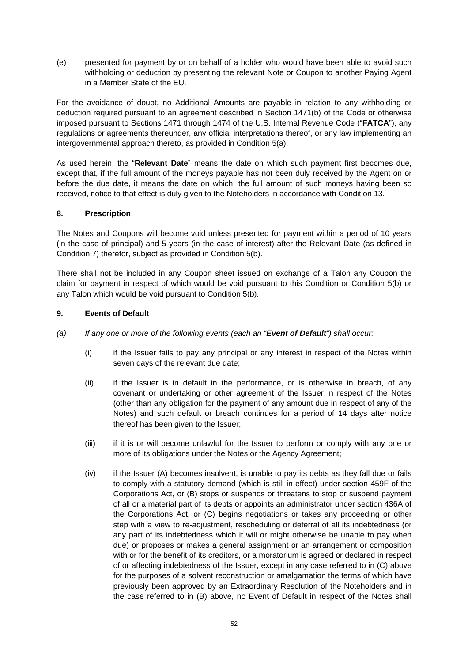(e) presented for payment by or on behalf of a holder who would have been able to avoid such withholding or deduction by presenting the relevant Note or Coupon to another Paying Agent in a Member State of the EU.

For the avoidance of doubt, no Additional Amounts are payable in relation to any withholding or deduction required pursuant to an agreement described in Section 1471(b) of the Code or otherwise imposed pursuant to Sections 1471 through 1474 of the U.S. Internal Revenue Code ("**FATCA**"), any regulations or agreements thereunder, any official interpretations thereof, or any law implementing an intergovernmental approach thereto, as provided in Condition 5(a).

As used herein, the "**Relevant Date**" means the date on which such payment first becomes due, except that, if the full amount of the moneys payable has not been duly received by the Agent on or before the due date, it means the date on which, the full amount of such moneys having been so received, notice to that effect is duly given to the Noteholders in accordance with Condition 13.

# **8. Prescription**

The Notes and Coupons will become void unless presented for payment within a period of 10 years (in the case of principal) and 5 years (in the case of interest) after the Relevant Date (as defined in Condition 7) therefor, subject as provided in Condition 5(b).

There shall not be included in any Coupon sheet issued on exchange of a Talon any Coupon the claim for payment in respect of which would be void pursuant to this Condition or Condition 5(b) or any Talon which would be void pursuant to Condition 5(b).

# **9. Events of Default**

- *(a) If any one or more of the following events (each an "Event of Default") shall occur:* 
	- (i) if the Issuer fails to pay any principal or any interest in respect of the Notes within seven days of the relevant due date;
	- (ii) if the Issuer is in default in the performance, or is otherwise in breach, of any covenant or undertaking or other agreement of the Issuer in respect of the Notes (other than any obligation for the payment of any amount due in respect of any of the Notes) and such default or breach continues for a period of 14 days after notice thereof has been given to the Issuer;
	- (iii) if it is or will become unlawful for the Issuer to perform or comply with any one or more of its obligations under the Notes or the Agency Agreement;
	- (iv) if the Issuer (A) becomes insolvent, is unable to pay its debts as they fall due or fails to comply with a statutory demand (which is still in effect) under section 459F of the Corporations Act, or (B) stops or suspends or threatens to stop or suspend payment of all or a material part of its debts or appoints an administrator under section 436A of the Corporations Act, or (C) begins negotiations or takes any proceeding or other step with a view to re-adjustment, rescheduling or deferral of all its indebtedness (or any part of its indebtedness which it will or might otherwise be unable to pay when due) or proposes or makes a general assignment or an arrangement or composition with or for the benefit of its creditors, or a moratorium is agreed or declared in respect of or affecting indebtedness of the Issuer, except in any case referred to in (C) above for the purposes of a solvent reconstruction or amalgamation the terms of which have previously been approved by an Extraordinary Resolution of the Noteholders and in the case referred to in (B) above, no Event of Default in respect of the Notes shall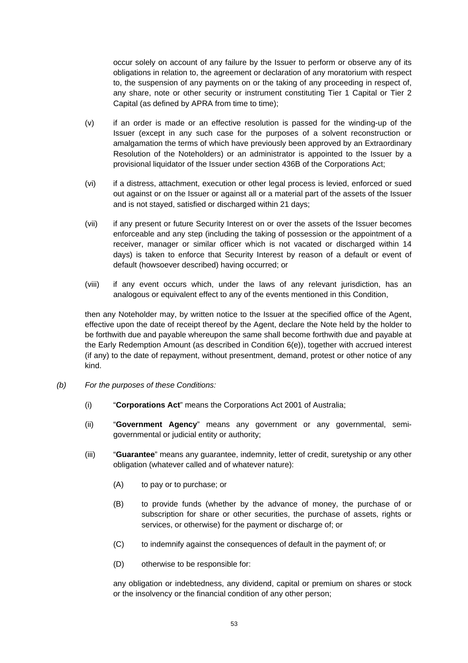occur solely on account of any failure by the Issuer to perform or observe any of its obligations in relation to, the agreement or declaration of any moratorium with respect to, the suspension of any payments on or the taking of any proceeding in respect of, any share, note or other security or instrument constituting Tier 1 Capital or Tier 2 Capital (as defined by APRA from time to time);

- (v) if an order is made or an effective resolution is passed for the winding-up of the Issuer (except in any such case for the purposes of a solvent reconstruction or amalgamation the terms of which have previously been approved by an Extraordinary Resolution of the Noteholders) or an administrator is appointed to the Issuer by a provisional liquidator of the Issuer under section 436B of the Corporations Act;
- (vi) if a distress, attachment, execution or other legal process is levied, enforced or sued out against or on the Issuer or against all or a material part of the assets of the Issuer and is not stayed, satisfied or discharged within 21 days;
- (vii) if any present or future Security Interest on or over the assets of the Issuer becomes enforceable and any step (including the taking of possession or the appointment of a receiver, manager or similar officer which is not vacated or discharged within 14 days) is taken to enforce that Security Interest by reason of a default or event of default (howsoever described) having occurred; or
- (viii) if any event occurs which, under the laws of any relevant jurisdiction, has an analogous or equivalent effect to any of the events mentioned in this Condition,

then any Noteholder may, by written notice to the Issuer at the specified office of the Agent, effective upon the date of receipt thereof by the Agent, declare the Note held by the holder to be forthwith due and payable whereupon the same shall become forthwith due and payable at the Early Redemption Amount (as described in Condition 6(e)), together with accrued interest (if any) to the date of repayment, without presentment, demand, protest or other notice of any kind.

- *(b) For the purposes of these Conditions:* 
	- (i) "**Corporations Act**" means the Corporations Act 2001 of Australia;
	- (ii) "**Government Agency**" means any government or any governmental, semigovernmental or judicial entity or authority;
	- (iii) "**Guarantee**" means any guarantee, indemnity, letter of credit, suretyship or any other obligation (whatever called and of whatever nature):
		- (A) to pay or to purchase; or
		- (B) to provide funds (whether by the advance of money, the purchase of or subscription for share or other securities, the purchase of assets, rights or services, or otherwise) for the payment or discharge of; or
		- (C) to indemnify against the consequences of default in the payment of; or
		- (D) otherwise to be responsible for:

any obligation or indebtedness, any dividend, capital or premium on shares or stock or the insolvency or the financial condition of any other person;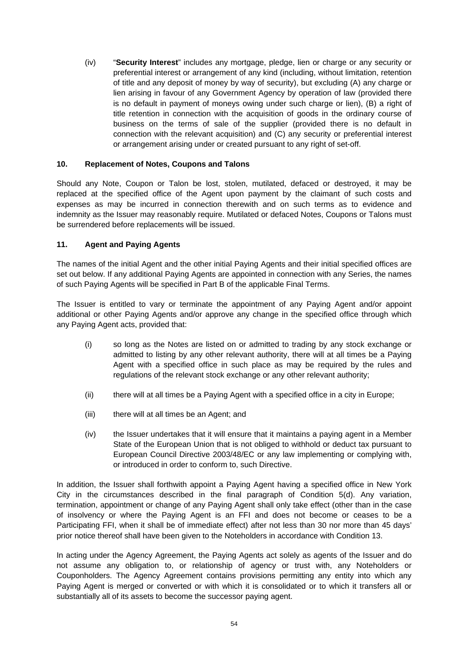(iv) "**Security Interest**" includes any mortgage, pledge, lien or charge or any security or preferential interest or arrangement of any kind (including, without limitation, retention of title and any deposit of money by way of security), but excluding (A) any charge or lien arising in favour of any Government Agency by operation of law (provided there is no default in payment of moneys owing under such charge or lien), (B) a right of title retention in connection with the acquisition of goods in the ordinary course of business on the terms of sale of the supplier (provided there is no default in connection with the relevant acquisition) and (C) any security or preferential interest or arrangement arising under or created pursuant to any right of set-off.

#### **10. Replacement of Notes, Coupons and Talons**

Should any Note, Coupon or Talon be lost, stolen, mutilated, defaced or destroyed, it may be replaced at the specified office of the Agent upon payment by the claimant of such costs and expenses as may be incurred in connection therewith and on such terms as to evidence and indemnity as the Issuer may reasonably require. Mutilated or defaced Notes, Coupons or Talons must be surrendered before replacements will be issued.

### **11. Agent and Paying Agents**

The names of the initial Agent and the other initial Paying Agents and their initial specified offices are set out below. If any additional Paying Agents are appointed in connection with any Series, the names of such Paying Agents will be specified in Part B of the applicable Final Terms.

The Issuer is entitled to vary or terminate the appointment of any Paying Agent and/or appoint additional or other Paying Agents and/or approve any change in the specified office through which any Paying Agent acts, provided that:

- (i) so long as the Notes are listed on or admitted to trading by any stock exchange or admitted to listing by any other relevant authority, there will at all times be a Paying Agent with a specified office in such place as may be required by the rules and regulations of the relevant stock exchange or any other relevant authority;
- (ii) there will at all times be a Paying Agent with a specified office in a city in Europe;
- (iii) there will at all times be an Agent; and
- (iv) the Issuer undertakes that it will ensure that it maintains a paying agent in a Member State of the European Union that is not obliged to withhold or deduct tax pursuant to European Council Directive 2003/48/EC or any law implementing or complying with, or introduced in order to conform to, such Directive.

In addition, the Issuer shall forthwith appoint a Paying Agent having a specified office in New York City in the circumstances described in the final paragraph of Condition 5(d). Any variation, termination, appointment or change of any Paying Agent shall only take effect (other than in the case of insolvency or where the Paying Agent is an FFI and does not become or ceases to be a Participating FFI, when it shall be of immediate effect) after not less than 30 nor more than 45 days' prior notice thereof shall have been given to the Noteholders in accordance with Condition 13.

In acting under the Agency Agreement, the Paying Agents act solely as agents of the Issuer and do not assume any obligation to, or relationship of agency or trust with, any Noteholders or Couponholders. The Agency Agreement contains provisions permitting any entity into which any Paying Agent is merged or converted or with which it is consolidated or to which it transfers all or substantially all of its assets to become the successor paying agent.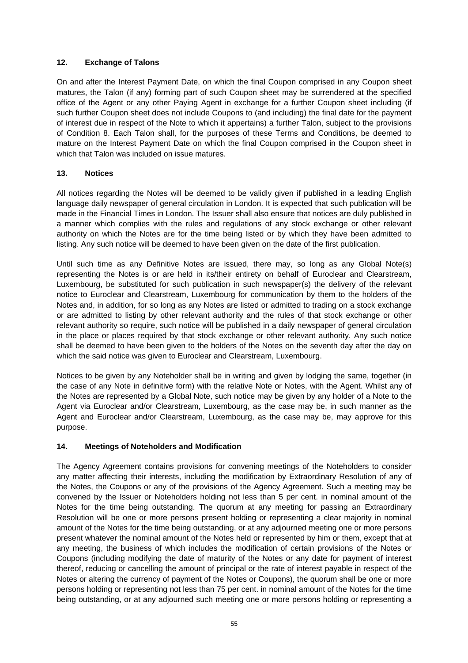# **12. Exchange of Talons**

On and after the Interest Payment Date, on which the final Coupon comprised in any Coupon sheet matures, the Talon (if any) forming part of such Coupon sheet may be surrendered at the specified office of the Agent or any other Paying Agent in exchange for a further Coupon sheet including (if such further Coupon sheet does not include Coupons to (and including) the final date for the payment of interest due in respect of the Note to which it appertains) a further Talon, subject to the provisions of Condition 8. Each Talon shall, for the purposes of these Terms and Conditions, be deemed to mature on the Interest Payment Date on which the final Coupon comprised in the Coupon sheet in which that Talon was included on issue matures.

# **13. Notices**

All notices regarding the Notes will be deemed to be validly given if published in a leading English language daily newspaper of general circulation in London. It is expected that such publication will be made in the Financial Times in London. The Issuer shall also ensure that notices are duly published in a manner which complies with the rules and regulations of any stock exchange or other relevant authority on which the Notes are for the time being listed or by which they have been admitted to listing. Any such notice will be deemed to have been given on the date of the first publication.

Until such time as any Definitive Notes are issued, there may, so long as any Global Note(s) representing the Notes is or are held in its/their entirety on behalf of Euroclear and Clearstream, Luxembourg, be substituted for such publication in such newspaper(s) the delivery of the relevant notice to Euroclear and Clearstream, Luxembourg for communication by them to the holders of the Notes and, in addition, for so long as any Notes are listed or admitted to trading on a stock exchange or are admitted to listing by other relevant authority and the rules of that stock exchange or other relevant authority so require, such notice will be published in a daily newspaper of general circulation in the place or places required by that stock exchange or other relevant authority. Any such notice shall be deemed to have been given to the holders of the Notes on the seventh day after the day on which the said notice was given to Euroclear and Clearstream, Luxembourg.

Notices to be given by any Noteholder shall be in writing and given by lodging the same, together (in the case of any Note in definitive form) with the relative Note or Notes, with the Agent. Whilst any of the Notes are represented by a Global Note, such notice may be given by any holder of a Note to the Agent via Euroclear and/or Clearstream, Luxembourg, as the case may be, in such manner as the Agent and Euroclear and/or Clearstream, Luxembourg, as the case may be, may approve for this purpose.

# **14. Meetings of Noteholders and Modification**

The Agency Agreement contains provisions for convening meetings of the Noteholders to consider any matter affecting their interests, including the modification by Extraordinary Resolution of any of the Notes, the Coupons or any of the provisions of the Agency Agreement. Such a meeting may be convened by the Issuer or Noteholders holding not less than 5 per cent. in nominal amount of the Notes for the time being outstanding. The quorum at any meeting for passing an Extraordinary Resolution will be one or more persons present holding or representing a clear majority in nominal amount of the Notes for the time being outstanding, or at any adjourned meeting one or more persons present whatever the nominal amount of the Notes held or represented by him or them, except that at any meeting, the business of which includes the modification of certain provisions of the Notes or Coupons (including modifying the date of maturity of the Notes or any date for payment of interest thereof, reducing or cancelling the amount of principal or the rate of interest payable in respect of the Notes or altering the currency of payment of the Notes or Coupons), the quorum shall be one or more persons holding or representing not less than 75 per cent. in nominal amount of the Notes for the time being outstanding, or at any adjourned such meeting one or more persons holding or representing a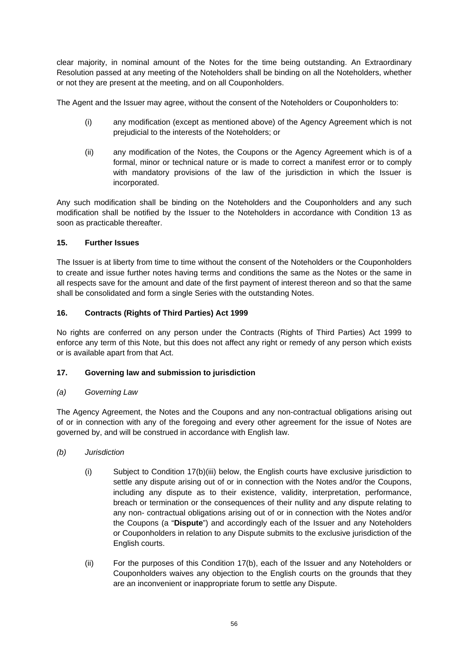clear majority, in nominal amount of the Notes for the time being outstanding. An Extraordinary Resolution passed at any meeting of the Noteholders shall be binding on all the Noteholders, whether or not they are present at the meeting, and on all Couponholders.

The Agent and the Issuer may agree, without the consent of the Noteholders or Couponholders to:

- (i) any modification (except as mentioned above) of the Agency Agreement which is not prejudicial to the interests of the Noteholders; or
- (ii) any modification of the Notes, the Coupons or the Agency Agreement which is of a formal, minor or technical nature or is made to correct a manifest error or to comply with mandatory provisions of the law of the jurisdiction in which the Issuer is incorporated.

Any such modification shall be binding on the Noteholders and the Couponholders and any such modification shall be notified by the Issuer to the Noteholders in accordance with Condition 13 as soon as practicable thereafter.

# **15. Further Issues**

The Issuer is at liberty from time to time without the consent of the Noteholders or the Couponholders to create and issue further notes having terms and conditions the same as the Notes or the same in all respects save for the amount and date of the first payment of interest thereon and so that the same shall be consolidated and form a single Series with the outstanding Notes.

# **16. Contracts (Rights of Third Parties) Act 1999**

No rights are conferred on any person under the Contracts (Rights of Third Parties) Act 1999 to enforce any term of this Note, but this does not affect any right or remedy of any person which exists or is available apart from that Act.

# **17. Governing law and submission to jurisdiction**

### *(a) Governing Law*

The Agency Agreement, the Notes and the Coupons and any non-contractual obligations arising out of or in connection with any of the foregoing and every other agreement for the issue of Notes are governed by, and will be construed in accordance with English law.

- *(b) Jurisdiction* 
	- (i) Subject to Condition 17(b)(iii) below, the English courts have exclusive jurisdiction to settle any dispute arising out of or in connection with the Notes and/or the Coupons, including any dispute as to their existence, validity, interpretation, performance, breach or termination or the consequences of their nullity and any dispute relating to any non- contractual obligations arising out of or in connection with the Notes and/or the Coupons (a "**Dispute**") and accordingly each of the Issuer and any Noteholders or Couponholders in relation to any Dispute submits to the exclusive jurisdiction of the English courts.
	- (ii) For the purposes of this Condition 17(b), each of the Issuer and any Noteholders or Couponholders waives any objection to the English courts on the grounds that they are an inconvenient or inappropriate forum to settle any Dispute.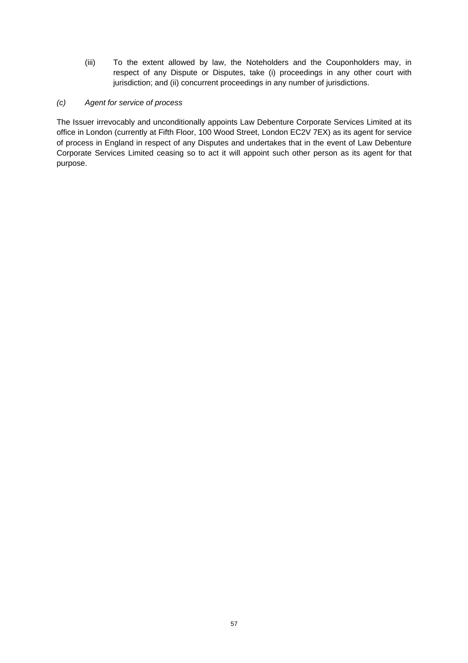- (iii) To the extent allowed by law, the Noteholders and the Couponholders may, in respect of any Dispute or Disputes, take (i) proceedings in any other court with jurisdiction; and (ii) concurrent proceedings in any number of jurisdictions.
- *(c) Agent for service of process*

The Issuer irrevocably and unconditionally appoints Law Debenture Corporate Services Limited at its office in London (currently at Fifth Floor, 100 Wood Street, London EC2V 7EX) as its agent for service of process in England in respect of any Disputes and undertakes that in the event of Law Debenture Corporate Services Limited ceasing so to act it will appoint such other person as its agent for that purpose.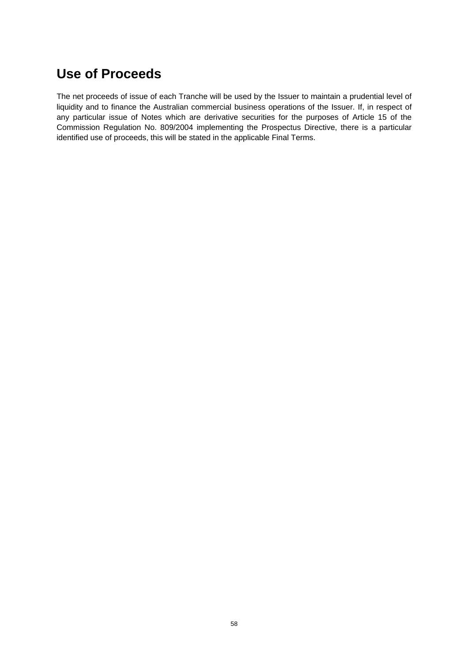# **Use of Proceeds**

The net proceeds of issue of each Tranche will be used by the Issuer to maintain a prudential level of liquidity and to finance the Australian commercial business operations of the Issuer. If, in respect of any particular issue of Notes which are derivative securities for the purposes of Article 15 of the Commission Regulation No. 809/2004 implementing the Prospectus Directive, there is a particular identified use of proceeds, this will be stated in the applicable Final Terms.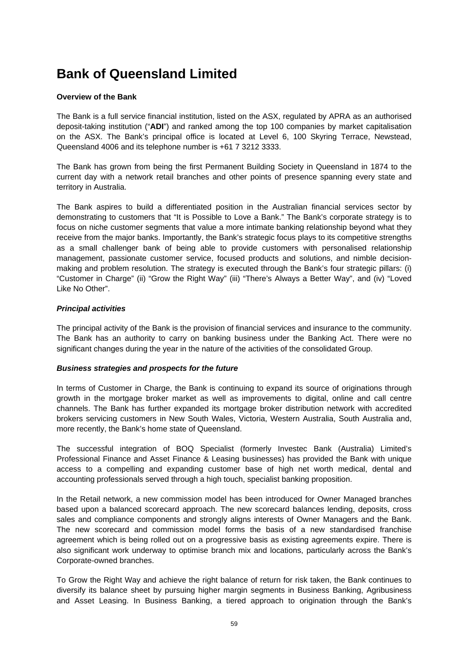# **Bank of Queensland Limited**

# **Overview of the Bank**

The Bank is a full service financial institution, listed on the ASX, regulated by APRA as an authorised deposit-taking institution ("**ADI**") and ranked among the top 100 companies by market capitalisation on the ASX. The Bank's principal office is located at Level 6, 100 Skyring Terrace, Newstead, Queensland 4006 and its telephone number is +61 7 3212 3333.

The Bank has grown from being the first Permanent Building Society in Queensland in 1874 to the current day with a network retail branches and other points of presence spanning every state and territory in Australia.

The Bank aspires to build a differentiated position in the Australian financial services sector by demonstrating to customers that "It is Possible to Love a Bank." The Bank's corporate strategy is to focus on niche customer segments that value a more intimate banking relationship beyond what they receive from the major banks. Importantly, the Bank's strategic focus plays to its competitive strengths as a small challenger bank of being able to provide customers with personalised relationship management, passionate customer service, focused products and solutions, and nimble decisionmaking and problem resolution. The strategy is executed through the Bank's four strategic pillars: (i) "Customer in Charge" (ii) "Grow the Right Way" (iii) "There's Always a Better Way", and (iv) "Loved Like No Other".

### *Principal activities*

The principal activity of the Bank is the provision of financial services and insurance to the community. The Bank has an authority to carry on banking business under the Banking Act. There were no significant changes during the year in the nature of the activities of the consolidated Group.

### *Business strategies and prospects for the future*

In terms of Customer in Charge, the Bank is continuing to expand its source of originations through growth in the mortgage broker market as well as improvements to digital, online and call centre channels. The Bank has further expanded its mortgage broker distribution network with accredited brokers servicing customers in New South Wales, Victoria, Western Australia, South Australia and, more recently, the Bank's home state of Queensland.

The successful integration of BOQ Specialist (formerly Investec Bank (Australia) Limited's Professional Finance and Asset Finance & Leasing businesses) has provided the Bank with unique access to a compelling and expanding customer base of high net worth medical, dental and accounting professionals served through a high touch, specialist banking proposition.

In the Retail network, a new commission model has been introduced for Owner Managed branches based upon a balanced scorecard approach. The new scorecard balances lending, deposits, cross sales and compliance components and strongly aligns interests of Owner Managers and the Bank. The new scorecard and commission model forms the basis of a new standardised franchise agreement which is being rolled out on a progressive basis as existing agreements expire. There is also significant work underway to optimise branch mix and locations, particularly across the Bank's Corporate-owned branches.

To Grow the Right Way and achieve the right balance of return for risk taken, the Bank continues to diversify its balance sheet by pursuing higher margin segments in Business Banking, Agribusiness and Asset Leasing. In Business Banking, a tiered approach to origination through the Bank's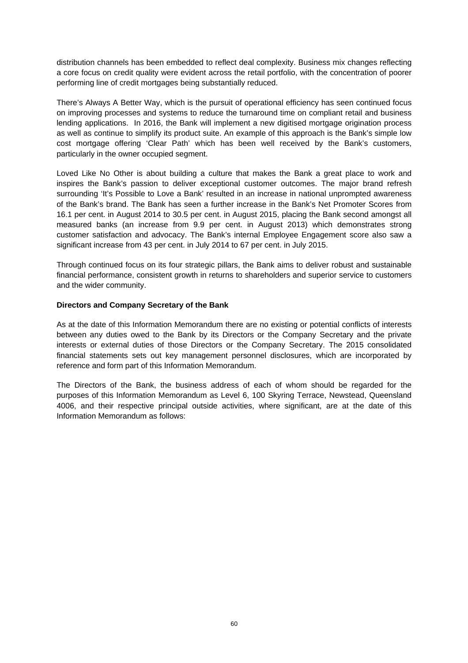distribution channels has been embedded to reflect deal complexity. Business mix changes reflecting a core focus on credit quality were evident across the retail portfolio, with the concentration of poorer performing line of credit mortgages being substantially reduced.

There's Always A Better Way, which is the pursuit of operational efficiency has seen continued focus on improving processes and systems to reduce the turnaround time on compliant retail and business lending applications. In 2016, the Bank will implement a new digitised mortgage origination process as well as continue to simplify its product suite. An example of this approach is the Bank's simple low cost mortgage offering 'Clear Path' which has been well received by the Bank's customers, particularly in the owner occupied segment.

Loved Like No Other is about building a culture that makes the Bank a great place to work and inspires the Bank's passion to deliver exceptional customer outcomes. The major brand refresh surrounding 'It's Possible to Love a Bank' resulted in an increase in national unprompted awareness of the Bank's brand. The Bank has seen a further increase in the Bank's Net Promoter Scores from 16.1 per cent. in August 2014 to 30.5 per cent. in August 2015, placing the Bank second amongst all measured banks (an increase from 9.9 per cent. in August 2013) which demonstrates strong customer satisfaction and advocacy. The Bank's internal Employee Engagement score also saw a significant increase from 43 per cent. in July 2014 to 67 per cent. in July 2015.

Through continued focus on its four strategic pillars, the Bank aims to deliver robust and sustainable financial performance, consistent growth in returns to shareholders and superior service to customers and the wider community.

#### **Directors and Company Secretary of the Bank**

As at the date of this Information Memorandum there are no existing or potential conflicts of interests between any duties owed to the Bank by its Directors or the Company Secretary and the private interests or external duties of those Directors or the Company Secretary. The 2015 consolidated financial statements sets out key management personnel disclosures, which are incorporated by reference and form part of this Information Memorandum.

The Directors of the Bank, the business address of each of whom should be regarded for the purposes of this Information Memorandum as Level 6, 100 Skyring Terrace, Newstead, Queensland 4006, and their respective principal outside activities, where significant, are at the date of this Information Memorandum as follows: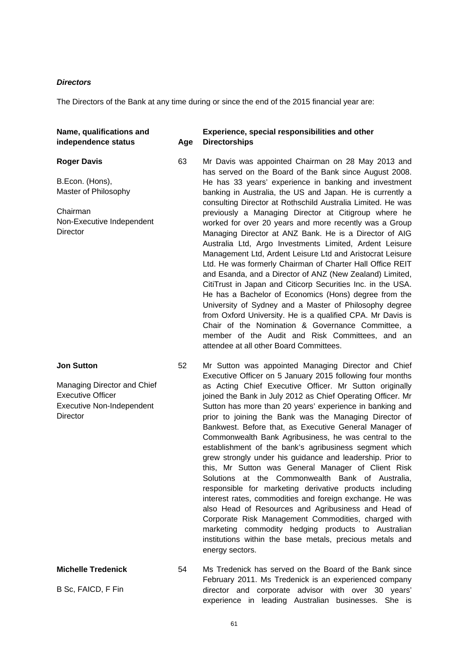#### *Directors*

The Directors of the Bank at any time during or since the end of the 2015 financial year are:

#### **Name, qualifications and independence status Age**

#### **Roger Davis**

B.Econ. (Hons), Master of Philosophy

Chairman Non-Executive Independent **Director** 

#### **Jon Sutton**

Managing Director and Chief Executive Officer Executive Non-Independent **Director** 

# **Michelle Tredenick**

B Sc, FAICD, F Fin

#### **Experience, special responsibilities and other Directorships**

- 63 Mr Davis was appointed Chairman on 28 May 2013 and has served on the Board of the Bank since August 2008. He has 33 years' experience in banking and investment banking in Australia, the US and Japan. He is currently a consulting Director at Rothschild Australia Limited. He was previously a Managing Director at Citigroup where he worked for over 20 years and more recently was a Group Managing Director at ANZ Bank. He is a Director of AIG Australia Ltd, Argo Investments Limited, Ardent Leisure Management Ltd, Ardent Leisure Ltd and Aristocrat Leisure Ltd. He was formerly Chairman of Charter Hall Office REIT and Esanda, and a Director of ANZ (New Zealand) Limited, CitiTrust in Japan and Citicorp Securities Inc. in the USA. He has a Bachelor of Economics (Hons) degree from the University of Sydney and a Master of Philosophy degree from Oxford University. He is a qualified CPA. Mr Davis is Chair of the Nomination & Governance Committee, a member of the Audit and Risk Committees, and an attendee at all other Board Committees.
- 52 Mr Sutton was appointed Managing Director and Chief Executive Officer on 5 January 2015 following four months as Acting Chief Executive Officer. Mr Sutton originally joined the Bank in July 2012 as Chief Operating Officer. Mr Sutton has more than 20 years' experience in banking and prior to joining the Bank was the Managing Director of Bankwest. Before that, as Executive General Manager of Commonwealth Bank Agribusiness, he was central to the establishment of the bank's agribusiness segment which grew strongly under his guidance and leadership. Prior to this, Mr Sutton was General Manager of Client Risk Solutions at the Commonwealth Bank of Australia, responsible for marketing derivative products including interest rates, commodities and foreign exchange. He was also Head of Resources and Agribusiness and Head of Corporate Risk Management Commodities, charged with marketing commodity hedging products to Australian institutions within the base metals, precious metals and energy sectors.
- 54 Ms Tredenick has served on the Board of the Bank since February 2011. Ms Tredenick is an experienced company director and corporate advisor with over 30 years' experience in leading Australian businesses. She is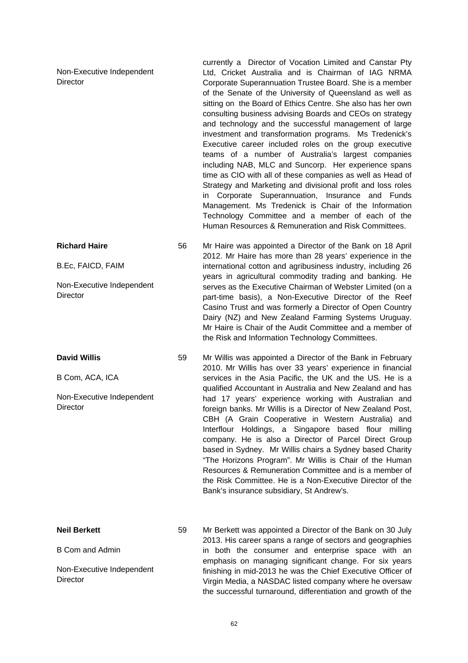| Non-Executive Independent<br><b>Director</b> |    | currently a Director of Vocation Limited and Canstar Pty<br>Ltd, Cricket Australia and is Chairman of IAG NRMA<br>Corporate Superannuation Trustee Board. She is a member<br>of the Senate of the University of Queensland as well as<br>sitting on the Board of Ethics Centre. She also has her own<br>consulting business advising Boards and CEOs on strategy<br>and technology and the successful management of large<br>investment and transformation programs. Ms Tredenick's<br>Executive career included roles on the group executive<br>teams of a number of Australia's largest companies<br>including NAB, MLC and Suncorp. Her experience spans<br>time as CIO with all of these companies as well as Head of<br>Strategy and Marketing and divisional profit and loss roles<br>in Corporate Superannuation, Insurance and Funds<br>Management. Ms Tredenick is Chair of the Information<br>Technology Committee and a member of each of the<br>Human Resources & Remuneration and Risk Committees. |  |
|----------------------------------------------|----|-----------------------------------------------------------------------------------------------------------------------------------------------------------------------------------------------------------------------------------------------------------------------------------------------------------------------------------------------------------------------------------------------------------------------------------------------------------------------------------------------------------------------------------------------------------------------------------------------------------------------------------------------------------------------------------------------------------------------------------------------------------------------------------------------------------------------------------------------------------------------------------------------------------------------------------------------------------------------------------------------------------------|--|
| <b>Richard Haire</b>                         | 56 | Mr Haire was appointed a Director of the Bank on 18 April<br>2012. Mr Haire has more than 28 years' experience in the<br>international cotton and agribusiness industry, including 26<br>years in agricultural commodity trading and banking. He                                                                                                                                                                                                                                                                                                                                                                                                                                                                                                                                                                                                                                                                                                                                                                |  |
| B.Ec, FAICD, FAIM                            |    |                                                                                                                                                                                                                                                                                                                                                                                                                                                                                                                                                                                                                                                                                                                                                                                                                                                                                                                                                                                                                 |  |
| Non-Executive Independent<br>Director        |    | serves as the Executive Chairman of Webster Limited (on a<br>part-time basis), a Non-Executive Director of the Reef<br>Casino Trust and was formerly a Director of Open Country<br>Dairy (NZ) and New Zealand Farming Systems Uruguay.<br>Mr Haire is Chair of the Audit Committee and a member of<br>the Risk and Information Technology Committees.                                                                                                                                                                                                                                                                                                                                                                                                                                                                                                                                                                                                                                                           |  |
| <b>David Willis</b>                          | 59 | Mr Willis was appointed a Director of the Bank in February<br>2010. Mr Willis has over 33 years' experience in financial                                                                                                                                                                                                                                                                                                                                                                                                                                                                                                                                                                                                                                                                                                                                                                                                                                                                                        |  |
| B Com, ACA, ICA                              |    | services in the Asia Pacific, the UK and the US. He is a<br>qualified Accountant in Australia and New Zealand and has                                                                                                                                                                                                                                                                                                                                                                                                                                                                                                                                                                                                                                                                                                                                                                                                                                                                                           |  |
| Non-Executive Independent<br><b>Director</b> |    | had 17 years' experience working with Australian and<br>foreign banks. Mr Willis is a Director of New Zealand Post,<br>CBH (A Grain Cooperative in Western Australia) and<br>Interflour Holdings, a Singapore based flour milling<br>company. He is also a Director of Parcel Direct Group<br>based in Sydney. Mr Willis chairs a Sydney based Charity<br>"The Horizons Program". Mr Willis is Chair of the Human<br>Resources & Remuneration Committee and is a member of<br>the Risk Committee. He is a Non-Executive Director of the<br>Bank's insurance subsidiary, St Andrew's.                                                                                                                                                                                                                                                                                                                                                                                                                            |  |
| <b>Neil Berkett</b>                          | 59 | Mr Berkett was appointed a Director of the Bank on 30 July<br>2013. His career spans a range of sectors and geographies                                                                                                                                                                                                                                                                                                                                                                                                                                                                                                                                                                                                                                                                                                                                                                                                                                                                                         |  |
| <b>B Com and Admin</b>                       |    | in both the consumer and enterprise space with an<br>emphasis on managing significant change. For six years                                                                                                                                                                                                                                                                                                                                                                                                                                                                                                                                                                                                                                                                                                                                                                                                                                                                                                     |  |
| Non-Executive Independent<br><b>Director</b> |    | finishing in mid-2013 he was the Chief Executive Officer of<br>Virgin Media, a NASDAC listed company where he oversaw<br>the successful turnaround, differentiation and growth of the                                                                                                                                                                                                                                                                                                                                                                                                                                                                                                                                                                                                                                                                                                                                                                                                                           |  |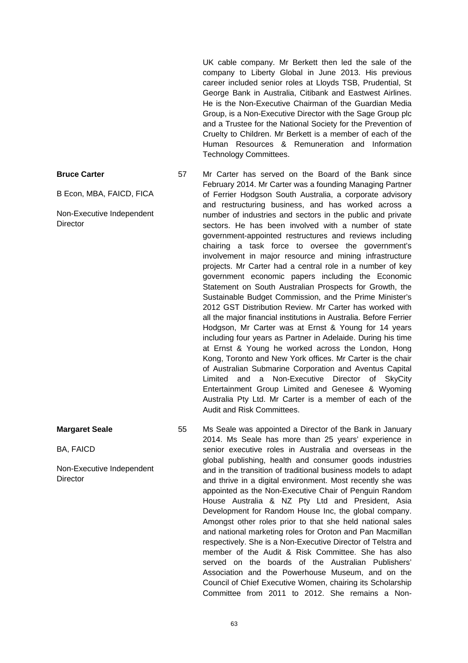UK cable company. Mr Berkett then led the sale of the company to Liberty Global in June 2013. His previous career included senior roles at Lloyds TSB, Prudential, St George Bank in Australia, Citibank and Eastwest Airlines. He is the Non-Executive Chairman of the Guardian Media Group, is a Non-Executive Director with the Sage Group plc and a Trustee for the National Society for the Prevention of Cruelty to Children. Mr Berkett is a member of each of the Human Resources & Remuneration and Information Technology Committees.

- 57 Mr Carter has served on the Board of the Bank since February 2014. Mr Carter was a founding Managing Partner of Ferrier Hodgson South Australia, a corporate advisory and restructuring business, and has worked across a number of industries and sectors in the public and private sectors. He has been involved with a number of state government-appointed restructures and reviews including chairing a task force to oversee the government's involvement in major resource and mining infrastructure projects. Mr Carter had a central role in a number of key government economic papers including the Economic Statement on South Australian Prospects for Growth, the Sustainable Budget Commission, and the Prime Minister's 2012 GST Distribution Review. Mr Carter has worked with all the major financial institutions in Australia. Before Ferrier Hodgson, Mr Carter was at Ernst & Young for 14 years including four years as Partner in Adelaide. During his time at Ernst & Young he worked across the London, Hong Kong, Toronto and New York offices. Mr Carter is the chair of Australian Submarine Corporation and Aventus Capital Limited and a Non-Executive Director of SkyCity Entertainment Group Limited and Genesee & Wyoming Australia Pty Ltd. Mr Carter is a member of each of the Audit and Risk Committees.
	- 55 Ms Seale was appointed a Director of the Bank in January 2014. Ms Seale has more than 25 years' experience in senior executive roles in Australia and overseas in the global publishing, health and consumer goods industries and in the transition of traditional business models to adapt and thrive in a digital environment. Most recently she was appointed as the Non-Executive Chair of Penguin Random House Australia & NZ Pty Ltd and President, Asia Development for Random House Inc, the global company. Amongst other roles prior to that she held national sales and national marketing roles for Oroton and Pan Macmillan respectively. She is a Non-Executive Director of Telstra and member of the Audit & Risk Committee. She has also served on the boards of the Australian Publishers' Association and the Powerhouse Museum, and on the Council of Chief Executive Women, chairing its Scholarship Committee from 2011 to 2012. She remains a Non-

#### **Bruce Carter**

B Econ, MBA, FAICD, FICA

Non-Executive Independent **Director** 

**Margaret Seale**

BA, FAICD

Non-Executive Independent **Director**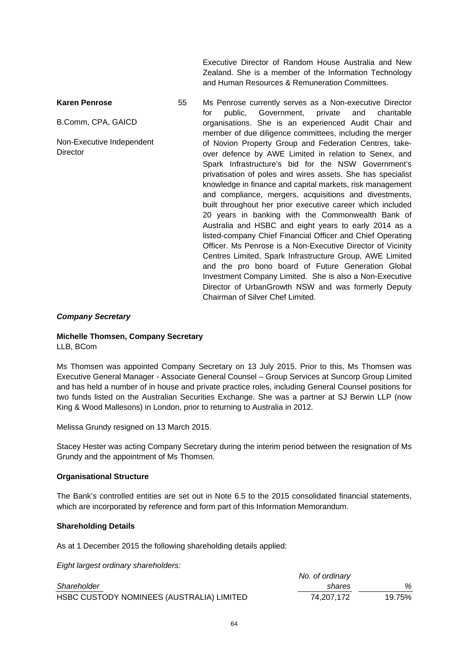Executive Director of Random House Australia and New Zealand. She is a member of the Information Technology and Human Resources & Remuneration Committees.

**Karen Penrose** B.Comm, CPA, GAICD Non-Executive Independent **Director** 55 Ms Penrose currently serves as a Non-executive Director for public, Government, private and charitable organisations. She is an experienced Audit Chair and member of due diligence committees, including the merger of Novion Property Group and Federation Centres, takeover defence by AWE Limited in relation to Senex, and Spark Infrastructure's bid for the NSW Government's privatisation of poles and wires assets. She has specialist knowledge in finance and capital markets, risk management and compliance, mergers, acquisitions and divestments, built throughout her prior executive career which included 20 years in banking with the Commonwealth Bank of Australia and HSBC and eight years to early 2014 as a listed-company Chief Financial Officer and Chief Operating Officer. Ms Penrose is a Non-Executive Director of Vicinity Centres Limited, Spark Infrastructure Group, AWE Limited and the pro bono board of Future Generation Global Investment Company Limited. She is also a Non-Executive Director of UrbanGrowth NSW and was formerly Deputy Chairman of Silver Chef Limited.

#### *Company Secretary*

# **Michelle Thomsen, Company Secretary**

LLB, BCom

Ms Thomsen was appointed Company Secretary on 13 July 2015. Prior to this, Ms Thomsen was Executive General Manager - Associate General Counsel – Group Services at Suncorp Group Limited and has held a number of in house and private practice roles, including General Counsel positions for two funds listed on the Australian Securities Exchange. She was a partner at SJ Berwin LLP (now King & Wood Mallesons) in London, prior to returning to Australia in 2012.

Melissa Grundy resigned on 13 March 2015.

Stacey Hester was acting Company Secretary during the interim period between the resignation of Ms Grundy and the appointment of Ms Thomsen.

#### **Organisational Structure**

The Bank's controlled entities are set out in Note 6.5 to the 2015 consolidated financial statements, which are incorporated by reference and form part of this Information Memorandum.

#### **Shareholding Details**

As at 1 December 2015 the following shareholding details applied:

*Eight largest ordinary shareholders:* 

| $\overline{\phantom{a}}$ |                                           | No. of ordinary |        |
|--------------------------|-------------------------------------------|-----------------|--------|
| Shareholder              |                                           | shares          | ℅      |
|                          | HSBC CUSTODY NOMINEES (AUSTRALIA) LIMITED | 74.207.172      | 19.75% |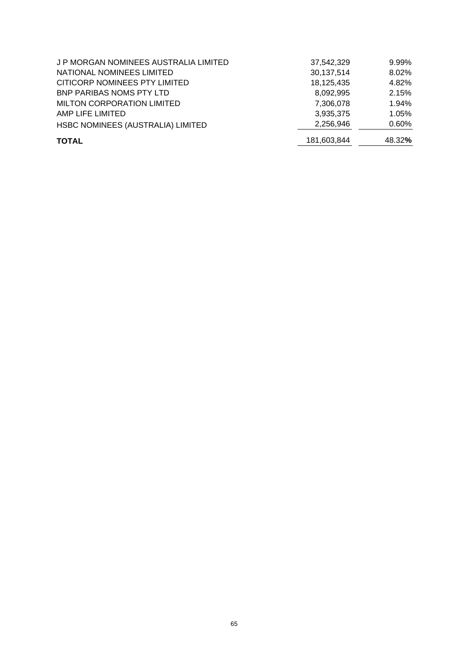| <b>MILTON CORPORATION LIMITED</b><br>AMP LIFE LIMITED | 7,306,078<br>3,935,375 | 1.94%<br>1.05% |
|-------------------------------------------------------|------------------------|----------------|
| HSBC NOMINEES (AUSTRALIA) LIMITED                     | 2,256,946              | $0.60\%$       |
| <b>TOTAL</b>                                          | 181,603,844            | 48.32%         |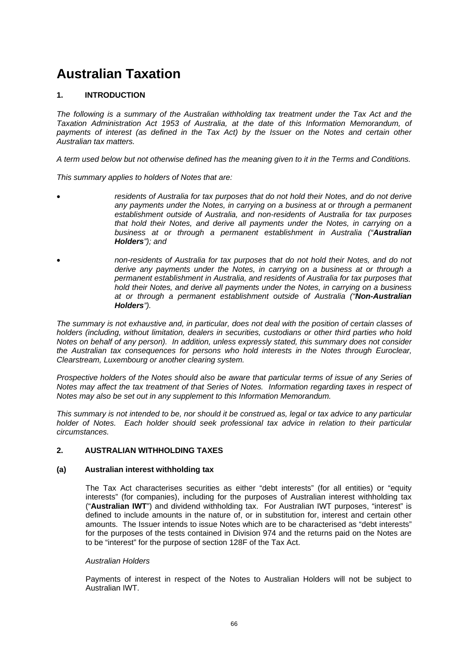# **Australian Taxation**

# **1. INTRODUCTION**

*The following is a summary of the Australian withholding tax treatment under the Tax Act and the Taxation Administration Act 1953 of Australia, at the date of this Information Memorandum, of payments of interest (as defined in the Tax Act) by the Issuer on the Notes and certain other Australian tax matters.* 

*A term used below but not otherwise defined has the meaning given to it in the Terms and Conditions.* 

*This summary applies to holders of Notes that are:* 

- *residents of Australia for tax purposes that do not hold their Notes, and do not derive any payments under the Notes, in carrying on a business at or through a permanent establishment outside of Australia, and non-residents of Australia for tax purposes that hold their Notes, and derive all payments under the Notes, in carrying on a business at or through a permanent establishment in Australia ("Australian Holders"); and*
- *non-residents of Australia for tax purposes that do not hold their Notes, and do not derive any payments under the Notes, in carrying on a business at or through a permanent establishment in Australia, and residents of Australia for tax purposes that hold their Notes, and derive all payments under the Notes, in carrying on a business at or through a permanent establishment outside of Australia ("Non-Australian Holders").*

*The summary is not exhaustive and, in particular, does not deal with the position of certain classes of holders (including, without limitation, dealers in securities, custodians or other third parties who hold Notes on behalf of any person). In addition, unless expressly stated, this summary does not consider the Australian tax consequences for persons who hold interests in the Notes through Euroclear, Clearstream, Luxembourg or another clearing system.* 

*Prospective holders of the Notes should also be aware that particular terms of issue of any Series of Notes may affect the tax treatment of that Series of Notes. Information regarding taxes in respect of Notes may also be set out in any supplement to this Information Memorandum.* 

*This summary is not intended to be, nor should it be construed as, legal or tax advice to any particular holder of Notes. Each holder should seek professional tax advice in relation to their particular circumstances.* 

### **2. AUSTRALIAN WITHHOLDING TAXES**

#### **(a) Australian interest withholding tax**

The Tax Act characterises securities as either "debt interests" (for all entities) or "equity interests" (for companies), including for the purposes of Australian interest withholding tax ("**Australian IWT**") and dividend withholding tax. For Australian IWT purposes, "interest" is defined to include amounts in the nature of, or in substitution for, interest and certain other amounts. The Issuer intends to issue Notes which are to be characterised as "debt interests" for the purposes of the tests contained in Division 974 and the returns paid on the Notes are to be "interest" for the purpose of section 128F of the Tax Act.

#### *Australian Holders*

Payments of interest in respect of the Notes to Australian Holders will not be subject to Australian IWT.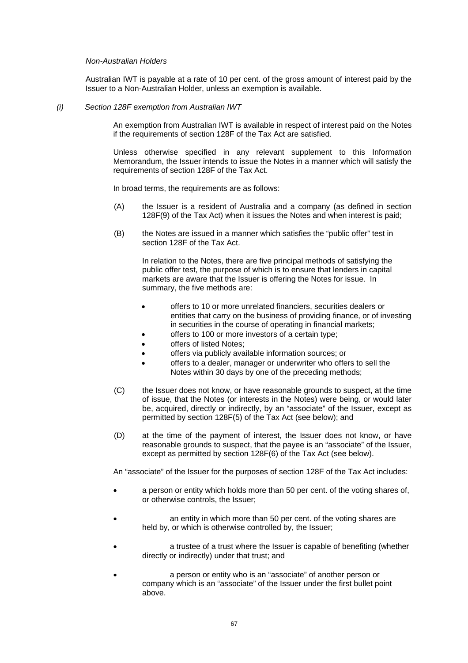#### *Non-Australian Holders*

Australian IWT is payable at a rate of 10 per cent. of the gross amount of interest paid by the Issuer to a Non-Australian Holder, unless an exemption is available.

#### *(i) Section 128F exemption from Australian IWT*

An exemption from Australian IWT is available in respect of interest paid on the Notes if the requirements of section 128F of the Tax Act are satisfied.

Unless otherwise specified in any relevant supplement to this Information Memorandum, the Issuer intends to issue the Notes in a manner which will satisfy the requirements of section 128F of the Tax Act.

In broad terms, the requirements are as follows:

- (A) the Issuer is a resident of Australia and a company (as defined in section 128F(9) of the Tax Act) when it issues the Notes and when interest is paid;
- (B) the Notes are issued in a manner which satisfies the "public offer" test in section 128F of the Tax Act.

In relation to the Notes, there are five principal methods of satisfying the public offer test, the purpose of which is to ensure that lenders in capital markets are aware that the Issuer is offering the Notes for issue. In summary, the five methods are:

- offers to 10 or more unrelated financiers, securities dealers or entities that carry on the business of providing finance, or of investing in securities in the course of operating in financial markets;
- offers to 100 or more investors of a certain type;
- offers of listed Notes;
- offers via publicly available information sources; or
- offers to a dealer, manager or underwriter who offers to sell the Notes within 30 days by one of the preceding methods;
- (C) the Issuer does not know, or have reasonable grounds to suspect, at the time of issue, that the Notes (or interests in the Notes) were being, or would later be, acquired, directly or indirectly, by an "associate" of the Issuer, except as permitted by section 128F(5) of the Tax Act (see below); and
- (D) at the time of the payment of interest, the Issuer does not know, or have reasonable grounds to suspect, that the payee is an "associate" of the Issuer, except as permitted by section 128F(6) of the Tax Act (see below).

An "associate" of the Issuer for the purposes of section 128F of the Tax Act includes:

- a person or entity which holds more than 50 per cent. of the voting shares of, or otherwise controls, the Issuer;
- an entity in which more than 50 per cent. of the voting shares are held by, or which is otherwise controlled by, the Issuer;
- a trustee of a trust where the Issuer is capable of benefiting (whether directly or indirectly) under that trust; and
- a person or entity who is an "associate" of another person or company which is an "associate" of the Issuer under the first bullet point above.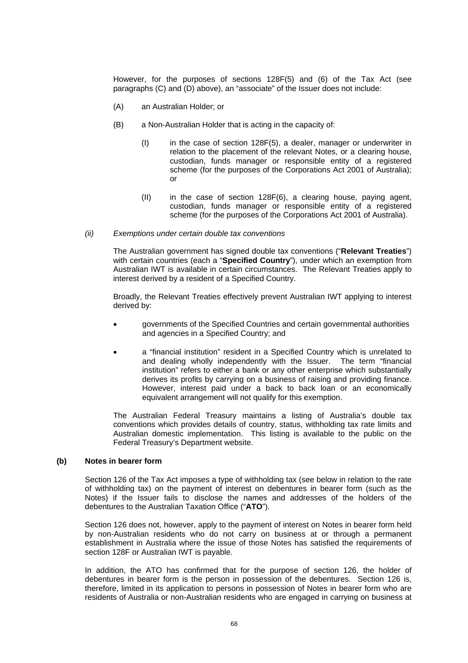However, for the purposes of sections 128F(5) and (6) of the Tax Act (see paragraphs (C) and (D) above), an "associate" of the Issuer does not include:

- (A) an Australian Holder; or
- (B) a Non-Australian Holder that is acting in the capacity of:
	- $(1)$  in the case of section 128F(5), a dealer, manager or underwriter in relation to the placement of the relevant Notes, or a clearing house, custodian, funds manager or responsible entity of a registered scheme (for the purposes of the Corporations Act 2001 of Australia); or
	- (II) in the case of section 128F(6), a clearing house, paying agent, custodian, funds manager or responsible entity of a registered scheme (for the purposes of the Corporations Act 2001 of Australia).
- *(ii) Exemptions under certain double tax conventions*

The Australian government has signed double tax conventions ("**Relevant Treaties**") with certain countries (each a "**Specified Country**"), under which an exemption from Australian IWT is available in certain circumstances. The Relevant Treaties apply to interest derived by a resident of a Specified Country.

Broadly, the Relevant Treaties effectively prevent Australian IWT applying to interest derived by:

- governments of the Specified Countries and certain governmental authorities and agencies in a Specified Country; and
- a "financial institution" resident in a Specified Country which is unrelated to and dealing wholly independently with the Issuer. The term "financial institution" refers to either a bank or any other enterprise which substantially derives its profits by carrying on a business of raising and providing finance. However, interest paid under a back to back loan or an economically equivalent arrangement will not qualify for this exemption.

The Australian Federal Treasury maintains a listing of Australia's double tax conventions which provides details of country, status, withholding tax rate limits and Australian domestic implementation. This listing is available to the public on the Federal Treasury's Department website.

#### **(b) Notes in bearer form**

Section 126 of the Tax Act imposes a type of withholding tax (see below in relation to the rate of withholding tax) on the payment of interest on debentures in bearer form (such as the Notes) if the Issuer fails to disclose the names and addresses of the holders of the debentures to the Australian Taxation Office ("**ATO**").

Section 126 does not, however, apply to the payment of interest on Notes in bearer form held by non-Australian residents who do not carry on business at or through a permanent establishment in Australia where the issue of those Notes has satisfied the requirements of section 128F or Australian IWT is payable.

In addition, the ATO has confirmed that for the purpose of section 126, the holder of debentures in bearer form is the person in possession of the debentures. Section 126 is, therefore, limited in its application to persons in possession of Notes in bearer form who are residents of Australia or non-Australian residents who are engaged in carrying on business at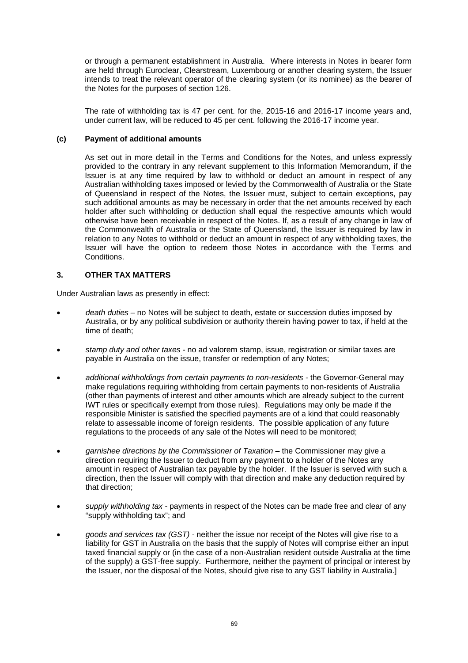or through a permanent establishment in Australia. Where interests in Notes in bearer form are held through Euroclear, Clearstream, Luxembourg or another clearing system, the Issuer intends to treat the relevant operator of the clearing system (or its nominee) as the bearer of the Notes for the purposes of section 126.

The rate of withholding tax is 47 per cent. for the, 2015-16 and 2016-17 income years and, under current law, will be reduced to 45 per cent. following the 2016-17 income year.

#### **(c) Payment of additional amounts**

As set out in more detail in the Terms and Conditions for the Notes, and unless expressly provided to the contrary in any relevant supplement to this Information Memorandum, if the Issuer is at any time required by law to withhold or deduct an amount in respect of any Australian withholding taxes imposed or levied by the Commonwealth of Australia or the State of Queensland in respect of the Notes, the Issuer must, subject to certain exceptions, pay such additional amounts as may be necessary in order that the net amounts received by each holder after such withholding or deduction shall equal the respective amounts which would otherwise have been receivable in respect of the Notes. If, as a result of any change in law of the Commonwealth of Australia or the State of Queensland, the Issuer is required by law in relation to any Notes to withhold or deduct an amount in respect of any withholding taxes, the Issuer will have the option to redeem those Notes in accordance with the Terms and Conditions.

#### **3. OTHER TAX MATTERS**

Under Australian laws as presently in effect:

- *death duties* no Notes will be subject to death, estate or succession duties imposed by Australia, or by any political subdivision or authority therein having power to tax, if held at the time of death;
- *stamp duty and other taxes* no ad valorem stamp, issue, registration or similar taxes are payable in Australia on the issue, transfer or redemption of any Notes;
- *additional withholdings from certain payments to non-residents* the Governor-General may make regulations requiring withholding from certain payments to non-residents of Australia (other than payments of interest and other amounts which are already subject to the current IWT rules or specifically exempt from those rules). Regulations may only be made if the responsible Minister is satisfied the specified payments are of a kind that could reasonably relate to assessable income of foreign residents. The possible application of any future regulations to the proceeds of any sale of the Notes will need to be monitored;
- *garnishee directions by the Commissioner of Taxation* the Commissioner may give a direction requiring the Issuer to deduct from any payment to a holder of the Notes any amount in respect of Australian tax payable by the holder. If the Issuer is served with such a direction, then the Issuer will comply with that direction and make any deduction required by that direction;
- *supply withholding tax* payments in respect of the Notes can be made free and clear of any "supply withholding tax"; and
- *goods and services tax (GST)* neither the issue nor receipt of the Notes will give rise to a liability for GST in Australia on the basis that the supply of Notes will comprise either an input taxed financial supply or (in the case of a non-Australian resident outside Australia at the time of the supply) a GST-free supply. Furthermore, neither the payment of principal or interest by the Issuer, nor the disposal of the Notes, should give rise to any GST liability in Australia.]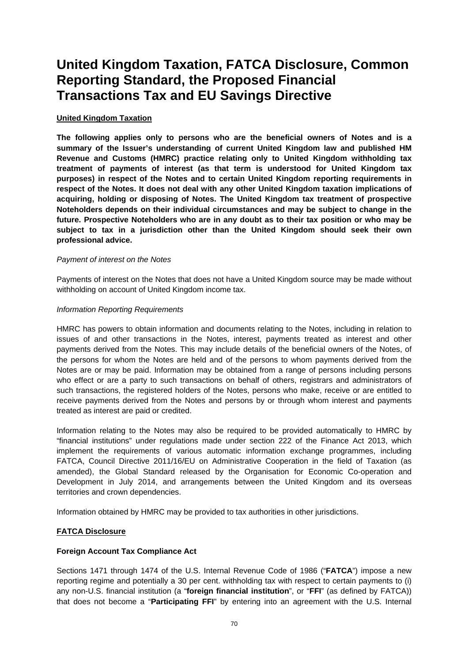# **United Kingdom Taxation, FATCA Disclosure, Common Reporting Standard, the Proposed Financial Transactions Tax and EU Savings Directive**

#### **United Kingdom Taxation**

**The following applies only to persons who are the beneficial owners of Notes and is a summary of the Issuer's understanding of current United Kingdom law and published HM Revenue and Customs (HMRC) practice relating only to United Kingdom withholding tax treatment of payments of interest (as that term is understood for United Kingdom tax purposes) in respect of the Notes and to certain United Kingdom reporting requirements in respect of the Notes. It does not deal with any other United Kingdom taxation implications of acquiring, holding or disposing of Notes. The United Kingdom tax treatment of prospective Noteholders depends on their individual circumstances and may be subject to change in the future. Prospective Noteholders who are in any doubt as to their tax position or who may be subject to tax in a jurisdiction other than the United Kingdom should seek their own professional advice.**

#### *Payment of interest on the Notes*

Payments of interest on the Notes that does not have a United Kingdom source may be made without withholding on account of United Kingdom income tax.

#### *Information Reporting Requirements*

HMRC has powers to obtain information and documents relating to the Notes, including in relation to issues of and other transactions in the Notes, interest, payments treated as interest and other payments derived from the Notes. This may include details of the beneficial owners of the Notes, of the persons for whom the Notes are held and of the persons to whom payments derived from the Notes are or may be paid. Information may be obtained from a range of persons including persons who effect or are a party to such transactions on behalf of others, registrars and administrators of such transactions, the registered holders of the Notes, persons who make, receive or are entitled to receive payments derived from the Notes and persons by or through whom interest and payments treated as interest are paid or credited.

Information relating to the Notes may also be required to be provided automatically to HMRC by "financial institutions" under regulations made under section 222 of the Finance Act 2013, which implement the requirements of various automatic information exchange programmes, including FATCA, Council Directive 2011/16/EU on Administrative Cooperation in the field of Taxation (as amended), the Global Standard released by the Organisation for Economic Co-operation and Development in July 2014, and arrangements between the United Kingdom and its overseas territories and crown dependencies.

Information obtained by HMRC may be provided to tax authorities in other jurisdictions.

### **FATCA Disclosure**

### **Foreign Account Tax Compliance Act**

Sections 1471 through 1474 of the U.S. Internal Revenue Code of 1986 ("**FATCA**") impose a new reporting regime and potentially a 30 per cent. withholding tax with respect to certain payments to (i) any non-U.S. financial institution (a "**foreign financial institution**", or "**FFI**" (as defined by FATCA)) that does not become a "**Participating FFI**" by entering into an agreement with the U.S. Internal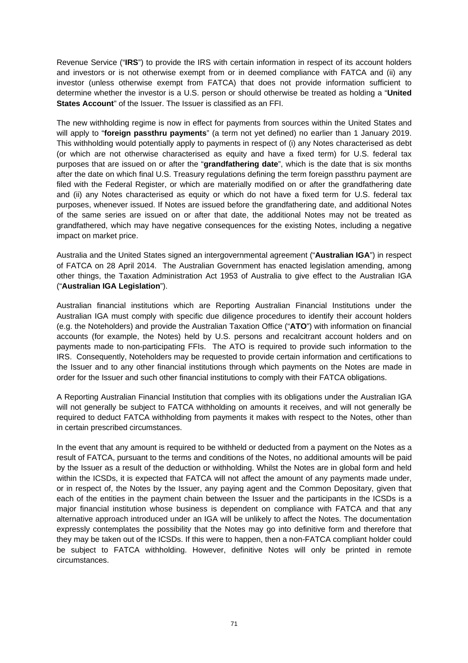Revenue Service ("**IRS**") to provide the IRS with certain information in respect of its account holders and investors or is not otherwise exempt from or in deemed compliance with FATCA and (ii) any investor (unless otherwise exempt from FATCA) that does not provide information sufficient to determine whether the investor is a U.S. person or should otherwise be treated as holding a "**United States Account**" of the Issuer. The Issuer is classified as an FFI.

The new withholding regime is now in effect for payments from sources within the United States and will apply to "**foreign passthru payments**" (a term not yet defined) no earlier than 1 January 2019. This withholding would potentially apply to payments in respect of (i) any Notes characterised as debt (or which are not otherwise characterised as equity and have a fixed term) for U.S. federal tax purposes that are issued on or after the "**grandfathering date**", which is the date that is six months after the date on which final U.S. Treasury regulations defining the term foreign passthru payment are filed with the Federal Register, or which are materially modified on or after the grandfathering date and (ii) any Notes characterised as equity or which do not have a fixed term for U.S. federal tax purposes, whenever issued. If Notes are issued before the grandfathering date, and additional Notes of the same series are issued on or after that date, the additional Notes may not be treated as grandfathered, which may have negative consequences for the existing Notes, including a negative impact on market price.

Australia and the United States signed an intergovernmental agreement ("**Australian IGA**") in respect of FATCA on 28 April 2014. The Australian Government has enacted legislation amending, among other things, the Taxation Administration Act 1953 of Australia to give effect to the Australian IGA ("**Australian IGA Legislation**").

Australian financial institutions which are Reporting Australian Financial Institutions under the Australian IGA must comply with specific due diligence procedures to identify their account holders (e.g. the Noteholders) and provide the Australian Taxation Office ("**ATO**") with information on financial accounts (for example, the Notes) held by U.S. persons and recalcitrant account holders and on payments made to non-participating FFIs. The ATO is required to provide such information to the IRS. Consequently, Noteholders may be requested to provide certain information and certifications to the Issuer and to any other financial institutions through which payments on the Notes are made in order for the Issuer and such other financial institutions to comply with their FATCA obligations.

A Reporting Australian Financial Institution that complies with its obligations under the Australian IGA will not generally be subject to FATCA withholding on amounts it receives, and will not generally be required to deduct FATCA withholding from payments it makes with respect to the Notes, other than in certain prescribed circumstances.

In the event that any amount is required to be withheld or deducted from a payment on the Notes as a result of FATCA, pursuant to the terms and conditions of the Notes, no additional amounts will be paid by the Issuer as a result of the deduction or withholding. Whilst the Notes are in global form and held within the ICSDs, it is expected that FATCA will not affect the amount of any payments made under, or in respect of, the Notes by the Issuer, any paying agent and the Common Depositary, given that each of the entities in the payment chain between the Issuer and the participants in the ICSDs is a major financial institution whose business is dependent on compliance with FATCA and that any alternative approach introduced under an IGA will be unlikely to affect the Notes. The documentation expressly contemplates the possibility that the Notes may go into definitive form and therefore that they may be taken out of the ICSDs. If this were to happen, then a non-FATCA compliant holder could be subject to FATCA withholding. However, definitive Notes will only be printed in remote circumstances.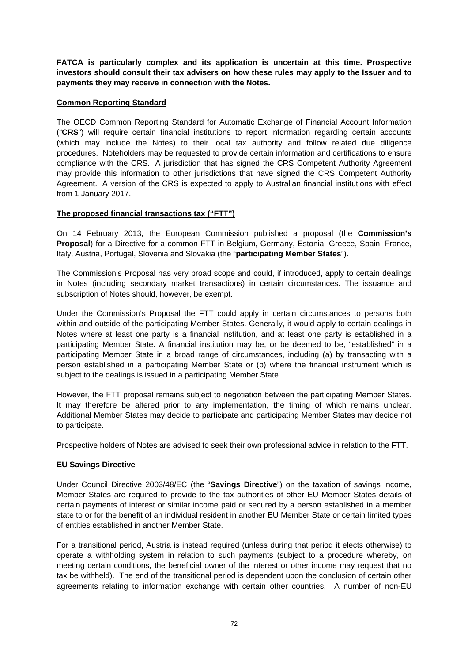**FATCA is particularly complex and its application is uncertain at this time. Prospective investors should consult their tax advisers on how these rules may apply to the Issuer and to payments they may receive in connection with the Notes.** 

# **Common Reporting Standard**

The OECD Common Reporting Standard for Automatic Exchange of Financial Account Information ("**CRS**") will require certain financial institutions to report information regarding certain accounts (which may include the Notes) to their local tax authority and follow related due diligence procedures. Noteholders may be requested to provide certain information and certifications to ensure compliance with the CRS. A jurisdiction that has signed the CRS Competent Authority Agreement may provide this information to other jurisdictions that have signed the CRS Competent Authority Agreement. A version of the CRS is expected to apply to Australian financial institutions with effect from 1 January 2017.

# **The proposed financial transactions tax ("FTT")**

On 14 February 2013, the European Commission published a proposal (the **Commission's Proposal**) for a Directive for a common FTT in Belgium, Germany, Estonia, Greece, Spain, France, Italy, Austria, Portugal, Slovenia and Slovakia (the "**participating Member States**").

The Commission's Proposal has very broad scope and could, if introduced, apply to certain dealings in Notes (including secondary market transactions) in certain circumstances. The issuance and subscription of Notes should, however, be exempt.

Under the Commission's Proposal the FTT could apply in certain circumstances to persons both within and outside of the participating Member States. Generally, it would apply to certain dealings in Notes where at least one party is a financial institution, and at least one party is established in a participating Member State. A financial institution may be, or be deemed to be, "established" in a participating Member State in a broad range of circumstances, including (a) by transacting with a person established in a participating Member State or (b) where the financial instrument which is subject to the dealings is issued in a participating Member State.

However, the FTT proposal remains subject to negotiation between the participating Member States. It may therefore be altered prior to any implementation, the timing of which remains unclear. Additional Member States may decide to participate and participating Member States may decide not to participate.

Prospective holders of Notes are advised to seek their own professional advice in relation to the FTT.

### **EU Savings Directive**

Under Council Directive 2003/48/EC (the "**Savings Directive**") on the taxation of savings income, Member States are required to provide to the tax authorities of other EU Member States details of certain payments of interest or similar income paid or secured by a person established in a member state to or for the benefit of an individual resident in another EU Member State or certain limited types of entities established in another Member State.

For a transitional period, Austria is instead required (unless during that period it elects otherwise) to operate a withholding system in relation to such payments (subject to a procedure whereby, on meeting certain conditions, the beneficial owner of the interest or other income may request that no tax be withheld). The end of the transitional period is dependent upon the conclusion of certain other agreements relating to information exchange with certain other countries. A number of non-EU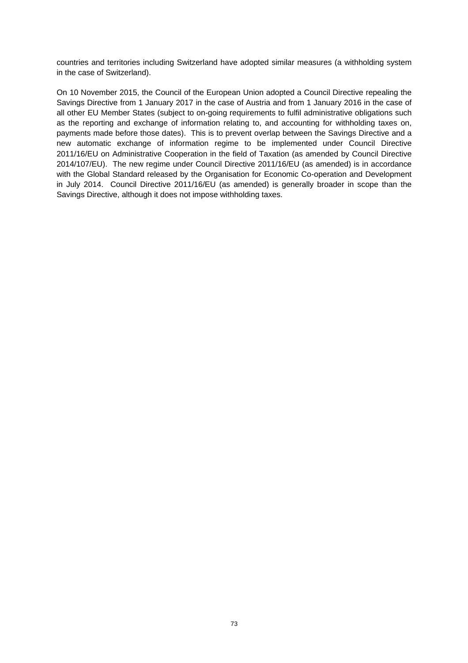countries and territories including Switzerland have adopted similar measures (a withholding system in the case of Switzerland).

On 10 November 2015, the Council of the European Union adopted a Council Directive repealing the Savings Directive from 1 January 2017 in the case of Austria and from 1 January 2016 in the case of all other EU Member States (subject to on-going requirements to fulfil administrative obligations such as the reporting and exchange of information relating to, and accounting for withholding taxes on, payments made before those dates). This is to prevent overlap between the Savings Directive and a new automatic exchange of information regime to be implemented under Council Directive 2011/16/EU on Administrative Cooperation in the field of Taxation (as amended by Council Directive 2014/107/EU). The new regime under Council Directive 2011/16/EU (as amended) is in accordance with the Global Standard released by the Organisation for Economic Co-operation and Development in July 2014. Council Directive 2011/16/EU (as amended) is generally broader in scope than the Savings Directive, although it does not impose withholding taxes.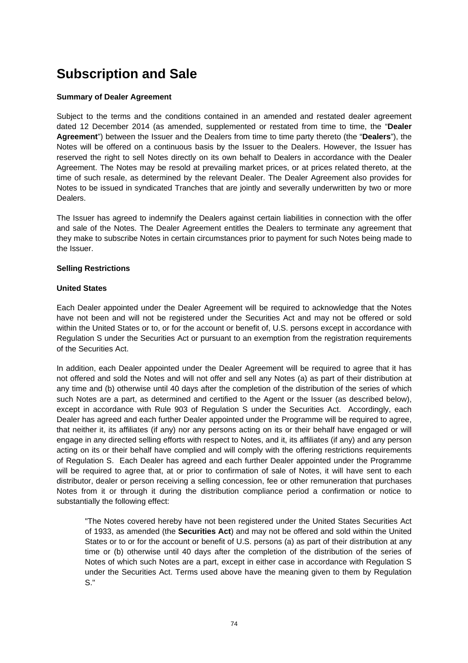# **Subscription and Sale**

#### **Summary of Dealer Agreement**

Subject to the terms and the conditions contained in an amended and restated dealer agreement dated 12 December 2014 (as amended, supplemented or restated from time to time, the "**Dealer Agreement**") between the Issuer and the Dealers from time to time party thereto (the "**Dealers**"), the Notes will be offered on a continuous basis by the Issuer to the Dealers. However, the Issuer has reserved the right to sell Notes directly on its own behalf to Dealers in accordance with the Dealer Agreement. The Notes may be resold at prevailing market prices, or at prices related thereto, at the time of such resale, as determined by the relevant Dealer. The Dealer Agreement also provides for Notes to be issued in syndicated Tranches that are jointly and severally underwritten by two or more Dealers.

The Issuer has agreed to indemnify the Dealers against certain liabilities in connection with the offer and sale of the Notes. The Dealer Agreement entitles the Dealers to terminate any agreement that they make to subscribe Notes in certain circumstances prior to payment for such Notes being made to the Issuer.

#### **Selling Restrictions**

#### **United States**

Each Dealer appointed under the Dealer Agreement will be required to acknowledge that the Notes have not been and will not be registered under the Securities Act and may not be offered or sold within the United States or to, or for the account or benefit of, U.S. persons except in accordance with Regulation S under the Securities Act or pursuant to an exemption from the registration requirements of the Securities Act.

In addition, each Dealer appointed under the Dealer Agreement will be required to agree that it has not offered and sold the Notes and will not offer and sell any Notes (a) as part of their distribution at any time and (b) otherwise until 40 days after the completion of the distribution of the series of which such Notes are a part, as determined and certified to the Agent or the Issuer (as described below), except in accordance with Rule 903 of Regulation S under the Securities Act. Accordingly, each Dealer has agreed and each further Dealer appointed under the Programme will be required to agree, that neither it, its affiliates (if any) nor any persons acting on its or their behalf have engaged or will engage in any directed selling efforts with respect to Notes, and it, its affiliates (if any) and any person acting on its or their behalf have complied and will comply with the offering restrictions requirements of Regulation S. Each Dealer has agreed and each further Dealer appointed under the Programme will be required to agree that, at or prior to confirmation of sale of Notes, it will have sent to each distributor, dealer or person receiving a selling concession, fee or other remuneration that purchases Notes from it or through it during the distribution compliance period a confirmation or notice to substantially the following effect:

"The Notes covered hereby have not been registered under the United States Securities Act of 1933, as amended (the **Securities Act**) and may not be offered and sold within the United States or to or for the account or benefit of U.S. persons (a) as part of their distribution at any time or (b) otherwise until 40 days after the completion of the distribution of the series of Notes of which such Notes are a part, except in either case in accordance with Regulation S under the Securities Act. Terms used above have the meaning given to them by Regulation S."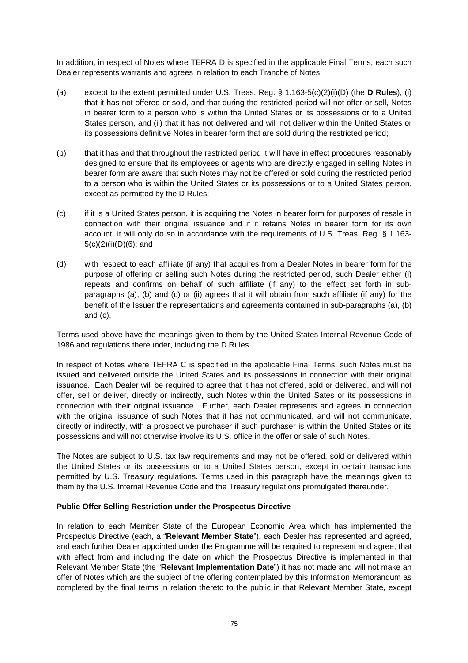In addition, in respect of Notes where TEFRA D is specified in the applicable Final Terms, each such Dealer represents warrants and agrees in relation to each Tranche of Notes:

- (a) except to the extent permitted under U.S. Treas. Reg. § 1.163-5(c)(2)(i)(D) (the **D Rules**), (i) that it has not offered or sold, and that during the restricted period will not offer or sell, Notes in bearer form to a person who is within the United States or its possessions or to a United States person, and (ii) that it has not delivered and will not deliver within the United States or its possessions definitive Notes in bearer form that are sold during the restricted period;
- (b) that it has and that throughout the restricted period it will have in effect procedures reasonably designed to ensure that its employees or agents who are directly engaged in selling Notes in bearer form are aware that such Notes may not be offered or sold during the restricted period to a person who is within the United States or its possessions or to a United States person, except as permitted by the D Rules;
- (c) if it is a United States person, it is acquiring the Notes in bearer form for purposes of resale in connection with their original issuance and if it retains Notes in bearer form for its own account, it will only do so in accordance with the requirements of U.S. Treas. Reg. § 1.163- 5(c)(2)(i)(D)(6); and
- (d) with respect to each affiliate (if any) that acquires from a Dealer Notes in bearer form for the purpose of offering or selling such Notes during the restricted period, such Dealer either (i) repeats and confirms on behalf of such affiliate (if any) to the effect set forth in subparagraphs (a), (b) and (c) or (ii) agrees that it will obtain from such affiliate (if any) for the benefit of the Issuer the representations and agreements contained in sub-paragraphs (a), (b) and (c).

Terms used above have the meanings given to them by the United States Internal Revenue Code of 1986 and regulations thereunder, including the D Rules.

In respect of Notes where TEFRA C is specified in the applicable Final Terms, such Notes must be issued and delivered outside the United States and its possessions in connection with their original issuance. Each Dealer will be required to agree that it has not offered, sold or delivered, and will not offer, sell or deliver, directly or indirectly, such Notes within the United Sates or its possessions in connection with their original issuance. Further, each Dealer represents and agrees in connection with the original issuance of such Notes that it has not communicated, and will not communicate, directly or indirectly, with a prospective purchaser if such purchaser is within the United States or its possessions and will not otherwise involve its U.S. office in the offer or sale of such Notes.

The Notes are subject to U.S. tax law requirements and may not be offered, sold or delivered within the United States or its possessions or to a United States person, except in certain transactions permitted by U.S. Treasury regulations. Terms used in this paragraph have the meanings given to them by the U.S. Internal Revenue Code and the Treasury regulations promulgated thereunder.

### **Public Offer Selling Restriction under the Prospectus Directive**

In relation to each Member State of the European Economic Area which has implemented the Prospectus Directive (each, a "**Relevant Member State**"), each Dealer has represented and agreed, and each further Dealer appointed under the Programme will be required to represent and agree, that with effect from and including the date on which the Prospectus Directive is implemented in that Relevant Member State (the "**Relevant Implementation Date**") it has not made and will not make an offer of Notes which are the subject of the offering contemplated by this Information Memorandum as completed by the final terms in relation thereto to the public in that Relevant Member State, except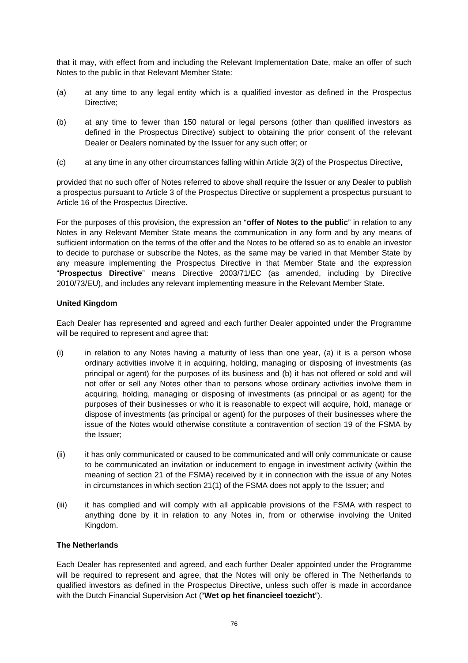that it may, with effect from and including the Relevant Implementation Date, make an offer of such Notes to the public in that Relevant Member State:

- (a) at any time to any legal entity which is a qualified investor as defined in the Prospectus Directive;
- (b) at any time to fewer than 150 natural or legal persons (other than qualified investors as defined in the Prospectus Directive) subject to obtaining the prior consent of the relevant Dealer or Dealers nominated by the Issuer for any such offer; or
- (c) at any time in any other circumstances falling within Article 3(2) of the Prospectus Directive,

provided that no such offer of Notes referred to above shall require the Issuer or any Dealer to publish a prospectus pursuant to Article 3 of the Prospectus Directive or supplement a prospectus pursuant to Article 16 of the Prospectus Directive.

For the purposes of this provision, the expression an "**offer of Notes to the public**" in relation to any Notes in any Relevant Member State means the communication in any form and by any means of sufficient information on the terms of the offer and the Notes to be offered so as to enable an investor to decide to purchase or subscribe the Notes, as the same may be varied in that Member State by any measure implementing the Prospectus Directive in that Member State and the expression "**Prospectus Directive**" means Directive 2003/71/EC (as amended, including by Directive 2010/73/EU), and includes any relevant implementing measure in the Relevant Member State.

#### **United Kingdom**

Each Dealer has represented and agreed and each further Dealer appointed under the Programme will be required to represent and agree that:

- (i) in relation to any Notes having a maturity of less than one year, (a) it is a person whose ordinary activities involve it in acquiring, holding, managing or disposing of investments (as principal or agent) for the purposes of its business and (b) it has not offered or sold and will not offer or sell any Notes other than to persons whose ordinary activities involve them in acquiring, holding, managing or disposing of investments (as principal or as agent) for the purposes of their businesses or who it is reasonable to expect will acquire, hold, manage or dispose of investments (as principal or agent) for the purposes of their businesses where the issue of the Notes would otherwise constitute a contravention of section 19 of the FSMA by the Issuer;
- (ii) it has only communicated or caused to be communicated and will only communicate or cause to be communicated an invitation or inducement to engage in investment activity (within the meaning of section 21 of the FSMA) received by it in connection with the issue of any Notes in circumstances in which section 21(1) of the FSMA does not apply to the Issuer; and
- (iii) it has complied and will comply with all applicable provisions of the FSMA with respect to anything done by it in relation to any Notes in, from or otherwise involving the United Kingdom.

### **The Netherlands**

Each Dealer has represented and agreed, and each further Dealer appointed under the Programme will be required to represent and agree, that the Notes will only be offered in The Netherlands to qualified investors as defined in the Prospectus Directive, unless such offer is made in accordance with the Dutch Financial Supervision Act ("**Wet op het financieel toezicht**").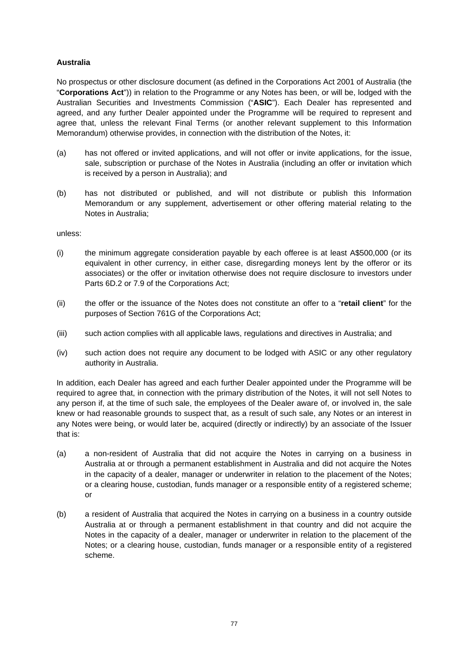# **Australia**

No prospectus or other disclosure document (as defined in the Corporations Act 2001 of Australia (the "**Corporations Act**")) in relation to the Programme or any Notes has been, or will be, lodged with the Australian Securities and Investments Commission ("**ASIC**"). Each Dealer has represented and agreed, and any further Dealer appointed under the Programme will be required to represent and agree that, unless the relevant Final Terms (or another relevant supplement to this Information Memorandum) otherwise provides, in connection with the distribution of the Notes, it:

- (a) has not offered or invited applications, and will not offer or invite applications, for the issue, sale, subscription or purchase of the Notes in Australia (including an offer or invitation which is received by a person in Australia); and
- (b) has not distributed or published, and will not distribute or publish this Information Memorandum or any supplement, advertisement or other offering material relating to the Notes in Australia;

unless:

- (i) the minimum aggregate consideration payable by each offeree is at least A\$500,000 (or its equivalent in other currency, in either case, disregarding moneys lent by the offeror or its associates) or the offer or invitation otherwise does not require disclosure to investors under Parts 6D.2 or 7.9 of the Corporations Act;
- (ii) the offer or the issuance of the Notes does not constitute an offer to a "**retail client**" for the purposes of Section 761G of the Corporations Act;
- (iii) such action complies with all applicable laws, regulations and directives in Australia; and
- (iv) such action does not require any document to be lodged with ASIC or any other regulatory authority in Australia.

In addition, each Dealer has agreed and each further Dealer appointed under the Programme will be required to agree that, in connection with the primary distribution of the Notes, it will not sell Notes to any person if, at the time of such sale, the employees of the Dealer aware of, or involved in, the sale knew or had reasonable grounds to suspect that, as a result of such sale, any Notes or an interest in any Notes were being, or would later be, acquired (directly or indirectly) by an associate of the Issuer that is:

- (a) a non-resident of Australia that did not acquire the Notes in carrying on a business in Australia at or through a permanent establishment in Australia and did not acquire the Notes in the capacity of a dealer, manager or underwriter in relation to the placement of the Notes; or a clearing house, custodian, funds manager or a responsible entity of a registered scheme; or
- (b) a resident of Australia that acquired the Notes in carrying on a business in a country outside Australia at or through a permanent establishment in that country and did not acquire the Notes in the capacity of a dealer, manager or underwriter in relation to the placement of the Notes; or a clearing house, custodian, funds manager or a responsible entity of a registered scheme.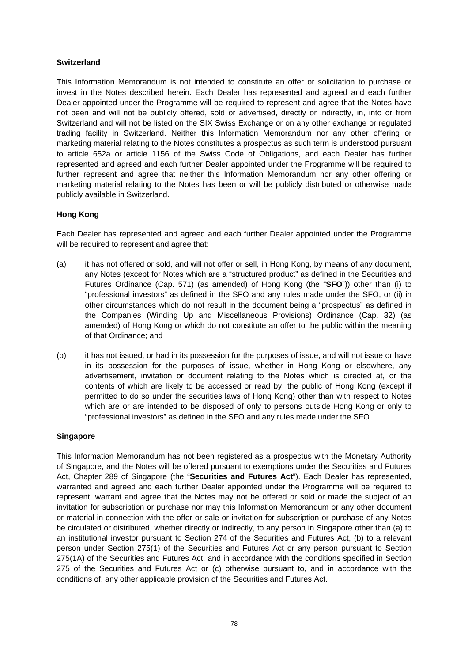### **Switzerland**

This Information Memorandum is not intended to constitute an offer or solicitation to purchase or invest in the Notes described herein. Each Dealer has represented and agreed and each further Dealer appointed under the Programme will be required to represent and agree that the Notes have not been and will not be publicly offered, sold or advertised, directly or indirectly, in, into or from Switzerland and will not be listed on the SIX Swiss Exchange or on any other exchange or regulated trading facility in Switzerland. Neither this Information Memorandum nor any other offering or marketing material relating to the Notes constitutes a prospectus as such term is understood pursuant to article 652a or article 1156 of the Swiss Code of Obligations, and each Dealer has further represented and agreed and each further Dealer appointed under the Programme will be required to further represent and agree that neither this Information Memorandum nor any other offering or marketing material relating to the Notes has been or will be publicly distributed or otherwise made publicly available in Switzerland.

# **Hong Kong**

Each Dealer has represented and agreed and each further Dealer appointed under the Programme will be required to represent and agree that:

- (a) it has not offered or sold, and will not offer or sell, in Hong Kong, by means of any document, any Notes (except for Notes which are a "structured product" as defined in the Securities and Futures Ordinance (Cap. 571) (as amended) of Hong Kong (the "**SFO**")) other than (i) to "professional investors" as defined in the SFO and any rules made under the SFO, or (ii) in other circumstances which do not result in the document being a "prospectus" as defined in the Companies (Winding Up and Miscellaneous Provisions) Ordinance (Cap. 32) (as amended) of Hong Kong or which do not constitute an offer to the public within the meaning of that Ordinance; and
- (b) it has not issued, or had in its possession for the purposes of issue, and will not issue or have in its possession for the purposes of issue, whether in Hong Kong or elsewhere, any advertisement, invitation or document relating to the Notes which is directed at, or the contents of which are likely to be accessed or read by, the public of Hong Kong (except if permitted to do so under the securities laws of Hong Kong) other than with respect to Notes which are or are intended to be disposed of only to persons outside Hong Kong or only to "professional investors" as defined in the SFO and any rules made under the SFO.

### **Singapore**

This Information Memorandum has not been registered as a prospectus with the Monetary Authority of Singapore, and the Notes will be offered pursuant to exemptions under the Securities and Futures Act, Chapter 289 of Singapore (the "**Securities and Futures Act**"). Each Dealer has represented, warranted and agreed and each further Dealer appointed under the Programme will be required to represent, warrant and agree that the Notes may not be offered or sold or made the subject of an invitation for subscription or purchase nor may this Information Memorandum or any other document or material in connection with the offer or sale or invitation for subscription or purchase of any Notes be circulated or distributed, whether directly or indirectly, to any person in Singapore other than (a) to an institutional investor pursuant to Section 274 of the Securities and Futures Act, (b) to a relevant person under Section 275(1) of the Securities and Futures Act or any person pursuant to Section 275(1A) of the Securities and Futures Act, and in accordance with the conditions specified in Section 275 of the Securities and Futures Act or (c) otherwise pursuant to, and in accordance with the conditions of, any other applicable provision of the Securities and Futures Act.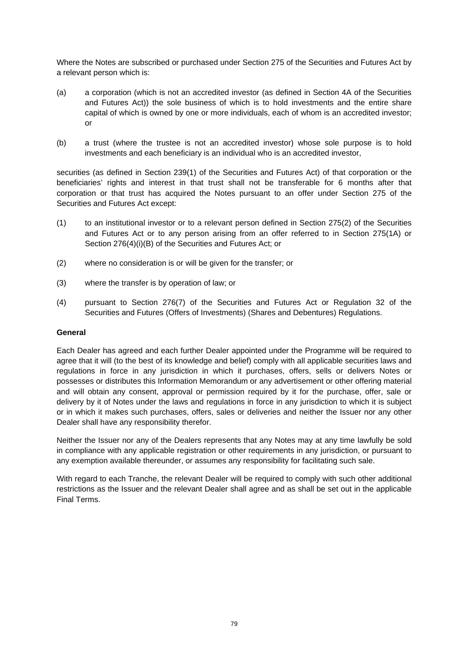Where the Notes are subscribed or purchased under Section 275 of the Securities and Futures Act by a relevant person which is:

- (a) a corporation (which is not an accredited investor (as defined in Section 4A of the Securities and Futures Act)) the sole business of which is to hold investments and the entire share capital of which is owned by one or more individuals, each of whom is an accredited investor; or
- (b) a trust (where the trustee is not an accredited investor) whose sole purpose is to hold investments and each beneficiary is an individual who is an accredited investor,

securities (as defined in Section 239(1) of the Securities and Futures Act) of that corporation or the beneficiaries' rights and interest in that trust shall not be transferable for 6 months after that corporation or that trust has acquired the Notes pursuant to an offer under Section 275 of the Securities and Futures Act except:

- (1) to an institutional investor or to a relevant person defined in Section 275(2) of the Securities and Futures Act or to any person arising from an offer referred to in Section 275(1A) or Section 276(4)(i)(B) of the Securities and Futures Act; or
- (2) where no consideration is or will be given for the transfer; or
- (3) where the transfer is by operation of law; or
- (4) pursuant to Section 276(7) of the Securities and Futures Act or Regulation 32 of the Securities and Futures (Offers of Investments) (Shares and Debentures) Regulations.

#### **General**

Each Dealer has agreed and each further Dealer appointed under the Programme will be required to agree that it will (to the best of its knowledge and belief) comply with all applicable securities laws and regulations in force in any jurisdiction in which it purchases, offers, sells or delivers Notes or possesses or distributes this Information Memorandum or any advertisement or other offering material and will obtain any consent, approval or permission required by it for the purchase, offer, sale or delivery by it of Notes under the laws and regulations in force in any jurisdiction to which it is subject or in which it makes such purchases, offers, sales or deliveries and neither the Issuer nor any other Dealer shall have any responsibility therefor.

Neither the Issuer nor any of the Dealers represents that any Notes may at any time lawfully be sold in compliance with any applicable registration or other requirements in any jurisdiction, or pursuant to any exemption available thereunder, or assumes any responsibility for facilitating such sale.

With regard to each Tranche, the relevant Dealer will be required to comply with such other additional restrictions as the Issuer and the relevant Dealer shall agree and as shall be set out in the applicable Final Terms.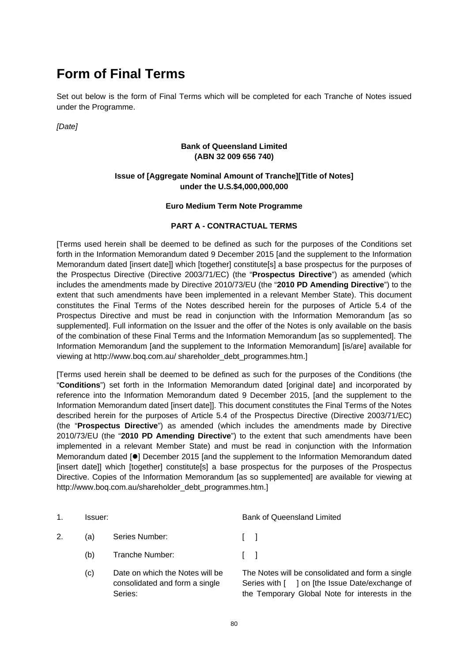# **Form of Final Terms**

Set out below is the form of Final Terms which will be completed for each Tranche of Notes issued under the Programme.

*[Date]* 

### **Bank of Queensland Limited (ABN 32 009 656 740)**

# **Issue of [Aggregate Nominal Amount of Tranche][Title of Notes] under the U.S.\$4,000,000,000**

### **Euro Medium Term Note Programme**

# **PART A - CONTRACTUAL TERMS**

[Terms used herein shall be deemed to be defined as such for the purposes of the Conditions set forth in the Information Memorandum dated 9 December 2015 [and the supplement to the Information Memorandum dated [insert date]] which [together] constitute[s] a base prospectus for the purposes of the Prospectus Directive (Directive 2003/71/EC) (the "**Prospectus Directive**") as amended (which includes the amendments made by Directive 2010/73/EU (the "**2010 PD Amending Directive**") to the extent that such amendments have been implemented in a relevant Member State). This document constitutes the Final Terms of the Notes described herein for the purposes of Article 5.4 of the Prospectus Directive and must be read in conjunction with the Information Memorandum [as so supplemented]. Full information on the Issuer and the offer of the Notes is only available on the basis of the combination of these Final Terms and the Information Memorandum [as so supplemented]. The Information Memorandum [and the supplement to the Information Memorandum] [is/are] available for viewing at http://www.boq.com.au/ shareholder\_debt\_programmes.htm.]

[Terms used herein shall be deemed to be defined as such for the purposes of the Conditions (the "**Conditions**") set forth in the Information Memorandum dated [original date] and incorporated by reference into the Information Memorandum dated 9 December 2015, [and the supplement to the Information Memorandum dated [insert date]]. This document constitutes the Final Terms of the Notes described herein for the purposes of Article 5.4 of the Prospectus Directive (Directive 2003/71/EC) (the "**Prospectus Directive**") as amended (which includes the amendments made by Directive 2010/73/EU (the "**2010 PD Amending Directive**") to the extent that such amendments have been implemented in a relevant Member State) and must be read in conjunction with the Information Memorandum dated [ $\bullet$ ] December 2015 [and the supplement to the Information Memorandum dated [insert date]] which [together] constitute[s] a base prospectus for the purposes of the Prospectus Directive. Copies of the Information Memorandum [as so supplemented] are available for viewing at http://www.bog.com.au/shareholder\_debt\_programmes.htm.]

| 1. | Issuer: |                                                                              | <b>Bank of Queensland Limited</b>                                                                                                                    |  |  |
|----|---------|------------------------------------------------------------------------------|------------------------------------------------------------------------------------------------------------------------------------------------------|--|--|
| 2. | (a)     | Series Number:                                                               | $\Box$                                                                                                                                               |  |  |
|    | (b)     | Tranche Number:                                                              | $\Box$                                                                                                                                               |  |  |
|    | (c)     | Date on which the Notes will be<br>consolidated and form a single<br>Series: | The Notes will be consolidated and form a single<br>Series with [ ] on [the Issue Date/exchange of<br>the Temporary Global Note for interests in the |  |  |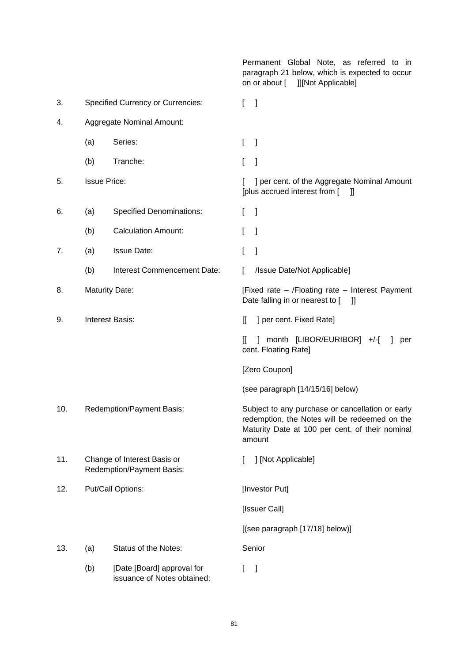Permanent Global Note, as referred to in paragraph 21 below, which is expected to occur on or about [ ]][Not Applicable] 3. Specified Currency or Currencies: [ ] 4. Aggregate Nominal Amount: (a) Series: [ ] (b) Tranche: [ ] 5. Issue Price: [ ] per cent. of the Aggregate Nominal Amount [plus accrued interest from [ ]] 6. (a) Specified Denominations: [ ] (b) Calculation Amount: [ ] 7. (a) Issue Date: [ ] (b) Interest Commencement Date: [ /Issue Date/Not Applicable] 8. Maturity Date: The State – Interest Payment (Fixed rate – /Floating rate – Interest Payment Date falling in or nearest to [ ]] 9. Interest Basis: [[ ] per cent. Fixed Rate] [[ ] month [LIBOR/EURIBOR] +/-[ ] per cent. Floating Rate] [Zero Coupon] (see paragraph [14/15/16] below) 10. Redemption/Payment Basis: Subject to any purchase or cancellation or early redemption, the Notes will be redeemed on the Maturity Date at 100 per cent. of their nominal amount 11. Change of Interest Basis or Redemption/Payment Basis: [ ] [Not Applicable] 12. Put/Call Options: [Investor Put] [Issuer Call] [(see paragraph [17/18] below)] 13. (a) Status of the Notes: Senior (b) [Date [Board] approval for issuance of Notes obtained:  $[$   $]$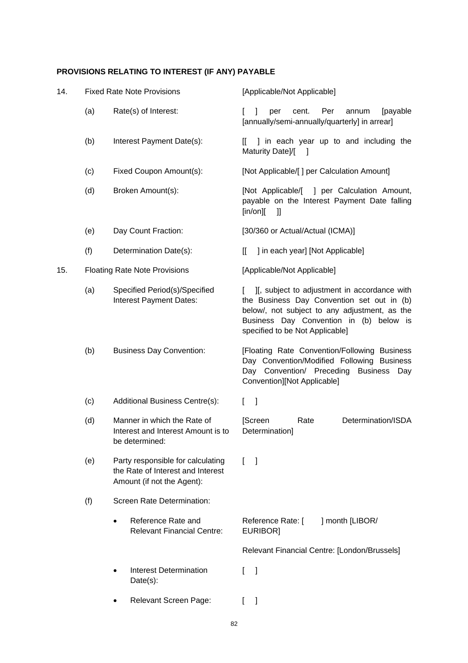# **PROVISIONS RELATING TO INTEREST (IF ANY) PAYABLE**

| 14. |     | <b>Fixed Rate Note Provisions</b>                                                                    | [Applicable/Not Applicable]                                                                                                                                                                                               |  |  |  |
|-----|-----|------------------------------------------------------------------------------------------------------|---------------------------------------------------------------------------------------------------------------------------------------------------------------------------------------------------------------------------|--|--|--|
|     | (a) | Rate(s) of Interest:                                                                                 | Per<br>cent.<br>annum<br>[payable<br>per<br>[annually/semi-annually/quarterly] in arrear]                                                                                                                                 |  |  |  |
|     | (b) | Interest Payment Date(s):                                                                            | I in each year up to and including the<br>IL.<br>Maturity Date]/[<br>$\Box$                                                                                                                                               |  |  |  |
|     | (c) | Fixed Coupon Amount(s):                                                                              | [Not Applicable/[] per Calculation Amount]                                                                                                                                                                                |  |  |  |
|     | (d) | Broken Amount(s):                                                                                    | [Not Applicable/[<br>] per Calculation Amount,<br>payable on the Interest Payment Date falling<br>[in/or]<br>$\mathbf{I}$                                                                                                 |  |  |  |
|     | (e) | Day Count Fraction:                                                                                  | [30/360 or Actual/Actual (ICMA)]                                                                                                                                                                                          |  |  |  |
|     | (f) | Determination Date(s):                                                                               | ] in each year] [Not Applicable]<br>IL                                                                                                                                                                                    |  |  |  |
| 15. |     | <b>Floating Rate Note Provisions</b>                                                                 | [Applicable/Not Applicable]                                                                                                                                                                                               |  |  |  |
|     | (a) | Specified Period(s)/Specified<br>Interest Payment Dates:                                             | II, subject to adjustment in accordance with<br>the Business Day Convention set out in (b)<br>below/, not subject to any adjustment, as the<br>Business Day Convention in (b) below is<br>specified to be Not Applicable] |  |  |  |
|     | (b) | <b>Business Day Convention:</b>                                                                      | [Floating Rate Convention/Following Business<br>Day Convention/Modified Following Business<br>Day Convention/ Preceding<br><b>Business</b><br>Day<br>Convention][Not Applicable]                                          |  |  |  |
|     | (c) | Additional Business Centre(s):                                                                       | $\mathbf{I}$<br>L                                                                                                                                                                                                         |  |  |  |
|     | (d) | Manner in which the Rate of<br>Interest and Interest Amount is to<br>be determined:                  | Determination/ISDA<br>[Screen<br>Rate<br>Determination]                                                                                                                                                                   |  |  |  |
|     | (e) | Party responsible for calculating<br>the Rate of Interest and Interest<br>Amount (if not the Agent): | -1<br>L                                                                                                                                                                                                                   |  |  |  |
|     | (f) | Screen Rate Determination:                                                                           |                                                                                                                                                                                                                           |  |  |  |
|     |     | Reference Rate and<br>$\bullet$<br><b>Relevant Financial Centre:</b>                                 | Reference Rate: [<br>] month [LIBOR/<br>EURIBOR]                                                                                                                                                                          |  |  |  |
|     |     |                                                                                                      | Relevant Financial Centre: [London/Brussels]                                                                                                                                                                              |  |  |  |
|     |     | <b>Interest Determination</b><br>$Date(s)$ :                                                         | 1                                                                                                                                                                                                                         |  |  |  |
|     |     | Relevant Screen Page:                                                                                | -1<br>L                                                                                                                                                                                                                   |  |  |  |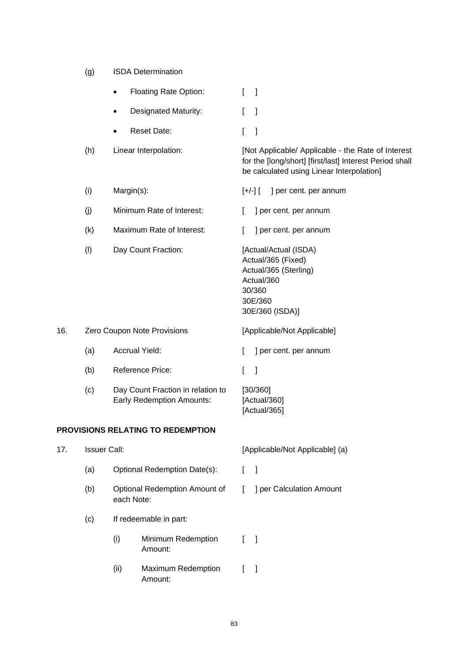(g) ISDA Determination

|     |     | <b>Floating Rate Option:</b>                                          | L<br>$\mathbf{1}$                                                                                                                                          |
|-----|-----|-----------------------------------------------------------------------|------------------------------------------------------------------------------------------------------------------------------------------------------------|
|     |     | <b>Designated Maturity:</b><br>٠                                      | L<br>-1                                                                                                                                                    |
|     |     | <b>Reset Date:</b>                                                    | L<br>$\mathbf{1}$                                                                                                                                          |
|     | (h) | Linear Interpolation:                                                 | [Not Applicable/ Applicable - the Rate of Interest<br>for the [long/short] [first/last] Interest Period shall<br>be calculated using Linear Interpolation] |
|     | (i) | Margin(s):                                                            | $[+/$ ] $[$<br>] per cent. per annum                                                                                                                       |
|     | (j) | Minimum Rate of Interest:                                             | ] per cent. per annum<br>$\mathbf{L}$                                                                                                                      |
|     | (k) | Maximum Rate of Interest:                                             | ] per cent. per annum<br>L                                                                                                                                 |
|     | (1) | Day Count Fraction:                                                   | [Actual/Actual (ISDA)<br>Actual/365 (Fixed)<br>Actual/365 (Sterling)<br>Actual/360<br>30/360<br>30E/360<br>30E/360 (ISDA)]                                 |
| 16. |     | Zero Coupon Note Provisions                                           | [Applicable/Not Applicable]                                                                                                                                |
|     | (a) | <b>Accrual Yield:</b>                                                 | ] per cent. per annum<br>L                                                                                                                                 |
|     | (b) | Reference Price:                                                      | $\mathbf{I}$<br>1                                                                                                                                          |
|     | (c) | Day Count Fraction in relation to<br><b>Early Redemption Amounts:</b> | [30/360]<br>[Actual/360]<br>[Actual/365]                                                                                                                   |
|     |     | PROVISIONS RELATING TO REDEMPTION                                     |                                                                                                                                                            |
|     |     |                                                                       |                                                                                                                                                            |

| 17. | <b>Issuer Call:</b> |                        |                                      | [Applicable/Not Applicable] (a) |                          |  |
|-----|---------------------|------------------------|--------------------------------------|---------------------------------|--------------------------|--|
|     | (a)                 |                        | Optional Redemption Date(s):         |                                 |                          |  |
|     | (b)                 | each Note:             | Optional Redemption Amount of        | L                               | ] per Calculation Amount |  |
|     | (c)                 | If redeemable in part: |                                      |                                 |                          |  |
|     |                     | (i)                    | Minimum Redemption<br>Amount:        |                                 | $\blacksquare$           |  |
|     |                     | (ii)                   | <b>Maximum Redemption</b><br>Amount: |                                 |                          |  |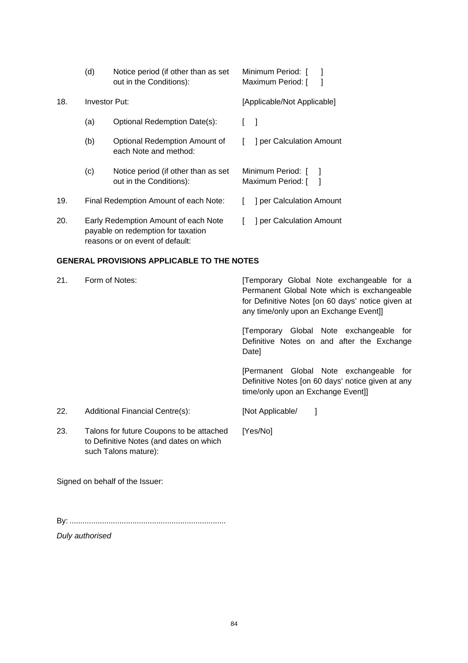|     | (d)                                                                                                           | Notice period (if other than as set<br>out in the Conditions): | Minimum Period: [<br>Maximum Period: [ |
|-----|---------------------------------------------------------------------------------------------------------------|----------------------------------------------------------------|----------------------------------------|
| 18. | Investor Put:                                                                                                 |                                                                | [Applicable/Not Applicable]            |
|     | (a)                                                                                                           | Optional Redemption Date(s):                                   |                                        |
|     | (b)                                                                                                           | Optional Redemption Amount of<br>each Note and method:         | ] per Calculation Amount               |
|     | (c)                                                                                                           | Notice period (if other than as set<br>out in the Conditions): | Minimum Period: [<br>Maximum Period: [ |
| 19. | Final Redemption Amount of each Note:                                                                         |                                                                | ] per Calculation Amount               |
| 20. | Early Redemption Amount of each Note<br>payable on redemption for taxation<br>reasons or on event of default: |                                                                | J per Calculation Amount               |

### **GENERAL PROVISIONS APPLICABLE TO THE NOTES**

| 21. | Form of Notes:                                                                      | Temporary Global Note exchangeable for a<br>Permanent Global Note which is exchangeable<br>for Definitive Notes [on 60 days' notice given at<br>any time/only upon an Exchange Event]] |
|-----|-------------------------------------------------------------------------------------|----------------------------------------------------------------------------------------------------------------------------------------------------------------------------------------|
|     |                                                                                     | [Temporary Global Note exchangeable for<br>Definitive Notes on and after the Exchange<br>Date]                                                                                         |
|     |                                                                                     | [Permanent Global Note exchangeable for<br>Definitive Notes [on 60 days' notice given at any<br>time/only upon an Exchange Event]]                                                     |
| 22. | Additional Financial Centre(s):                                                     | [Not Applicable/                                                                                                                                                                       |
| 23. | Talons for future Coupons to be attached<br>to Definitive Notes (and dates on which | [Yes/No]                                                                                                                                                                               |

Signed on behalf of the Issuer:

such Talons mature):

By: ........................................................................

*Duly authorised*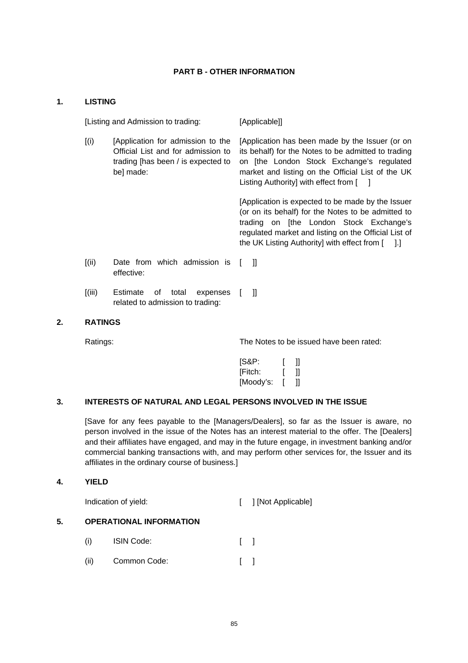#### **PART B - OTHER INFORMATION**

#### **1. LISTING**

[Listing and Admission to trading: [Applicable]] [(i) [Application for admission to the Official List and for admission to trading [has been / is expected to be] made: [Application has been made by the Issuer (or on its behalf) for the Notes to be admitted to trading on [the London Stock Exchange's regulated market and listing on the Official List of the UK Listing Authority] with effect from [ ] [Application is expected to be made by the Issuer (or on its behalf) for the Notes to be admitted to trading on [the London Stock Exchange's regulated market and listing on the Official List of the UK Listing Authority] with effect from [ ].] [(ii) Date from which admission is [ ]] effective:

[(iii) Estimate of total expenses [ ]] related to admission to trading:

#### **2. RATINGS**

Ratings: The Notes to be issued have been rated:

| [S&P:     |   | 11 |
|-----------|---|----|
| [Fitch:   |   | 11 |
| [Moody's: | I | 11 |

### **3. INTERESTS OF NATURAL AND LEGAL PERSONS INVOLVED IN THE ISSUE**

[Save for any fees payable to the [Managers/Dealers], so far as the Issuer is aware, no person involved in the issue of the Notes has an interest material to the offer. The [Dealers] and their affiliates have engaged, and may in the future engage, in investment banking and/or commercial banking transactions with, and may perform other services for, the Issuer and its affiliates in the ordinary course of business.]

#### **4. YIELD**

Indication of yield: [ ] [Not Applicable]

# **5. OPERATIONAL INFORMATION**

- (i) ISIN Code: [ ]
- (ii) Common Code: [ ]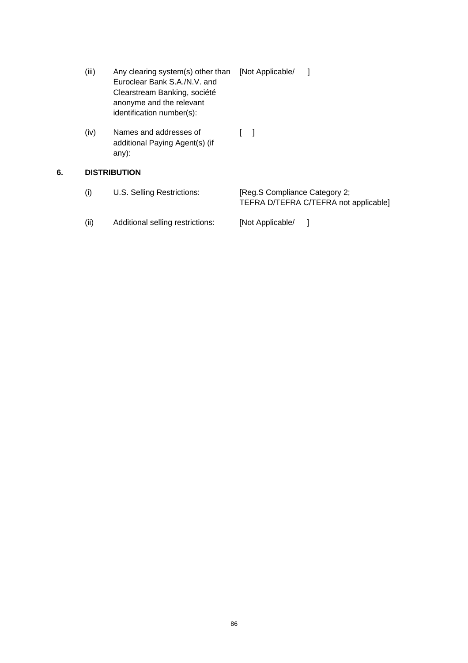- (iii) Any clearing system(s) other than [Not Applicable/ ] Euroclear Bank S.A./N.V. and Clearstream Banking, société anonyme and the relevant identification number(s):
- (iv) Names and addresses of additional Paying Agent(s) (if any):  $[-]$

# **6. DISTRIBUTION**

| (i)  | U.S. Selling Restrictions:       | [Reg.S Compliance Category 2:<br>TEFRA D/TEFRA C/TEFRA not applicable] |
|------|----------------------------------|------------------------------------------------------------------------|
| (ii) | Additional selling restrictions: | [Not Applicable/                                                       |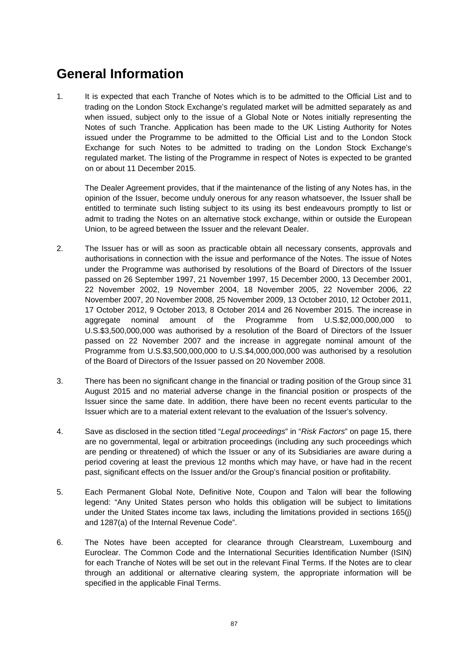# **General Information**

1. It is expected that each Tranche of Notes which is to be admitted to the Official List and to trading on the London Stock Exchange's regulated market will be admitted separately as and when issued, subject only to the issue of a Global Note or Notes initially representing the Notes of such Tranche. Application has been made to the UK Listing Authority for Notes issued under the Programme to be admitted to the Official List and to the London Stock Exchange for such Notes to be admitted to trading on the London Stock Exchange's regulated market. The listing of the Programme in respect of Notes is expected to be granted on or about 11 December 2015.

The Dealer Agreement provides, that if the maintenance of the listing of any Notes has, in the opinion of the Issuer, become unduly onerous for any reason whatsoever, the Issuer shall be entitled to terminate such listing subject to its using its best endeavours promptly to list or admit to trading the Notes on an alternative stock exchange, within or outside the European Union, to be agreed between the Issuer and the relevant Dealer.

- 2. The Issuer has or will as soon as practicable obtain all necessary consents, approvals and authorisations in connection with the issue and performance of the Notes. The issue of Notes under the Programme was authorised by resolutions of the Board of Directors of the Issuer passed on 26 September 1997, 21 November 1997, 15 December 2000, 13 December 2001, 22 November 2002, 19 November 2004, 18 November 2005, 22 November 2006, 22 November 2007, 20 November 2008, 25 November 2009, 13 October 2010, 12 October 2011, 17 October 2012, 9 October 2013, 8 October 2014 and 26 November 2015. The increase in aggregate nominal amount of the Programme from U.S.\$2,000,000,000 to U.S.\$3,500,000,000 was authorised by a resolution of the Board of Directors of the Issuer passed on 22 November 2007 and the increase in aggregate nominal amount of the Programme from U.S.\$3,500,000,000 to U.S.\$4,000,000,000 was authorised by a resolution of the Board of Directors of the Issuer passed on 20 November 2008.
- 3. There has been no significant change in the financial or trading position of the Group since 31 August 2015 and no material adverse change in the financial position or prospects of the Issuer since the same date. In addition, there have been no recent events particular to the Issuer which are to a material extent relevant to the evaluation of the Issuer's solvency.
- 4. Save as disclosed in the section titled "*Legal proceedings*" in "*Risk Factors*" on page 15, there are no governmental, legal or arbitration proceedings (including any such proceedings which are pending or threatened) of which the Issuer or any of its Subsidiaries are aware during a period covering at least the previous 12 months which may have, or have had in the recent past, significant effects on the Issuer and/or the Group's financial position or profitability.
- 5. Each Permanent Global Note, Definitive Note, Coupon and Talon will bear the following legend: "Any United States person who holds this obligation will be subject to limitations under the United States income tax laws, including the limitations provided in sections 165(j) and 1287(a) of the Internal Revenue Code".
- 6. The Notes have been accepted for clearance through Clearstream, Luxembourg and Euroclear. The Common Code and the International Securities Identification Number (ISIN) for each Tranche of Notes will be set out in the relevant Final Terms. If the Notes are to clear through an additional or alternative clearing system, the appropriate information will be specified in the applicable Final Terms.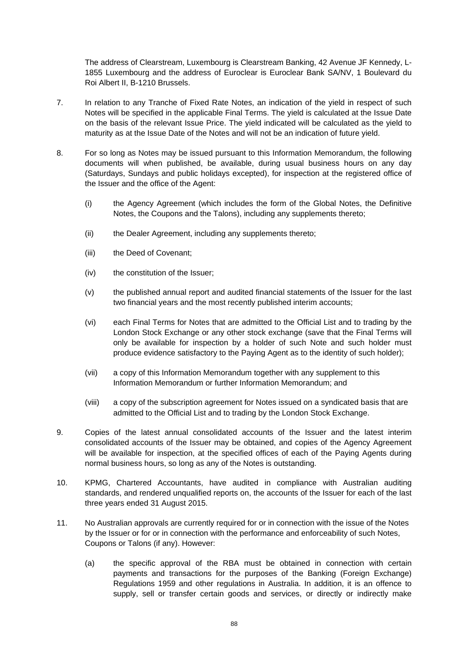The address of Clearstream, Luxembourg is Clearstream Banking, 42 Avenue JF Kennedy, L-1855 Luxembourg and the address of Euroclear is Euroclear Bank SA/NV, 1 Boulevard du Roi Albert II, B-1210 Brussels.

- 7. In relation to any Tranche of Fixed Rate Notes, an indication of the yield in respect of such Notes will be specified in the applicable Final Terms. The yield is calculated at the Issue Date on the basis of the relevant Issue Price. The yield indicated will be calculated as the yield to maturity as at the Issue Date of the Notes and will not be an indication of future yield.
- 8. For so long as Notes may be issued pursuant to this Information Memorandum, the following documents will when published, be available, during usual business hours on any day (Saturdays, Sundays and public holidays excepted), for inspection at the registered office of the Issuer and the office of the Agent:
	- (i) the Agency Agreement (which includes the form of the Global Notes, the Definitive Notes, the Coupons and the Talons), including any supplements thereto;
	- (ii) the Dealer Agreement, including any supplements thereto;
	- (iii) the Deed of Covenant;
	- (iv) the constitution of the Issuer;
	- (v) the published annual report and audited financial statements of the Issuer for the last two financial years and the most recently published interim accounts;
	- (vi) each Final Terms for Notes that are admitted to the Official List and to trading by the London Stock Exchange or any other stock exchange (save that the Final Terms will only be available for inspection by a holder of such Note and such holder must produce evidence satisfactory to the Paying Agent as to the identity of such holder);
	- (vii) a copy of this Information Memorandum together with any supplement to this Information Memorandum or further Information Memorandum; and
	- (viii) a copy of the subscription agreement for Notes issued on a syndicated basis that are admitted to the Official List and to trading by the London Stock Exchange.
- 9. Copies of the latest annual consolidated accounts of the Issuer and the latest interim consolidated accounts of the Issuer may be obtained, and copies of the Agency Agreement will be available for inspection, at the specified offices of each of the Paying Agents during normal business hours, so long as any of the Notes is outstanding.
- 10. KPMG, Chartered Accountants, have audited in compliance with Australian auditing standards, and rendered unqualified reports on, the accounts of the Issuer for each of the last three years ended 31 August 2015.
- 11. No Australian approvals are currently required for or in connection with the issue of the Notes by the Issuer or for or in connection with the performance and enforceability of such Notes, Coupons or Talons (if any). However:
	- (a) the specific approval of the RBA must be obtained in connection with certain payments and transactions for the purposes of the Banking (Foreign Exchange) Regulations 1959 and other regulations in Australia. In addition, it is an offence to supply, sell or transfer certain goods and services, or directly or indirectly make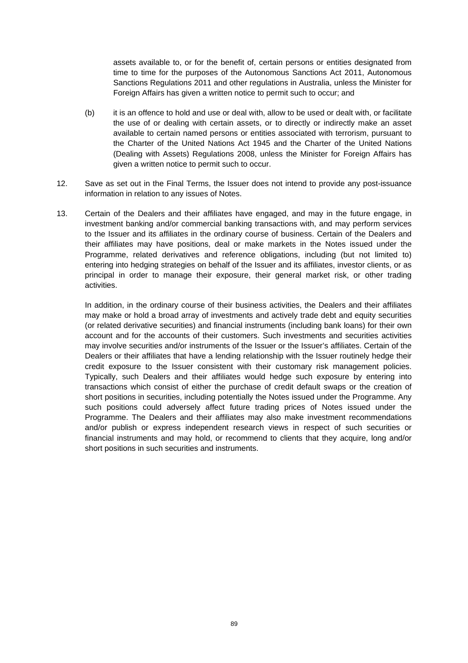assets available to, or for the benefit of, certain persons or entities designated from time to time for the purposes of the Autonomous Sanctions Act 2011, Autonomous Sanctions Regulations 2011 and other regulations in Australia, unless the Minister for Foreign Affairs has given a written notice to permit such to occur; and

- (b) it is an offence to hold and use or deal with, allow to be used or dealt with, or facilitate the use of or dealing with certain assets, or to directly or indirectly make an asset available to certain named persons or entities associated with terrorism, pursuant to the Charter of the United Nations Act 1945 and the Charter of the United Nations (Dealing with Assets) Regulations 2008, unless the Minister for Foreign Affairs has given a written notice to permit such to occur.
- 12. Save as set out in the Final Terms, the Issuer does not intend to provide any post-issuance information in relation to any issues of Notes.
- 13. Certain of the Dealers and their affiliates have engaged, and may in the future engage, in investment banking and/or commercial banking transactions with, and may perform services to the Issuer and its affiliates in the ordinary course of business. Certain of the Dealers and their affiliates may have positions, deal or make markets in the Notes issued under the Programme, related derivatives and reference obligations, including (but not limited to) entering into hedging strategies on behalf of the Issuer and its affiliates, investor clients, or as principal in order to manage their exposure, their general market risk, or other trading activities.

In addition, in the ordinary course of their business activities, the Dealers and their affiliates may make or hold a broad array of investments and actively trade debt and equity securities (or related derivative securities) and financial instruments (including bank loans) for their own account and for the accounts of their customers. Such investments and securities activities may involve securities and/or instruments of the Issuer or the Issuer's affiliates. Certain of the Dealers or their affiliates that have a lending relationship with the Issuer routinely hedge their credit exposure to the Issuer consistent with their customary risk management policies. Typically, such Dealers and their affiliates would hedge such exposure by entering into transactions which consist of either the purchase of credit default swaps or the creation of short positions in securities, including potentially the Notes issued under the Programme. Any such positions could adversely affect future trading prices of Notes issued under the Programme. The Dealers and their affiliates may also make investment recommendations and/or publish or express independent research views in respect of such securities or financial instruments and may hold, or recommend to clients that they acquire, long and/or short positions in such securities and instruments.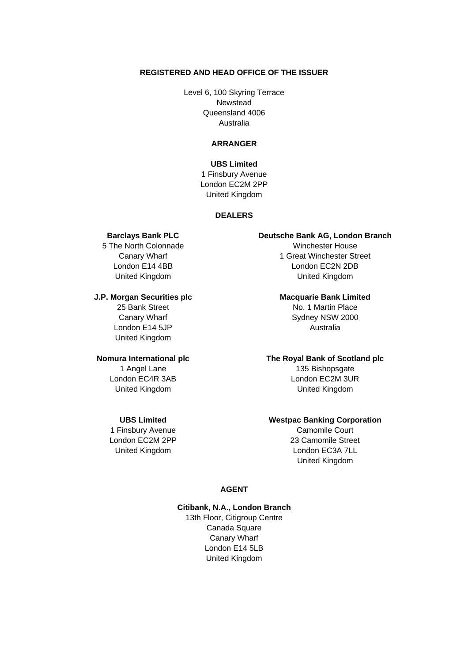#### **REGISTERED AND HEAD OFFICE OF THE ISSUER**

Level 6, 100 Skyring Terrace Newstead Queensland 4006 Australia

### **ARRANGER**

**UBS Limited**  1 Finsbury Avenue London EC2M 2PP United Kingdom

#### **DEALERS**

5 The North Colonnade Winchester House

#### **J.P. Morgan Securities plc** Macquarie Bank Limited

25 Bank Street No. 1 Martin Place London E14 5JP Australia United Kingdom

1 Finsbury Avenue **Camomile Court** 

#### **Barclays Bank PLC Deutsche Bank AG, London Branch**

**Canary Wharf** Canary Wharf 1 Great Winchester Street London E14 4BB London EC2N 2DB United Kingdom United Kingdom

Canary Wharf Sydney NSW 2000

#### **Nomura International plc The Royal Bank of Scotland plc**

1 Angel Lane 135 Bishopsgate London EC4R 3AB London EC2M 3UR United Kingdom United Kingdom

#### **UBS Limited Westpac Banking Corporation**

London EC2M 2PP 23 Camomile Street United Kingdom **London EC3A 7LL** United Kingdom

### **AGENT**

# **Citibank, N.A., London Branch**

13th Floor, Citigroup Centre Canada Square Canary Wharf London E14 5LB United Kingdom